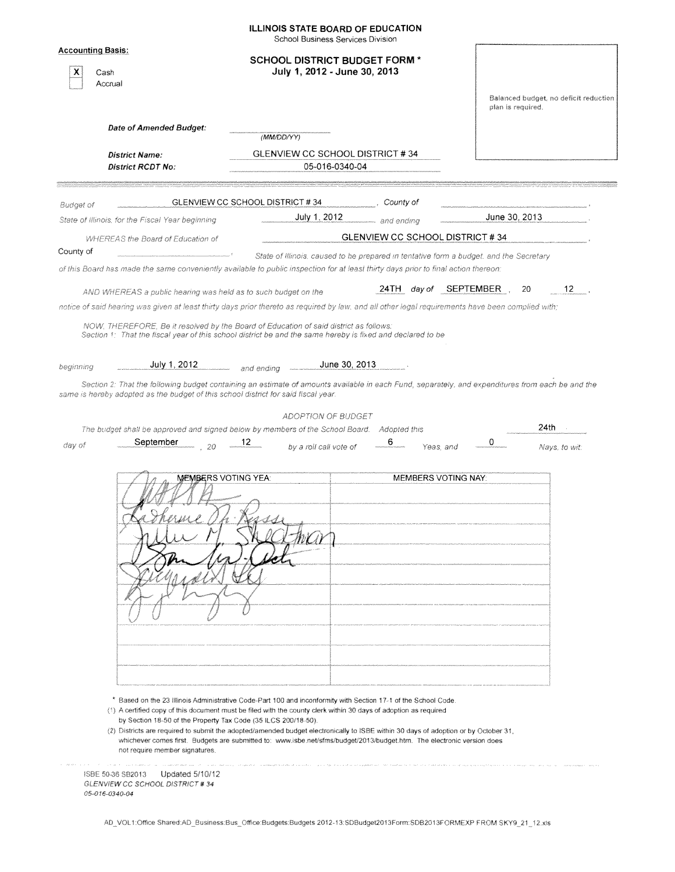|              | <b>SCHOOL DISTRICT BUDGET FORM *</b><br>July 1, 2012 - June 30, 2013                                                                                                                      |                                                                                                                                                                                                                                       |                                                                                                                                                                                                                                                                                                                                                                                                                                                                                                                                                                                                                                                                                                                                                                                                                                                                                                                                                                                                                                                                                                                                                                                                                                                                                                                      |
|--------------|-------------------------------------------------------------------------------------------------------------------------------------------------------------------------------------------|---------------------------------------------------------------------------------------------------------------------------------------------------------------------------------------------------------------------------------------|----------------------------------------------------------------------------------------------------------------------------------------------------------------------------------------------------------------------------------------------------------------------------------------------------------------------------------------------------------------------------------------------------------------------------------------------------------------------------------------------------------------------------------------------------------------------------------------------------------------------------------------------------------------------------------------------------------------------------------------------------------------------------------------------------------------------------------------------------------------------------------------------------------------------------------------------------------------------------------------------------------------------------------------------------------------------------------------------------------------------------------------------------------------------------------------------------------------------------------------------------------------------------------------------------------------------|
|              |                                                                                                                                                                                           |                                                                                                                                                                                                                                       | Balanced budget, no deficit reduction<br>plan is required.                                                                                                                                                                                                                                                                                                                                                                                                                                                                                                                                                                                                                                                                                                                                                                                                                                                                                                                                                                                                                                                                                                                                                                                                                                                           |
|              |                                                                                                                                                                                           |                                                                                                                                                                                                                                       |                                                                                                                                                                                                                                                                                                                                                                                                                                                                                                                                                                                                                                                                                                                                                                                                                                                                                                                                                                                                                                                                                                                                                                                                                                                                                                                      |
|              | (MM/DD/YY)                                                                                                                                                                                |                                                                                                                                                                                                                                       |                                                                                                                                                                                                                                                                                                                                                                                                                                                                                                                                                                                                                                                                                                                                                                                                                                                                                                                                                                                                                                                                                                                                                                                                                                                                                                                      |
|              |                                                                                                                                                                                           |                                                                                                                                                                                                                                       |                                                                                                                                                                                                                                                                                                                                                                                                                                                                                                                                                                                                                                                                                                                                                                                                                                                                                                                                                                                                                                                                                                                                                                                                                                                                                                                      |
|              |                                                                                                                                                                                           |                                                                                                                                                                                                                                       |                                                                                                                                                                                                                                                                                                                                                                                                                                                                                                                                                                                                                                                                                                                                                                                                                                                                                                                                                                                                                                                                                                                                                                                                                                                                                                                      |
|              |                                                                                                                                                                                           |                                                                                                                                                                                                                                       |                                                                                                                                                                                                                                                                                                                                                                                                                                                                                                                                                                                                                                                                                                                                                                                                                                                                                                                                                                                                                                                                                                                                                                                                                                                                                                                      |
|              |                                                                                                                                                                                           |                                                                                                                                                                                                                                       | June 30, 2013                                                                                                                                                                                                                                                                                                                                                                                                                                                                                                                                                                                                                                                                                                                                                                                                                                                                                                                                                                                                                                                                                                                                                                                                                                                                                                        |
|              |                                                                                                                                                                                           |                                                                                                                                                                                                                                       |                                                                                                                                                                                                                                                                                                                                                                                                                                                                                                                                                                                                                                                                                                                                                                                                                                                                                                                                                                                                                                                                                                                                                                                                                                                                                                                      |
|              |                                                                                                                                                                                           |                                                                                                                                                                                                                                       |                                                                                                                                                                                                                                                                                                                                                                                                                                                                                                                                                                                                                                                                                                                                                                                                                                                                                                                                                                                                                                                                                                                                                                                                                                                                                                                      |
|              |                                                                                                                                                                                           |                                                                                                                                                                                                                                       |                                                                                                                                                                                                                                                                                                                                                                                                                                                                                                                                                                                                                                                                                                                                                                                                                                                                                                                                                                                                                                                                                                                                                                                                                                                                                                                      |
|              |                                                                                                                                                                                           |                                                                                                                                                                                                                                       | 12 <sup>12</sup><br>20                                                                                                                                                                                                                                                                                                                                                                                                                                                                                                                                                                                                                                                                                                                                                                                                                                                                                                                                                                                                                                                                                                                                                                                                                                                                                               |
|              |                                                                                                                                                                                           |                                                                                                                                                                                                                                       |                                                                                                                                                                                                                                                                                                                                                                                                                                                                                                                                                                                                                                                                                                                                                                                                                                                                                                                                                                                                                                                                                                                                                                                                                                                                                                                      |
|              |                                                                                                                                                                                           |                                                                                                                                                                                                                                       |                                                                                                                                                                                                                                                                                                                                                                                                                                                                                                                                                                                                                                                                                                                                                                                                                                                                                                                                                                                                                                                                                                                                                                                                                                                                                                                      |
|              |                                                                                                                                                                                           |                                                                                                                                                                                                                                       |                                                                                                                                                                                                                                                                                                                                                                                                                                                                                                                                                                                                                                                                                                                                                                                                                                                                                                                                                                                                                                                                                                                                                                                                                                                                                                                      |
|              |                                                                                                                                                                                           |                                                                                                                                                                                                                                       |                                                                                                                                                                                                                                                                                                                                                                                                                                                                                                                                                                                                                                                                                                                                                                                                                                                                                                                                                                                                                                                                                                                                                                                                                                                                                                                      |
| July 1, 2012 | and ending                                                                                                                                                                                |                                                                                                                                                                                                                                       |                                                                                                                                                                                                                                                                                                                                                                                                                                                                                                                                                                                                                                                                                                                                                                                                                                                                                                                                                                                                                                                                                                                                                                                                                                                                                                                      |
| $-20$        | 12                                                                                                                                                                                        | Adopted this<br>6<br>Yeas, and                                                                                                                                                                                                        | 24th<br>0<br>Nays, to wit:                                                                                                                                                                                                                                                                                                                                                                                                                                                                                                                                                                                                                                                                                                                                                                                                                                                                                                                                                                                                                                                                                                                                                                                                                                                                                           |
|              |                                                                                                                                                                                           |                                                                                                                                                                                                                                       |                                                                                                                                                                                                                                                                                                                                                                                                                                                                                                                                                                                                                                                                                                                                                                                                                                                                                                                                                                                                                                                                                                                                                                                                                                                                                                                      |
|              | by Section 18-50 of the Property Tax Code (35 ILCS 200/18-50).                                                                                                                            |                                                                                                                                                                                                                                       |                                                                                                                                                                                                                                                                                                                                                                                                                                                                                                                                                                                                                                                                                                                                                                                                                                                                                                                                                                                                                                                                                                                                                                                                                                                                                                                      |
|              | Date of Amended Budget:<br><b>District Name:</b><br><b>District RCDT No:</b><br>State of Illinois, for the Fiscal Year beginning<br><b>WHEREAS the Board of Education of</b><br>September | GLENVIEW CC SCHOOL DISTRICT #34<br>July 1, 2012<br>AND WHEREAS a public hearing was held as to such budget on the<br>same is hereby adopted as the budget of this school district for said fiscal year.<br><b>MEMBERS VOTING YEA:</b> | GLENVIEW CC SCHOOL DISTRICT #34<br>05-016-0340-04<br>County of<br>and ending<br>GLENVIEW CC SCHOOL DISTRICT #34<br>State of Illinois, caused to be prepared in tentative form a budget, and the Secretary<br>of this Board has made the same conveniently available to public inspection for at least thirty days prior to final action thereon;<br>24TH day of SEPTEMBER<br>notice of said hearing was given at least thirty days prior thereto as required by law, and all other legal requirements have been complied with;<br>NOW, THEREFORE, Be it resolved by the Board of Education of said district as follows:<br>Section 1: That the fiscal year of this school district be and the same hereby is fixed and declared to be<br>June 30, 2013<br>Section 2: That the following budget containing an estimate of amounts available in each Fund, separately, and expenditures from each be and the<br><b>ADOPTION OF BUDGET</b><br>The budget shall be approved and signed below by members of the School Board.<br>by a roll call vote of<br><b>MEMBERS VOTING NAY:</b><br>Based on the 23 Illinois Administrative Code-Part 100 and inconformity with Section 17-1 of the School Code.<br>(1) A certified copy of this document must be filed with the county clerk within 30 days of adoption as required |

ISBE 50-36 SB2013 Updated 5/10/12 GLENVIEW CC SCHOOL DISTRICT #34 05-016-0340-04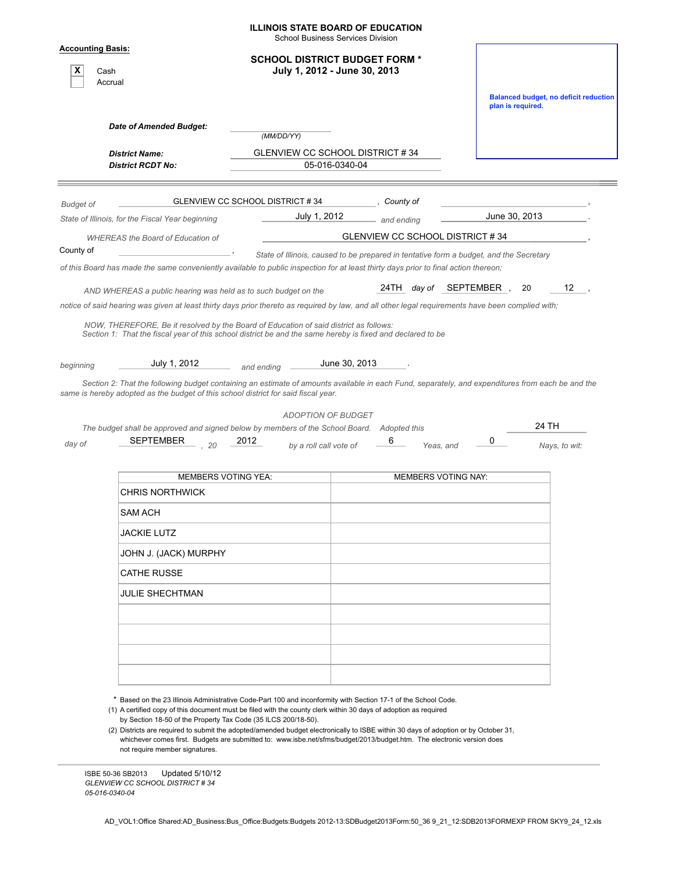|                                                  |                                                                                                                                                                                                                                                                                                                                                                                                                            |                                 | <b>ILLINOIS STATE BOARD OF EDUCATION</b><br><b>School Business Services Division</b> |                                                                                                                                                                                                                               |                                              |  |  |  |  |
|--------------------------------------------------|----------------------------------------------------------------------------------------------------------------------------------------------------------------------------------------------------------------------------------------------------------------------------------------------------------------------------------------------------------------------------------------------------------------------------|---------------------------------|--------------------------------------------------------------------------------------|-------------------------------------------------------------------------------------------------------------------------------------------------------------------------------------------------------------------------------|----------------------------------------------|--|--|--|--|
| <b>Accounting Basis:</b><br>x<br>Cash<br>Accrual |                                                                                                                                                                                                                                                                                                                                                                                                                            |                                 | <b>SCHOOL DISTRICT BUDGET FORM *</b><br>July 1, 2012 - June 30, 2013                 |                                                                                                                                                                                                                               | <b>Balanced budget, no deficit reduction</b> |  |  |  |  |
|                                                  |                                                                                                                                                                                                                                                                                                                                                                                                                            |                                 |                                                                                      |                                                                                                                                                                                                                               | plan is required.                            |  |  |  |  |
|                                                  | Date of Amended Budget:                                                                                                                                                                                                                                                                                                                                                                                                    | (MM/DD/YY)                      |                                                                                      |                                                                                                                                                                                                                               |                                              |  |  |  |  |
|                                                  | <b>District Name:</b><br><b>District RCDT No:</b>                                                                                                                                                                                                                                                                                                                                                                          |                                 | GLENVIEW CC SCHOOL DISTRICT #34<br>05-016-0340-04                                    |                                                                                                                                                                                                                               |                                              |  |  |  |  |
|                                                  |                                                                                                                                                                                                                                                                                                                                                                                                                            | GLENVIEW CC SCHOOL DISTRICT #34 | County of                                                                            |                                                                                                                                                                                                                               |                                              |  |  |  |  |
| <b>Budget of</b>                                 | State of Illinois, for the Fiscal Year beginning                                                                                                                                                                                                                                                                                                                                                                           | July 1, 2012                    | and ending                                                                           | June 30, 2013                                                                                                                                                                                                                 |                                              |  |  |  |  |
|                                                  | <b>WHEREAS</b> the Board of Education of                                                                                                                                                                                                                                                                                                                                                                                   |                                 | GLENVIEW CC SCHOOL DISTRICT #34                                                      |                                                                                                                                                                                                                               |                                              |  |  |  |  |
| County of                                        |                                                                                                                                                                                                                                                                                                                                                                                                                            |                                 |                                                                                      | State of Illinois, caused to be prepared in tentative form a budget, and the Secretary<br>of this Board has made the same conveniently available to public inspection for at least thirty days prior to final action thereon; |                                              |  |  |  |  |
|                                                  | AND WHEREAS a public hearing was held as to such budget on the<br>notice of said hearing was given at least thirty days prior thereto as required by law, and all other legal requirements have been complied with;<br>NOW, THEREFORE, Be it resolved by the Board of Education of said district as follows:<br>Section 1: That the fiscal year of this school district be and the same hereby is fixed and declared to be |                                 |                                                                                      | 24TH day of SEPTEMBER,                                                                                                                                                                                                        | 12<br>20                                     |  |  |  |  |
| beginning                                        | July 1, 2012<br>Section 2: That the following budget containing an estimate of amounts available in each Fund, separately, and expenditures from each be and the<br>same is hereby adopted as the budget of this school district for said fiscal year.                                                                                                                                                                     | and ending                      | June 30, 2013                                                                        |                                                                                                                                                                                                                               |                                              |  |  |  |  |
|                                                  |                                                                                                                                                                                                                                                                                                                                                                                                                            | <b>ADOPTION OF BUDGET</b>       |                                                                                      |                                                                                                                                                                                                                               |                                              |  |  |  |  |
| day of                                           | The budget shall be approved and signed below by members of the School Board. Adopted this<br>SEPTEMBER<br>20                                                                                                                                                                                                                                                                                                              | 2012<br>by a roll call vote of  |                                                                                      | 0<br>Yeas, and                                                                                                                                                                                                                | 24 TH<br>Nays, to wit:                       |  |  |  |  |
|                                                  | <b>MEMBERS VOTING YEA:</b>                                                                                                                                                                                                                                                                                                                                                                                                 |                                 |                                                                                      | <b>MEMBERS VOTING NAY:</b>                                                                                                                                                                                                    |                                              |  |  |  |  |
|                                                  | <b>CHRIS NORTHWICK</b>                                                                                                                                                                                                                                                                                                                                                                                                     |                                 |                                                                                      |                                                                                                                                                                                                                               |                                              |  |  |  |  |
|                                                  | SAM ACH                                                                                                                                                                                                                                                                                                                                                                                                                    |                                 |                                                                                      |                                                                                                                                                                                                                               |                                              |  |  |  |  |
|                                                  | <b>JACKIE LUTZ</b>                                                                                                                                                                                                                                                                                                                                                                                                         |                                 |                                                                                      |                                                                                                                                                                                                                               |                                              |  |  |  |  |
|                                                  | JOHN J. (JACK) MURPHY                                                                                                                                                                                                                                                                                                                                                                                                      |                                 |                                                                                      |                                                                                                                                                                                                                               |                                              |  |  |  |  |
|                                                  | <b>CATHE RUSSE</b>                                                                                                                                                                                                                                                                                                                                                                                                         |                                 |                                                                                      |                                                                                                                                                                                                                               |                                              |  |  |  |  |
|                                                  | <b>JULIE SHECHTMAN</b>                                                                                                                                                                                                                                                                                                                                                                                                     |                                 |                                                                                      |                                                                                                                                                                                                                               |                                              |  |  |  |  |
|                                                  |                                                                                                                                                                                                                                                                                                                                                                                                                            |                                 |                                                                                      |                                                                                                                                                                                                                               |                                              |  |  |  |  |
|                                                  |                                                                                                                                                                                                                                                                                                                                                                                                                            |                                 |                                                                                      |                                                                                                                                                                                                                               |                                              |  |  |  |  |
|                                                  |                                                                                                                                                                                                                                                                                                                                                                                                                            |                                 |                                                                                      |                                                                                                                                                                                                                               |                                              |  |  |  |  |
|                                                  |                                                                                                                                                                                                                                                                                                                                                                                                                            |                                 |                                                                                      |                                                                                                                                                                                                                               |                                              |  |  |  |  |

\* Based on the 23 Illinois Administrative Code-Part 100 and inconformity with Section 17-1 of the School Code.

(1) A certified copy of this document must be filed with the county clerk within 30 days of adoption as required by Section 18-50 of the Property Tax Code (35 ILCS 200/18-50).

(2) Districts are required to submit the adopted/amended budget electronically to ISBE within 30 days of adoption or by October 31, whichever comes first. Budgets are submitted to: www.isbe.net/sfms/budget/2013/budget.htm. The electronic version does not require member signatures.

ISBE 50-36 SB2013 Updated 5/10/12 *GLENVIEW CC SCHOOL DISTRICT # 34 05-016-0340-04*

AD\_VOL1:Office Shared:AD\_Business:Bus\_Office:Budgets:Budgets 2012-13:SDBudget2013Form:50\_36 9\_21\_12:SDB2013FORMEXP FROM SKY9\_24\_12.xls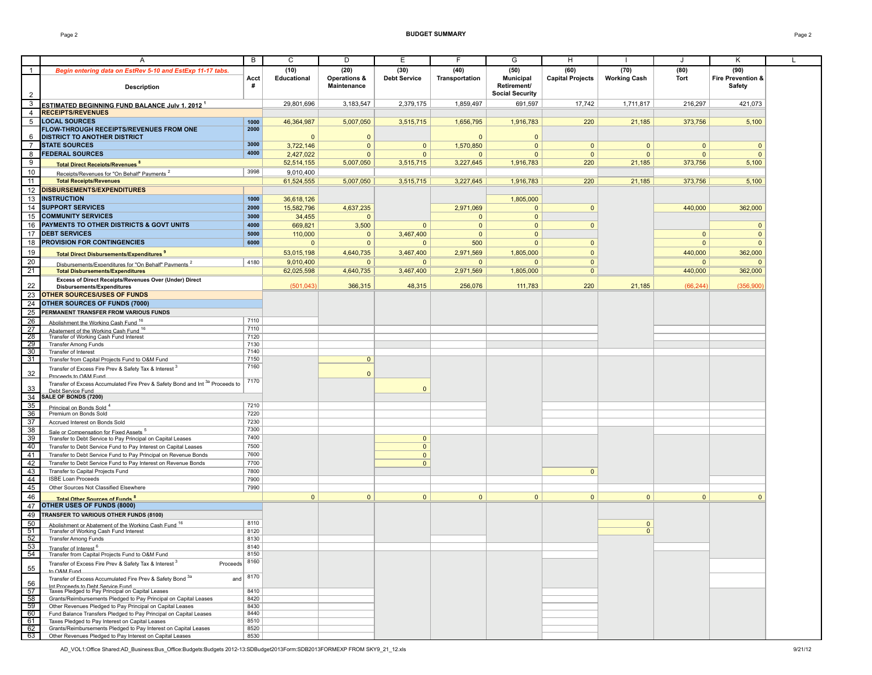|                | A                                                                                                                    | B            | C            | D                       | Е                   | F              | G                      | H                       |                     | J            | Κ                            |  |
|----------------|----------------------------------------------------------------------------------------------------------------------|--------------|--------------|-------------------------|---------------------|----------------|------------------------|-------------------------|---------------------|--------------|------------------------------|--|
| $\mathbf{1}$   | Begin entering data on EstRev 5-10 and EstExp 11-17 tabs.                                                            |              | (10)         | (20)                    | (30)                | (40)           | (50)                   | (60)                    | (70)                | (80)         | (90)                         |  |
|                |                                                                                                                      | Acct         | Educational  | <b>Operations &amp;</b> | <b>Debt Service</b> | Transportation | <b>Municipal</b>       | <b>Capital Projects</b> | <b>Working Cash</b> | Tort         | <b>Fire Prevention &amp;</b> |  |
|                | <b>Description</b>                                                                                                   | #            |              | <b>Maintenance</b>      |                     |                | Retirement/            |                         |                     |              | Safety                       |  |
| $\overline{2}$ |                                                                                                                      |              |              |                         |                     |                | <b>Social Security</b> |                         |                     |              |                              |  |
| 3              | <b>ESTIMATED BEGINNING FUND BALANCE July 1. 2012 1</b>                                                               |              | 29,801,696   | 3,183,547               | 2,379,175           | 1,859,497      | 691,597                | 17,742                  | 1,711,817           | 216,297      | 421,073                      |  |
| $\overline{4}$ | <b>RECEIPTS/REVENUES</b>                                                                                             |              |              |                         |                     |                |                        |                         |                     |              |                              |  |
| 5              | <b>LOCAL SOURCES</b>                                                                                                 | 1000         | 46,364,987   | 5,007,050               | 3,515,715           | 1,656,795      | 1,916,783              | 220                     | 21,185              | 373,756      | 5,100                        |  |
|                | FLOW-THROUGH RECEIPTS/REVENUES FROM ONE                                                                              | 2000         |              |                         |                     |                |                        |                         |                     |              |                              |  |
| 6              | <b>DISTRICT TO ANOTHER DISTRICT</b>                                                                                  |              | $\Omega$     | $\mathbf{0}$            |                     | $\Omega$       | $\Omega$               |                         |                     |              |                              |  |
| $\overline{7}$ | <b>STATE SOURCES</b>                                                                                                 | 3000         | 3,722,146    | $\mathbf{0}$            | $\mathbf{0}$        | 1,570,850      | $\mathbf{0}$           | $\mathbf{0}$            | $\mathbf{0}$        | $\mathbf{0}$ | $\mathbf{0}$                 |  |
| 8              | <b>FEDERAL SOURCES</b>                                                                                               | 4000         | 2,427,022    | $\mathbf{0}$            | $\mathbf{0}$        | $\mathbf{0}$   | $\mathbf{0}$           | $\mathbf{0}$            | $\mathbf{0}$        | $\mathbf{0}$ | $\mathbf{0}$                 |  |
| 9              | <b>Total Direct Receints/Revenues<sup>8</sup></b>                                                                    |              | 52,514,155   | 5,007,050               | 3,515,715           | 3,227,645      | 1,916,783              | 220                     | 21,185              | 373,756      | 5,100                        |  |
| 10             |                                                                                                                      | 3998         | 9,010,400    |                         |                     |                |                        |                         |                     |              |                              |  |
| 11             | Receipts/Revenues for "On Behalf" Payments <sup>2</sup><br><b>Total Receipts/Revenues</b>                            |              | 61.524.555   | 5,007,050               | 3,515,715           | 3.227.645      | 1,916,783              | 220                     | 21,185              | 373,756      | 5,100                        |  |
|                | 12 DISBURSEMENTS/EXPENDITURES                                                                                        |              |              |                         |                     |                |                        |                         |                     |              |                              |  |
|                | <b>INSTRUCTION</b>                                                                                                   | 1000         |              |                         |                     |                |                        |                         |                     |              |                              |  |
| 13             |                                                                                                                      |              | 36,618,126   |                         |                     |                | 1,805,000              |                         |                     |              |                              |  |
|                | 14 SUPPORT SERVICES                                                                                                  | 2000         | 15,582,796   | 4,637,235               |                     | 2,971,069      | $\Omega$               | $\mathbf{0}$            |                     | 440,000      | 362,000                      |  |
|                | 15 COMMUNITY SERVICES                                                                                                | 3000         | 34,455       | $\mathbf{0}$            |                     | $\mathbf{0}$   | $\mathbf{0}$           |                         |                     |              |                              |  |
| 16             | PAYMENTS TO OTHER DISTRICTS & GOVT UNITS                                                                             | 4000         | 669,821      | 3,500                   | $\overline{0}$      | $\mathbf{0}$   | $\Omega$               | $\mathbf{0}$            |                     |              | $\mathbf{0}$                 |  |
|                | 17 DEBT SERVICES                                                                                                     | 5000         | 110,000      | $\mathbf{0}$            | 3,467,400           | $\mathbf{0}$   | $\mathbf{0}$           |                         |                     | $\mathbf{0}$ | $\mathbf{0}$                 |  |
|                | 18 PROVISION FOR CONTINGENCIES                                                                                       | 6000         | $\Omega$     | $\mathbf{0}$            | $\mathbf{0}$        | 500            | $\mathbf{0}$           | $\mathbf{0}$            |                     | $\mathbf{0}$ | $\mathbf{0}$                 |  |
| 19             | <b>Total Direct Disbursements/Expenditures 9</b>                                                                     |              | 53,015,198   | 4,640,735               | 3,467,400           | 2,971,569      | 1,805,000              | $\mathbf{0}$            |                     | 440,000      | 362,000                      |  |
| 20             | Disbursements/Expenditures for "On Behalf" Payments <sup>2</sup>                                                     | 4180         | 9,010,400    | $\mathbf{0}$            | $\Omega$            | $\mathbf{0}$   | $\Omega$               | $\mathbf{0}$            |                     | $\Omega$     |                              |  |
| 21             | <b>Total Disbursements/Expenditures</b>                                                                              |              | 62,025,598   | 4,640,735               | 3,467,400           | 2,971,569      | 1,805,000              | $\overline{0}$          |                     | 440,000      | 362,000                      |  |
|                | Excess of Direct Receipts/Revenues Over (Under) Direct                                                               |              |              |                         |                     |                |                        |                         |                     |              |                              |  |
| 22             | Disbursements/Expenditures                                                                                           |              | (501, 043)   | 366,315                 | 48,315              | 256,076        | 111,783                | 220                     | 21,185              | (66, 244)    | (356,900)                    |  |
| 23             | <b>OTHER SOURCES/USES OF FUNDS</b>                                                                                   |              |              |                         |                     |                |                        |                         |                     |              |                              |  |
| 24             | OTHER SOURCES OF FUNDS (7000)                                                                                        |              |              |                         |                     |                |                        |                         |                     |              |                              |  |
| 25             | PERMANENT TRANSFER FROM VARIOUS FUNDS                                                                                |              |              |                         |                     |                |                        |                         |                     |              |                              |  |
| 26             | Abolishment the Working Cash Fund <sup>16</sup>                                                                      | 7110         |              |                         |                     |                |                        |                         |                     |              |                              |  |
| 27<br>28       | Abatement of the Working Cash Fund 16                                                                                | 7110         |              |                         |                     |                |                        |                         |                     |              |                              |  |
| 29             | Transfer of Working Cash Fund Interest<br><b>Transfer Among Funds</b>                                                | 7120<br>7130 |              |                         |                     |                |                        |                         |                     |              |                              |  |
| 30             | Transfer of Interest                                                                                                 | 7140         |              |                         |                     |                |                        |                         |                     |              |                              |  |
| 31             | Transfer from Capital Projects Fund to O&M Fund                                                                      | 7150         |              | $\overline{0}$          |                     |                |                        |                         |                     |              |                              |  |
|                | Transfer of Excess Fire Prev & Safety Tax & Interest                                                                 | 7160         |              |                         |                     |                |                        |                         |                     |              |                              |  |
| 32             | Proceeds to O&M Fund                                                                                                 |              |              | $\Omega$                |                     |                |                        |                         |                     |              |                              |  |
|                | Transfer of Excess Accumulated Fire Prev & Safety Bond and Int <sup>3a</sup> Proceeds to                             | 7170         |              |                         |                     |                |                        |                         |                     |              |                              |  |
| 33             | Deht Service Fund                                                                                                    |              |              |                         | $\overline{0}$      |                |                        |                         |                     |              |                              |  |
| 34<br>35       | SALE OF BONDS (7200)                                                                                                 | 7210         |              |                         |                     |                |                        |                         |                     |              |                              |  |
| 36             | Princinal on Bonds Sold <sup>4</sup><br>Premium on Bonds Sold                                                        | 7220         |              |                         |                     |                |                        |                         |                     |              |                              |  |
| 37             | Accrued Interest on Bonds Sold                                                                                       | 7230         |              |                         |                     |                |                        |                         |                     |              |                              |  |
| 38             |                                                                                                                      | 7300         |              |                         |                     |                |                        |                         |                     |              |                              |  |
| 39             | Sale or Compensation for Fixed Assets <sup>5</sup><br>Transfer to Debt Service to Pay Principal on Capital Leases    | 7400         |              |                         | $\mathbf{0}$        |                |                        |                         |                     |              |                              |  |
| 40             | Transfer to Debt Service Fund to Pay Interest on Capital Leases                                                      | 7500         |              |                         | $\overline{0}$      |                |                        |                         |                     |              |                              |  |
| 41             | Transfer to Debt Service Fund to Pay Principal on Revenue Bonds                                                      | 7600         |              |                         | $\mathbf{0}$        |                |                        |                         |                     |              |                              |  |
| 42             | Transfer to Debt Service Fund to Pay Interest on Revenue Bonds                                                       | 7700         |              |                         | $\overline{0}$      |                |                        |                         |                     |              |                              |  |
| 43             | Transfer to Capital Projects Fund                                                                                    | 7800         |              |                         |                     |                |                        | $\mathbf{0}$            |                     |              |                              |  |
| 44             | <b>ISBE Loan Proceeds</b>                                                                                            | 7900         |              |                         |                     |                |                        |                         |                     |              |                              |  |
| 45             | Other Sources Not Classified Elsewhere                                                                               | 7990         |              |                         |                     |                |                        |                         |                     |              |                              |  |
| 46             | <b>Total Other Sources of Funds<sup>8</sup></b>                                                                      |              | $\mathbf{0}$ | $\mathbf{0}$            | $\mathbf{0}$        | $\overline{0}$ | $\mathbf{0}$           | $\mathbf{0}$            | $\mathbf{0}$        | $\mathbf{0}$ | $\mathbf{0}$                 |  |
| 47             | OTHER USES OF FUNDS (8000)                                                                                           |              |              |                         |                     |                |                        |                         |                     |              |                              |  |
| 49             | TRANSFER TO VARIOUS OTHER FUNDS (8100)                                                                               |              |              |                         |                     |                |                        |                         |                     |              |                              |  |
| 50             | Abolishment or Abatement of the Working Cash Fund 16                                                                 | 8110         |              |                         |                     |                |                        |                         | $\mathbf{0}$        |              |                              |  |
| 51             | Transfer of Working Cash Fund Interest                                                                               | 8120         |              |                         |                     |                |                        |                         | $\overline{0}$      |              |                              |  |
| 52             | <b>Transfer Among Funds</b>                                                                                          | 8130         |              |                         |                     |                |                        |                         |                     |              |                              |  |
| 53             | Transfer of Interest 6                                                                                               | 8140         |              |                         |                     |                |                        |                         |                     |              |                              |  |
| 54             | Transfer from Capital Projects Fund to O&M Fund                                                                      | 8150<br>8160 |              |                         |                     |                |                        |                         |                     |              |                              |  |
| 55             | Transfer of Excess Fire Prev & Safety Tax & Interest<br>Proceeds<br>to O&M Fund                                      |              |              |                         |                     |                |                        |                         |                     |              |                              |  |
| 56             | Transfer of Excess Accumulated Fire Prev & Safety Bond 3a<br>and<br>Int Proceeds to Debt Service Fund                | 8170         |              |                         |                     |                |                        |                         |                     |              |                              |  |
| 57             | Taxes Pledged to Pay Principal on Capital Leases                                                                     | 8410         |              |                         |                     |                |                        |                         |                     |              |                              |  |
| 58             | Grants/Reimbursements Pledged to Pay Principal on Capital Leases                                                     | 8420         |              |                         |                     |                |                        |                         |                     |              |                              |  |
| 59             | Other Revenues Pledged to Pay Principal on Capital Leases                                                            | 8430         |              |                         |                     |                |                        |                         |                     |              |                              |  |
| 60<br>61       | Fund Balance Transfers Pledged to Pay Principal on Capital Leases<br>Taxes Pledged to Pay Interest on Capital Leases | 8440<br>8510 |              |                         |                     |                |                        |                         |                     |              |                              |  |
| 62             | Grants/Reimbursements Pledged to Pay Interest on Capital Leases                                                      | 8520         |              |                         |                     |                |                        |                         |                     |              |                              |  |
| 63 1           | Other Revenues Pledged to Pay Interest on Capital Leases                                                             | 8530         |              |                         |                     |                |                        |                         |                     |              |                              |  |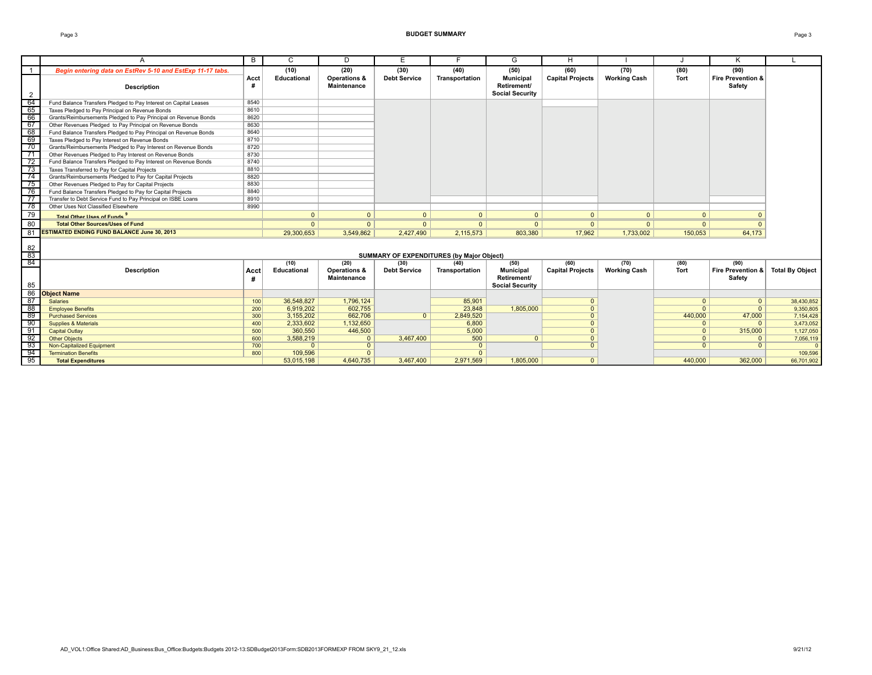#### Page 3 **BUDGET SUMMARY** Page 3

|                                                             | A                                                                | B         | C                  | D                                  | Е                   | F                                         | G                                                         | н                       |                     |          | Κ                           |                        |
|-------------------------------------------------------------|------------------------------------------------------------------|-----------|--------------------|------------------------------------|---------------------|-------------------------------------------|-----------------------------------------------------------|-------------------------|---------------------|----------|-----------------------------|------------------------|
| $\mathbf{1}$                                                | Begin entering data on EstRev 5-10 and EstExp 11-17 tabs.        |           | (10)               | (20)                               | (30)                | (40)                                      | (50)                                                      | (60)                    | (70)                | (80)     | (90)                        |                        |
| $\overline{2}$                                              | <b>Description</b>                                               | Acct<br># | <b>Educational</b> | Operations &<br><b>Maintenance</b> | <b>Debt Service</b> | Transportation                            | <b>Municipal</b><br>Retirement/<br><b>Social Security</b> | <b>Capital Projects</b> | <b>Working Cash</b> | Tort     | Fire Prevention &<br>Safety |                        |
| 64                                                          | Fund Balance Transfers Pledged to Pay Interest on Capital Leases | 8540      |                    |                                    |                     |                                           |                                                           |                         |                     |          |                             |                        |
| 65                                                          | Taxes Pledged to Pay Principal on Revenue Bonds                  | 8610      |                    |                                    |                     |                                           |                                                           |                         |                     |          |                             |                        |
| 66                                                          | Grants/Reimbursements Pledged to Pay Principal on Revenue Bonds  | 8620      |                    |                                    |                     |                                           |                                                           |                         |                     |          |                             |                        |
| 67                                                          | Other Revenues Pledged to Pay Principal on Revenue Bonds         | 8630      |                    |                                    |                     |                                           |                                                           |                         |                     |          |                             |                        |
| 68                                                          | Fund Balance Transfers Pledged to Pay Principal on Revenue Bonds | 8640      |                    |                                    |                     |                                           |                                                           |                         |                     |          |                             |                        |
| 69                                                          | Taxes Pledged to Pay Interest on Revenue Bonds                   | 8710      |                    |                                    |                     |                                           |                                                           |                         |                     |          |                             |                        |
| 70                                                          | Grants/Reimbursements Pledged to Pay Interest on Revenue Bonds   | 8720      |                    |                                    |                     |                                           |                                                           |                         |                     |          |                             |                        |
| $\overline{71}$                                             | Other Revenues Pledged to Pay Interest on Revenue Bonds          | 8730      |                    |                                    |                     |                                           |                                                           |                         |                     |          |                             |                        |
| $\overline{72}$                                             | Fund Balance Transfers Pledged to Pay Interest on Revenue Bonds  | 8740      |                    |                                    |                     |                                           |                                                           |                         |                     |          |                             |                        |
| $\frac{73}{74}$                                             | Taxes Transferred to Pay for Capital Projects                    | 8810      |                    |                                    |                     |                                           |                                                           |                         |                     |          |                             |                        |
|                                                             | Grants/Reimbursements Pledged to Pay for Capital Projects        | 8820      |                    |                                    |                     |                                           |                                                           |                         |                     |          |                             |                        |
| 75                                                          | Other Revenues Pledged to Pay for Capital Projects               | 8830      |                    |                                    |                     |                                           |                                                           |                         |                     |          |                             |                        |
| 76                                                          | Fund Balance Transfers Pledged to Pay for Capital Projects       | 8840      |                    |                                    |                     |                                           |                                                           |                         |                     |          |                             |                        |
| $\overrightarrow{77}$ .                                     | Transfer to Debt Service Fund to Pay Principal on ISBE Loans     | 8910      |                    |                                    |                     |                                           |                                                           |                         |                     |          |                             |                        |
|                                                             | Other Uses Not Classified Elsewhere                              | 8990      |                    |                                    |                     |                                           |                                                           |                         |                     |          |                             |                        |
| $\frac{78}{79}$                                             | Total Other Hses of Funds                                        |           | $\mathbf{0}$       | $\mathbf{0}$                       | $\Omega$            | $\mathbf{0}$                              | $\overline{0}$                                            | $\mathbf{0}$            | $\Omega$            | $\Omega$ | $\Omega$                    |                        |
| 80                                                          | <b>Total Other Sources/Uses of Fund</b>                          |           | $\Omega$           | $\Omega$                           | $\Omega$            | $\overline{0}$                            | $\overline{0}$                                            | $\Omega$                | $\Omega$            | $\Omega$ | $\Omega$                    |                        |
| 81                                                          | <b>ESTIMATED ENDING FUND BALANCE June 30, 2013</b>               |           | 29,300,653         | 3,549,862                          | 2.427,490           | 2,115,573                                 | 803,380                                                   | 17,962                  | 1,733,002           | 150,053  | 64,173                      |                        |
| $\begin{array}{r} 82 \\ \hline 83 \\ \hline 84 \end{array}$ |                                                                  |           |                    |                                    |                     | SUMMARY OF EXPENDITURES (by Major Object) |                                                           |                         |                     |          |                             |                        |
|                                                             |                                                                  |           | (10)               | (20)                               | (30)                | (40)                                      | (50)                                                      | (60)                    | (70)                | (80)     | (90)                        |                        |
| 85                                                          | <b>Description</b>                                               | Acct      | Educational        | Operations &<br><b>Maintenance</b> | <b>Debt Service</b> | Transportation                            | <b>Municipal</b><br>Retirement/<br><b>Social Security</b> | <b>Capital Projects</b> | <b>Working Cash</b> | Tort     | Fire Prevention &<br>Safetv | <b>Total By Object</b> |
|                                                             | 86 Object Name                                                   |           |                    |                                    |                     |                                           |                                                           |                         |                     |          |                             |                        |
| 87                                                          | <b>Salaries</b>                                                  | 100       | 36,548,827         | 1.796.124                          |                     | 85,901                                    |                                                           | $\mathbf{0}$            |                     | $\Omega$ | $\overline{0}$              | 38,430,852             |
| 88                                                          | <b>Employee Benefits</b>                                         | 200       | 6.919.202          | 602.755                            |                     | 23.848                                    | 1.805.000                                                 | $\overline{0}$          |                     |          | $\overline{0}$              | 9.350.805              |
| 89                                                          | <b>Purchased Services</b>                                        | 300       | 3,155,202          | 662,706                            | $\Omega$            | 2,849,520                                 |                                                           | $\mathbf{0}$            |                     | 440,000  | 47,000                      | 7,154,428              |
| 90                                                          | <b>Supplies &amp; Materials</b>                                  | 400       | 2,333,602          | 1,132,650                          |                     | 6,800                                     |                                                           | $\Omega$                |                     | $\Omega$ | $\overline{0}$              | 3,473,052              |
| $-91$                                                       | <b>Capital Outlay</b>                                            | 500       | 360,550            | 446,500                            |                     | 5,000                                     |                                                           | $\overline{0}$          |                     | $\Omega$ | 315,000                     | 1,127,050              |
| $\frac{92}{92}$                                             | <b>Other Objects</b>                                             | 600       | 3,588,219          | $\mathbf{0}$                       | 3,467,400           | 500                                       | 0 <sup>1</sup>                                            | $\Omega$                |                     | $\Omega$ | 0 <sup>1</sup>              | 7,056,119              |
| 93                                                          | Non-Capitalized Equipment                                        | 700       | $\Omega$           | $\mathbf{0}$                       |                     | $\Omega$                                  |                                                           | $\Omega$                |                     | $\Omega$ | $\Omega$                    | $\Omega$               |
| 94                                                          | <b>Termination Benefits</b>                                      | 800       | 109,596            | $\Omega$                           |                     | $\Omega$                                  |                                                           |                         |                     |          |                             | 109,596                |
| 95                                                          | <b>Total Expenditures</b>                                        |           | 53,015,198         | 4,640,735                          | 3.467.400           | 2,971,569                                 | 1,805,000                                                 | $\Omega$                |                     | 440,000  | 362,000                     | 66,701,902             |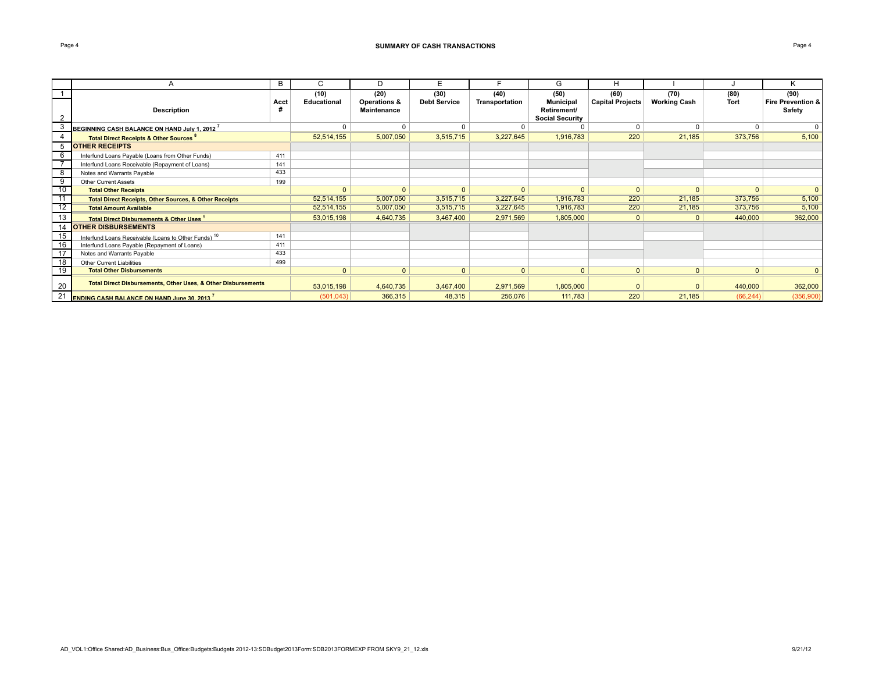|                 | A                                                                 | B    | C            | D            | E                   |                | G                      | H                |                     |              |                              |
|-----------------|-------------------------------------------------------------------|------|--------------|--------------|---------------------|----------------|------------------------|------------------|---------------------|--------------|------------------------------|
|                 |                                                                   |      | (10)         | (20)         | (30)                | (40)           | (50)                   | (60)             | (70)                | (80)         | (90)                         |
|                 |                                                                   | Acct | Educational  | Operations & | <b>Debt Service</b> | Transportation | <b>Municipal</b>       | Capital Projects | <b>Working Cash</b> | Tort         | <b>Fire Prevention &amp;</b> |
|                 | Description                                                       | #    |              | Maintenance  |                     |                | Retirement/            |                  |                     |              | Safety                       |
|                 |                                                                   |      |              |              |                     |                | <b>Social Security</b> |                  |                     |              |                              |
| 3               | $\,$ BEGINNING CASH BALANCE ON HAND July 1. 2012 $^\prime$        |      | $\mathbf 0$  | $\Omega$     | $\Omega$            |                | $\Omega$               | $\Omega$         | $\Omega$            | $\Omega$     | $\circ$                      |
|                 | Total Direct Receipts & Other Sources                             |      | 52,514,155   | 5,007,050    | 3,515,715           | 3,227,645      | 1,916,783              | 220              | 21,185              | 373,756      | 5,100                        |
|                 | <b>OTHER RECEIPTS</b>                                             |      |              |              |                     |                |                        |                  |                     |              |                              |
| 6               | Interfund Loans Payable (Loans from Other Funds)                  | 411  |              |              |                     |                |                        |                  |                     |              |                              |
|                 | Interfund Loans Receivable (Repayment of Loans)                   | 141  |              |              |                     |                |                        |                  |                     |              |                              |
| 8               | Notes and Warrants Payable                                        | 433  |              |              |                     |                |                        |                  |                     |              |                              |
| 9               | <b>Other Current Assets</b>                                       | 199  |              |              |                     |                |                        |                  |                     |              |                              |
| 10              | <b>Total Other Receipts</b>                                       |      | $\mathbf{0}$ | $\mathbf{0}$ | 0 <sup>1</sup>      | $\Omega$       | $\Omega$               | $\Omega$         | $\Omega$            | $\Omega$     | $\overline{0}$               |
| 11              | <b>Total Direct Receipts, Other Sources, &amp; Other Receipts</b> |      | 52,514,155   | 5,007,050    | 3,515,715           | 3,227,645      | 1,916,783              | 220              | 21,185              | 373,756      | 5,100                        |
| $\overline{12}$ | <b>Total Amount Available</b>                                     |      | 52,514,155   | 5,007,050    | 3,515,715           | 3,227,645      | 1,916,783              | 220              | 21,185              | 373,756      | 5,100                        |
| 13              | <b>Total Direct Disbursements &amp; Other Uses 9</b>              |      | 53,015,198   | 4,640,735    | 3,467,400           | 2,971,569      | 1,805,000              | $\mathbf{0}$     | $\mathbf{0}$        | 440,000      | 362,000                      |
| 14              | <b>OTHER DISBURSEMENTS</b>                                        |      |              |              |                     |                |                        |                  |                     |              |                              |
| 15              | Interfund Loans Receivable (Loans to Other Funds) <sup>10</sup>   | 141  |              |              |                     |                |                        |                  |                     |              |                              |
| 16              | Interfund Loans Payable (Repayment of Loans)                      | 411  |              |              |                     |                |                        |                  |                     |              |                              |
| 17              | Notes and Warrants Payable                                        | 433  |              |              |                     |                |                        |                  |                     |              |                              |
| 18              | Other Current Liabilities                                         | 499  |              |              |                     |                |                        |                  |                     |              |                              |
| 19              | <b>Total Other Disbursements</b>                                  |      | $\mathbf{0}$ | $\mathbf{0}$ | $\mathbf{0}$        | $\Omega$       | $\mathbf{0}$           | $\overline{0}$   | $\mathbf{0}$        | $\mathbf{0}$ | $\overline{0}$               |
| 20              | Total Direct Disbursements, Other Uses, & Other Disbursements     |      | 53,015,198   | 4,640,735    | 3,467,400           | 2,971,569      | 1,805,000              |                  | $\Omega$            | 440,000      | 362,000                      |
| 21              | <b>ENDING CASH BALANCE ON HAND June 30, 2013</b>                  |      | (501, 043)   | 366,315      | 48,315              | 256,076        | 111,783                | 220              | 21,185              | (66, 244)    | (356,900)                    |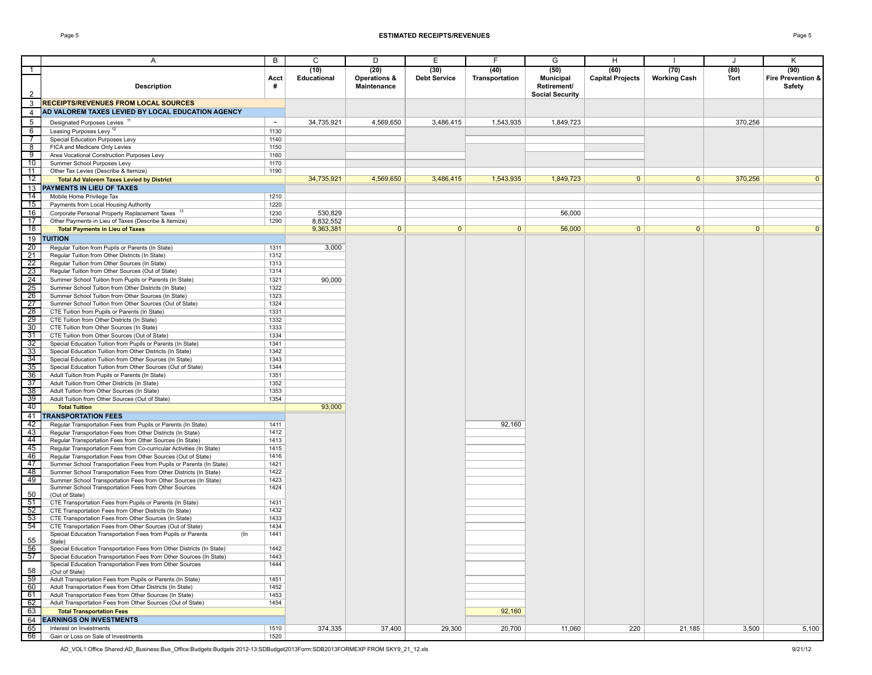|                                   | Α                                                                                                                                            | B            | С                          | D                                              | Е                           | F.                     | G                                       | H                               |                             | J            | Κ                                   |
|-----------------------------------|----------------------------------------------------------------------------------------------------------------------------------------------|--------------|----------------------------|------------------------------------------------|-----------------------------|------------------------|-----------------------------------------|---------------------------------|-----------------------------|--------------|-------------------------------------|
| $\overline{1}$                    | Description                                                                                                                                  | Acct<br>#    | (10)<br><b>Educational</b> | (20)<br><b>Operations &amp;</b><br>Maintenance | (30)<br><b>Debt Service</b> | (40)<br>Transportation | (50)<br><b>Municipal</b><br>Retirement/ | (60)<br><b>Capital Projects</b> | (70)<br><b>Working Cash</b> | (80)<br>Tort | (90)<br>Fire Prevention &<br>Safety |
| $\overline{2}$                    |                                                                                                                                              |              |                            |                                                |                             |                        | <b>Social Security</b>                  |                                 |                             |              |                                     |
| 3                                 | <b>RECEIPTS/REVENUES FROM LOCAL SOURCES</b>                                                                                                  |              |                            |                                                |                             |                        |                                         |                                 |                             |              |                                     |
| 4                                 | AD VALOREM TAXES LEVIED BY LOCAL EDUCATION AGENCY                                                                                            |              |                            |                                                |                             |                        |                                         |                                 |                             |              |                                     |
| 5                                 | Designated Purposes Levies <sup>11</sup>                                                                                                     | $\sim$       | 34,735,921                 | 4,569,650                                      | 3,486,415                   | 1,543,935              | 1,849,723                               |                                 |                             | 370,256      |                                     |
| $6\overline{6}$<br>$\overline{7}$ | Leasing Purposes Levy <sup>12</sup><br>Special Education Purposes Levy                                                                       | 1130         |                            |                                                |                             |                        |                                         |                                 |                             |              |                                     |
| $^{\circ}$                        | FICA and Medicare Only Levies                                                                                                                | 1140<br>1150 |                            |                                                |                             |                        |                                         |                                 |                             |              |                                     |
| 9                                 | Area Vocational Construction Purposes Levy                                                                                                   | 1160         |                            |                                                |                             |                        |                                         |                                 |                             |              |                                     |
| 10                                | Summer School Purposes Levy                                                                                                                  | 1170         |                            |                                                |                             |                        |                                         |                                 |                             |              |                                     |
| $\overline{11}$                   | Other Tax Levies (Describe & Itemize)                                                                                                        | 1190         |                            |                                                |                             |                        |                                         |                                 |                             |              |                                     |
| 12                                | <b>Total Ad Valorem Taxes Levied by District</b><br>13 PAYMENTS IN LIEU OF TAXES                                                             |              | 34,735,921                 | 4,569,650                                      | 3,486,415                   | 1,543,935              | 1.849.723                               | $\mathbf{0}$                    | 0 <sup>1</sup>              | 370,256      | $\mathbf{0}$                        |
| 14                                | Mobile Home Privilege Tax                                                                                                                    | 1210         |                            |                                                |                             |                        |                                         |                                 |                             |              |                                     |
| 15                                | Payments from Local Housing Authority                                                                                                        | 1220         |                            |                                                |                             |                        |                                         |                                 |                             |              |                                     |
| 16                                | Corporate Personal Property Replacement Taxes 13                                                                                             | 1230         | 530,829                    |                                                |                             |                        | 56,000                                  |                                 |                             |              |                                     |
| 17                                | Other Payments in Lieu of Taxes (Describe & Itemize)                                                                                         | 1290         | 8,832,552                  |                                                |                             |                        |                                         |                                 |                             |              |                                     |
| 18                                | <b>Total Payments in Lieu of Taxes</b>                                                                                                       |              | 9,363,381                  | $\mathbf{0}$                                   | $\mathbf{0}$                | $\mathbf{0}$           | 56,000                                  | $\mathbf{0}$                    | $\overline{0}$              | $\mathbf{0}$ | $\Omega$                            |
| 19                                | <b>TUITION</b>                                                                                                                               |              |                            |                                                |                             |                        |                                         |                                 |                             |              |                                     |
| 20 <sup>2</sup><br>21             | Regular Tuition from Pupils or Parents (In State)<br>Regular Tuition from Other Districts (In State)                                         | 1311<br>1312 | 3,000                      |                                                |                             |                        |                                         |                                 |                             |              |                                     |
| 22                                | Regular Tuition from Other Sources (In State)                                                                                                | 1313         |                            |                                                |                             |                        |                                         |                                 |                             |              |                                     |
| 23                                | Regular Tuition from Other Sources (Out of State)                                                                                            | 1314         |                            |                                                |                             |                        |                                         |                                 |                             |              |                                     |
| $\overline{24}$                   | Summer School Tuition from Pupils or Parents (In State)                                                                                      | 1321         | 90,000                     |                                                |                             |                        |                                         |                                 |                             |              |                                     |
| 25                                | Summer School Tuition from Other Districts (In State)<br>Summer School Tuition from Other Sources (In State)                                 | 1322<br>1323 |                            |                                                |                             |                        |                                         |                                 |                             |              |                                     |
| $\frac{26}{27}$                   | Summer School Tuition from Other Sources (Out of State)                                                                                      | 1324         |                            |                                                |                             |                        |                                         |                                 |                             |              |                                     |
| 28                                | CTE Tuition from Pupils or Parents (In State)                                                                                                | 1331         |                            |                                                |                             |                        |                                         |                                 |                             |              |                                     |
| 29                                | CTE Tuition from Other Districts (In State)                                                                                                  | 1332         |                            |                                                |                             |                        |                                         |                                 |                             |              |                                     |
| 30                                | CTE Tuition from Other Sources (In State)                                                                                                    | 1333<br>1334 |                            |                                                |                             |                        |                                         |                                 |                             |              |                                     |
| 31<br>32                          | CTE Tuition from Other Sources (Out of State)<br>Special Education Tuition from Pupils or Parents (In State)                                 | 1341         |                            |                                                |                             |                        |                                         |                                 |                             |              |                                     |
| 33                                | Special Education Tuition from Other Districts (In State)                                                                                    | 1342         |                            |                                                |                             |                        |                                         |                                 |                             |              |                                     |
| 34                                | Special Education Tuition from Other Sources (In State)                                                                                      | 1343         |                            |                                                |                             |                        |                                         |                                 |                             |              |                                     |
| 35                                | Special Education Tuition from Other Sources (Out of State)                                                                                  | 1344         |                            |                                                |                             |                        |                                         |                                 |                             |              |                                     |
| 36<br>37                          | Adult Tuition from Pupils or Parents (In State)<br>Adult Tuition from Other Districts (In State)                                             | 1351<br>1352 |                            |                                                |                             |                        |                                         |                                 |                             |              |                                     |
| 38                                | Adult Tuition from Other Sources (In State)                                                                                                  | 1353         |                            |                                                |                             |                        |                                         |                                 |                             |              |                                     |
| 39                                | Adult Tuition from Other Sources (Out of State)                                                                                              | 1354         |                            |                                                |                             |                        |                                         |                                 |                             |              |                                     |
| 40                                | <b>Total Tuition</b>                                                                                                                         |              | 93,000                     |                                                |                             |                        |                                         |                                 |                             |              |                                     |
| 41                                | <b>TRANSPORTATION FEES</b>                                                                                                                   |              |                            |                                                |                             |                        |                                         |                                 |                             |              |                                     |
| 42<br>43                          | Regular Transportation Fees from Pupils or Parents (In State)                                                                                | 1411<br>1412 |                            |                                                |                             | 92,160                 |                                         |                                 |                             |              |                                     |
| 44                                | Regular Transportation Fees from Other Districts (In State)<br>Regular Transportation Fees from Other Sources (In State)                     | 1413         |                            |                                                |                             |                        |                                         |                                 |                             |              |                                     |
| 45                                | Regular Transportation Fees from Co-curricular Activities (In State)                                                                         | 1415         |                            |                                                |                             |                        |                                         |                                 |                             |              |                                     |
| 46                                | Regular Transportation Fees from Other Sources (Out of State)                                                                                | 1416         |                            |                                                |                             |                        |                                         |                                 |                             |              |                                     |
| 47<br>48                          | Summer School Transportation Fees from Pupils or Parents (In State)                                                                          | 1421<br>1422 |                            |                                                |                             |                        |                                         |                                 |                             |              |                                     |
| 49                                | Summer School Transportation Fees from Other Districts (In State)<br>Summer School Transportation Fees from Other Sources (In State)         | 1423         |                            |                                                |                             |                        |                                         |                                 |                             |              |                                     |
|                                   | Summer School Transportation Fees from Other Sources                                                                                         | 1424         |                            |                                                |                             |                        |                                         |                                 |                             |              |                                     |
| 50                                | (Out of State)                                                                                                                               |              |                            |                                                |                             |                        |                                         |                                 |                             |              |                                     |
| 51<br>52                          | CTE Transportation Fees from Pupils or Parents (In State)<br>CTE Transportation Fees from Other Districts (In State)                         | 1431<br>1432 |                            |                                                |                             |                        |                                         |                                 |                             |              |                                     |
| $\frac{1}{53}$                    | CTE Transportation Fees from Other Sources (In State)                                                                                        | 1433         |                            |                                                |                             |                        |                                         |                                 |                             |              |                                     |
| 54                                | CTE Transportation Fees from Other Sources (Out of State)                                                                                    | 1434         |                            |                                                |                             |                        |                                         |                                 |                             |              |                                     |
| 55                                | Special Education Transportation Fees from Pupils or Parents<br>$($ In<br>State)                                                             | 1441         |                            |                                                |                             |                        |                                         |                                 |                             |              |                                     |
| 56<br>57                          | Special Education Transportation Fees from Other Districts (In State)<br>Special Education Transportation Fees from Other Sources (In State) | 1442<br>1443 |                            |                                                |                             |                        |                                         |                                 |                             |              |                                     |
| 58                                | Special Education Transportation Fees from Other Sources<br>(Out of State)                                                                   | 1444         |                            |                                                |                             |                        |                                         |                                 |                             |              |                                     |
| 59                                | Adult Transportation Fees from Pupils or Parents (In State)                                                                                  | 1451         |                            |                                                |                             |                        |                                         |                                 |                             |              |                                     |
| 60                                | Adult Transportation Fees from Other Districts (In State)                                                                                    | 1452         |                            |                                                |                             |                        |                                         |                                 |                             |              |                                     |
| 61                                | Adult Transportation Fees from Other Sources (In State)                                                                                      | 1453         |                            |                                                |                             |                        |                                         |                                 |                             |              |                                     |
| 62<br>63                          | Adult Transportation Fees from Other Sources (Out of State)<br><b>Total Transportation Fees</b>                                              | 1454         |                            |                                                |                             | 92,160                 |                                         |                                 |                             |              |                                     |
|                                   | 64 EARNINGS ON INVESTMENTS                                                                                                                   |              |                            |                                                |                             |                        |                                         |                                 |                             |              |                                     |
| 65                                | Interest on Investments                                                                                                                      | 1510         | 374,335                    | 37,400                                         | 29,300                      | 20,700                 | 11,060                                  | 220                             | 21,185                      | 3,500        | 5,100                               |
| 66                                | Gain or Loss on Sale of Investments                                                                                                          | 1520         |                            |                                                |                             |                        |                                         |                                 |                             |              |                                     |

AD\_VOL1:Office Shared:AD\_Business:Bus\_Office:Budgets:Budgets 2012-13:SDBudget2013Form:SDB2013FORMEXP FROM SKY9\_21\_12.xls 9/21/12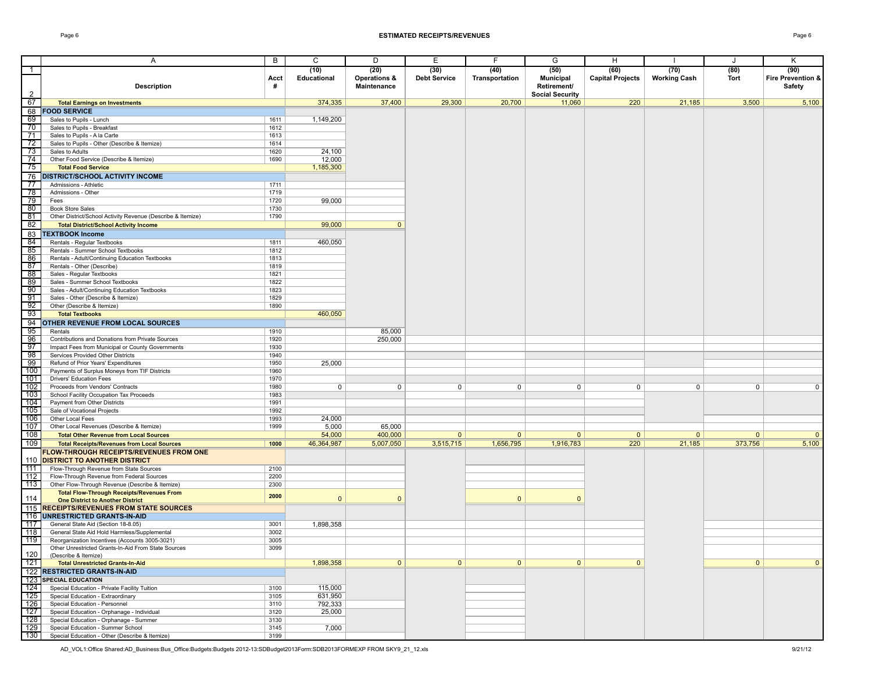#### Page 6 **ESTIMATED RECEIPTS/REVENUES** Page 6

|                | Α                                                                           | B            | C            | D              | Ε                   | F              | G                      | н                       |                     | J            | Κ                 |
|----------------|-----------------------------------------------------------------------------|--------------|--------------|----------------|---------------------|----------------|------------------------|-------------------------|---------------------|--------------|-------------------|
|                |                                                                             |              |              |                |                     |                |                        |                         |                     |              |                   |
| $\overline{1}$ |                                                                             |              | (10)         | (20)           | (30)                | (40)           | (50)                   | (60)                    | (70)                | (80)         | (90)              |
|                |                                                                             | Acct         | Educational  | Operations &   | <b>Debt Service</b> | Transportation | <b>Municipal</b>       | <b>Capital Projects</b> | <b>Working Cash</b> | Tort         | Fire Prevention & |
|                | <b>Description</b>                                                          | #            |              | Maintenance    |                     |                | Retirement/            |                         |                     |              | Safety            |
| $\overline{2}$ |                                                                             |              |              |                |                     |                | <b>Social Security</b> |                         |                     |              |                   |
| 67             | <b>Total Earnings on Investments</b>                                        |              | 374,335      | 37,400         | 29,300              | 20,700         | 11,060                 | 220                     | 21,185              | 3,500        | 5,100             |
| 68             | <b>FOOD SERVICE</b>                                                         |              |              |                |                     |                |                        |                         |                     |              |                   |
| 69             | Sales to Pupils - Lunch                                                     | 1611         | 1,149,200    |                |                     |                |                        |                         |                     |              |                   |
| 70             | Sales to Pupils - Breakfast                                                 | 1612         |              |                |                     |                |                        |                         |                     |              |                   |
| 71             | Sales to Pupils - A la Carte                                                | 1613         |              |                |                     |                |                        |                         |                     |              |                   |
| -72            | Sales to Pupils - Other (Describe & Itemize)                                | 1614         |              |                |                     |                |                        |                         |                     |              |                   |
| 73             | Sales to Adults                                                             | 1620         | 24,100       |                |                     |                |                        |                         |                     |              |                   |
| 74             | Other Food Service (Describe & Itemize)                                     | 1690         | 12,000       |                |                     |                |                        |                         |                     |              |                   |
| 75             | <b>Total Food Service</b>                                                   |              | 1,185,300    |                |                     |                |                        |                         |                     |              |                   |
| 76             | <b>DISTRICT/SCHOOL ACTIVITY INCOME</b>                                      |              |              |                |                     |                |                        |                         |                     |              |                   |
| 77             | Admissions - Athletic                                                       | 1711         |              |                |                     |                |                        |                         |                     |              |                   |
| -78            | Admissions - Other                                                          | 1719         |              |                |                     |                |                        |                         |                     |              |                   |
| 79             |                                                                             |              | 99,000       |                |                     |                |                        |                         |                     |              |                   |
| 80             | Fees<br><b>Book Store Sales</b>                                             | 1720         |              |                |                     |                |                        |                         |                     |              |                   |
| 81             |                                                                             | 1730         |              |                |                     |                |                        |                         |                     |              |                   |
|                | Other District/School Activity Revenue (Describe & Itemize)                 | 1790         |              |                |                     |                |                        |                         |                     |              |                   |
| 82             | <b>Total District/School Activity Income</b>                                |              | 99,000       | $\mathbf{0}$   |                     |                |                        |                         |                     |              |                   |
| 83             | <b>TEXTBOOK Income</b>                                                      |              |              |                |                     |                |                        |                         |                     |              |                   |
| 84             | Rentals - Regular Textbooks                                                 | 1811         | 460,050      |                |                     |                |                        |                         |                     |              |                   |
| 85             | Rentals - Summer School Textbooks                                           | 1812         |              |                |                     |                |                        |                         |                     |              |                   |
| 86             | Rentals - Adult/Continuing Education Textbooks                              | 1813         |              |                |                     |                |                        |                         |                     |              |                   |
| $\frac{5}{87}$ | Rentals - Other (Describe)                                                  | 1819         |              |                |                     |                |                        |                         |                     |              |                   |
| 88             | Sales - Regular Textbooks                                                   | 1821         |              |                |                     |                |                        |                         |                     |              |                   |
| 89             | Sales - Summer School Textbooks                                             | 1822         |              |                |                     |                |                        |                         |                     |              |                   |
| 90             | Sales - Adult/Continuing Education Textbooks                                | 1823         |              |                |                     |                |                        |                         |                     |              |                   |
| 91             | Sales - Other (Describe & Itemize)                                          | 1829         |              |                |                     |                |                        |                         |                     |              |                   |
| 92             | Other (Describe & Itemize)                                                  | 1890         |              |                |                     |                |                        |                         |                     |              |                   |
| 93             | <b>Total Textbooks</b>                                                      |              | 460,050      |                |                     |                |                        |                         |                     |              |                   |
| 94             | OTHER REVENUE FROM LOCAL SOURCES                                            |              |              |                |                     |                |                        |                         |                     |              |                   |
| 95             | Rentals                                                                     | 1910         |              | 85,000         |                     |                |                        |                         |                     |              |                   |
| 96             | Contributions and Donations from Private Sources                            | 1920         |              | 250,000        |                     |                |                        |                         |                     |              |                   |
| 97             | Impact Fees from Municipal or County Governments                            | 1930         |              |                |                     |                |                        |                         |                     |              |                   |
| 98             | Services Provided Other Districts                                           | 1940         |              |                |                     |                |                        |                         |                     |              |                   |
| -99            | Refund of Prior Years' Expenditures                                         | 1950         | 25,000       |                |                     |                |                        |                         |                     |              |                   |
| 100            | Payments of Surplus Moneys from TIF Districts                               | 1960         |              |                |                     |                |                        |                         |                     |              |                   |
| 101            | <b>Drivers' Education Fees</b>                                              | 1970         |              |                |                     |                |                        |                         |                     |              |                   |
| 102            | Proceeds from Vendors' Contracts                                            | 1980         | $\mathbf{0}$ | $\mathbf 0$    | 0                   | $\mathbf 0$    | $\mathbf 0$            | 0                       | $\mathbf 0$         | $\mathbf{0}$ | 0                 |
| 103            | School Facility Occupation Tax Proceeds                                     | 1983         |              |                |                     |                |                        |                         |                     |              |                   |
| 104            | Payment from Other Districts                                                | 1991         |              |                |                     |                |                        |                         |                     |              |                   |
| 105            | Sale of Vocational Projects                                                 | 1992         |              |                |                     |                |                        |                         |                     |              |                   |
| 106            | Other Local Fees                                                            | 1993         | 24,000       |                |                     |                |                        |                         |                     |              |                   |
| 107            | Other Local Revenues (Describe & Itemize)                                   | 1999         | 5,000        | 65,000         |                     |                |                        |                         |                     |              |                   |
| 108            | <b>Total Other Revenue from Local Sources</b>                               |              | 54,000       | 400,000        | $\mathbf{0}$        | $\mathbf{0}$   | $\mathbf{0}$           | $\mathbf{0}$            | $\mathbf{0}$        | $\mathbf{0}$ | $\mathbf{0}$      |
| 109            | <b>Total Receipts/Revenues from Local Sources</b>                           | 1000         | 46,364,987   | 5,007,050      | 3,515,715           | 1,656,795      | 1,916,783              | 220                     | 21,185              | 373,756      | 5,100             |
|                | FLOW THROUGH RECEIPTS/REVENUES FROM ONE                                     |              |              |                |                     |                |                        |                         |                     |              |                   |
|                |                                                                             |              |              |                |                     |                |                        |                         |                     |              |                   |
|                | 110 DISTRICT TO ANOTHER DISTRICT                                            | 2100         |              |                |                     |                |                        |                         |                     |              |                   |
| 111            | Flow-Through Revenue from State Sources                                     | 2200         |              |                |                     |                |                        |                         |                     |              |                   |
| 112            | Flow-Through Revenue from Federal Sources                                   | 2300         |              |                |                     |                |                        |                         |                     |              |                   |
| 113            | Other Flow-Through Revenue (Describe & Itemize)                             |              |              |                |                     |                |                        |                         |                     |              |                   |
| 114            | <b>Total Flow-Through Receipts/Revenues From</b>                            | 2000         | $\Omega$     | $\Omega$       |                     | $\mathbf{0}$   | $\Omega$               |                         |                     |              |                   |
|                | <b>One District to Another District</b>                                     |              |              |                |                     |                |                        |                         |                     |              |                   |
|                | 115 RECEIPTS/REVENUES FROM STATE SOURCES                                    |              |              |                |                     |                |                        |                         |                     |              |                   |
|                | 116 UNRESTRICTED GRANTS-IN-AID                                              |              |              |                |                     |                |                        |                         |                     |              |                   |
| 117            | General State Aid (Section 18-8.05)                                         | 3001<br>3002 | 1,898,358    |                |                     |                |                        |                         |                     |              |                   |
| 118            | General State Aid Hold Harmless/Supplemental                                |              |              |                |                     |                |                        |                         |                     |              |                   |
| 119            | Reorganization Incentives (Accounts 3005-3021)                              | 3005         |              |                |                     |                |                        |                         |                     |              |                   |
| 120            | Other Unrestricted Grants-In-Aid From State Sources<br>(Describe & Itemize) | 3099         |              |                |                     |                |                        |                         |                     |              |                   |
| 121            | <b>Total Unrestricted Grants-In-Aid</b>                                     |              | 1,898,358    | $\overline{0}$ | $\mathbf{0}$        | 0              | $\overline{0}$         | $\mathbf{0}$            |                     | 0            | $\overline{0}$    |
|                |                                                                             |              |              |                |                     |                |                        |                         |                     |              |                   |
|                | 122 RESTRICTED GRANTS-IN-AID                                                |              |              |                |                     |                |                        |                         |                     |              |                   |
|                | 123 SPECIAL EDUCATION                                                       |              |              |                |                     |                |                        |                         |                     |              |                   |
| $124$          | Special Education - Private Facility Tuition                                | 3100         | 115,000      |                |                     |                |                        |                         |                     |              |                   |
| 725            | Special Education - Extraordinary                                           | 3105         | 631,950      |                |                     |                |                        |                         |                     |              |                   |
| 126            | Special Education - Personnel                                               | 3110         | 792,333      |                |                     |                |                        |                         |                     |              |                   |
| 127            | Special Education - Orphanage - Individual                                  | 3120         | 25,000       |                |                     |                |                        |                         |                     |              |                   |
| 128            | Special Education - Orphanage - Summer                                      | 3130         |              |                |                     |                |                        |                         |                     |              |                   |
| 129            | Special Education - Summer School                                           | 3145         | 7,000        |                |                     |                |                        |                         |                     |              |                   |
| 130            | Special Education - Other (Describe & Itemize)                              | 3199         |              |                |                     |                |                        |                         |                     |              |                   |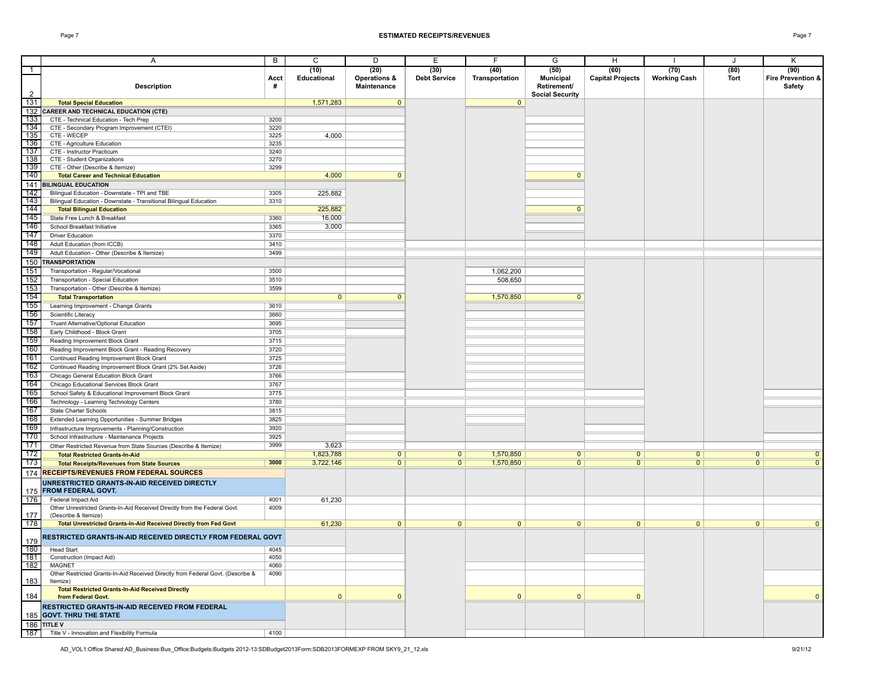|                  | A                                                                                                | B            | C                   | D                    | Е                           | F                      | G                                     | н                               |                             | J              | Κ                         |
|------------------|--------------------------------------------------------------------------------------------------|--------------|---------------------|----------------------|-----------------------------|------------------------|---------------------------------------|---------------------------------|-----------------------------|----------------|---------------------------|
| $\overline{1}$   |                                                                                                  | Acct         | (10)<br>Educational | (20)<br>Operations & | (30)<br><b>Debt Service</b> | (40)<br>Transportation | (50)<br><b>Municipal</b>              | (60)<br><b>Capital Projects</b> | (70)<br><b>Working Cash</b> | (80)<br>Tort   | (90)<br>Fire Prevention & |
| $\overline{2}$   | <b>Description</b>                                                                               | #            |                     | Maintenance          |                             |                        | Retirement/<br><b>Social Security</b> |                                 |                             |                | Safety                    |
| 131              | <b>Total Special Education</b>                                                                   |              | 1,571,283           | $\mathbf{0}$         |                             | $\mathbf{0}$           |                                       |                                 |                             |                |                           |
| 132              | <b>CAREER AND TECHNICAL EDUCATION (CTE)</b>                                                      |              |                     |                      |                             |                        |                                       |                                 |                             |                |                           |
| 133              | CTE - Technical Education - Tech Prep                                                            | 3200         |                     |                      |                             |                        |                                       |                                 |                             |                |                           |
| 134              | CTE - Secondary Program Improvement (CTEI)                                                       | 3220         |                     |                      |                             |                        |                                       |                                 |                             |                |                           |
| 135              | CTE - WECEP                                                                                      | 3225         | 4,000               |                      |                             |                        |                                       |                                 |                             |                |                           |
| 136<br>137       | CTE - Agriculture Education<br>CTE - Instructor Practicum                                        | 3235<br>3240 |                     |                      |                             |                        |                                       |                                 |                             |                |                           |
| 138              | CTE - Student Organizations                                                                      | 3270         |                     |                      |                             |                        |                                       |                                 |                             |                |                           |
| 139              | CTE - Other (Describe & Itemize)                                                                 | 3299         |                     |                      |                             |                        |                                       |                                 |                             |                |                           |
| 140              | <b>Total Career and Technical Education</b>                                                      |              | 4,000               | $\Omega$             |                             |                        | $\Omega$                              |                                 |                             |                |                           |
|                  | 141 BILINGUAL EDUCATION                                                                          |              |                     |                      |                             |                        |                                       |                                 |                             |                |                           |
| 142              | Bilingual Education - Downstate - TPI and TBE                                                    | 3305         | 225,882             |                      |                             |                        |                                       |                                 |                             |                |                           |
| $\overline{143}$ | Bilingual Education - Downstate - Transitional Bilingual Education                               | 3310         |                     |                      |                             |                        |                                       |                                 |                             |                |                           |
| 144<br>145       | <b>Total Bilingual Education</b>                                                                 |              | 225,882             |                      |                             |                        | $\Omega$                              |                                 |                             |                |                           |
| 146              | State Free Lunch & Breakfast                                                                     | 3360         | 16,000              |                      |                             |                        |                                       |                                 |                             |                |                           |
| 147              | School Breakfast Initiative<br><b>Driver Education</b>                                           | 3365<br>3370 | 3,000               |                      |                             |                        |                                       |                                 |                             |                |                           |
| 148              | Adult Education (from ICCB)                                                                      | 3410         |                     |                      |                             |                        |                                       |                                 |                             |                |                           |
| 149              | Adult Education - Other (Describe & Itemize)                                                     | 3499         |                     |                      |                             |                        |                                       |                                 |                             |                |                           |
| 150              | <b>TRANSPORTATION</b>                                                                            |              |                     |                      |                             |                        |                                       |                                 |                             |                |                           |
| 151              | Transportation - Regular/Vocational                                                              | 3500         |                     |                      |                             | 1,062,200              |                                       |                                 |                             |                |                           |
| 152              | Transportation - Special Education                                                               | 3510         |                     |                      |                             | 508,650                |                                       |                                 |                             |                |                           |
| 153              | Transportation - Other (Describe & Itemize)                                                      | 3599         |                     |                      |                             |                        |                                       |                                 |                             |                |                           |
| 154              | <b>Total Transportation</b>                                                                      |              | $\overline{0}$      | $\mathbf{0}$         |                             | 1,570,850              | $\mathbf{0}$                          |                                 |                             |                |                           |
| 155              | Learning Improvement - Change Grants                                                             | 3610         |                     |                      |                             |                        |                                       |                                 |                             |                |                           |
| 156              | Scientific Literacy                                                                              | 3660         |                     |                      |                             |                        |                                       |                                 |                             |                |                           |
| 157              | Truant Alternative/Optional Education                                                            | 3695         |                     |                      |                             |                        |                                       |                                 |                             |                |                           |
| 158              | Early Childhood - Block Grant                                                                    | 3705         |                     |                      |                             |                        |                                       |                                 |                             |                |                           |
| 159              | Reading Improvement Block Grant                                                                  | 3715         |                     |                      |                             |                        |                                       |                                 |                             |                |                           |
| 160              | Reading Improvement Block Grant - Reading Recovery                                               | 3720         |                     |                      |                             |                        |                                       |                                 |                             |                |                           |
| 161              | Continued Reading Improvement Block Grant                                                        | 3725         |                     |                      |                             |                        |                                       |                                 |                             |                |                           |
| 162              | Continued Reading Improvement Block Grant (2% Set Aside)                                         | 3726         |                     |                      |                             |                        |                                       |                                 |                             |                |                           |
| 163<br>164       | Chicago General Education Block Grant                                                            | 3766<br>3767 |                     |                      |                             |                        |                                       |                                 |                             |                |                           |
| 165              | Chicago Educational Services Block Grant<br>School Safety & Educational Improvement Block Grant  | 3775         |                     |                      |                             |                        |                                       |                                 |                             |                |                           |
| 166              | Technology - Learning Technology Centers                                                         | 3780         |                     |                      |                             |                        |                                       |                                 |                             |                |                           |
| 167              | State Charter Schools                                                                            | 3815         |                     |                      |                             |                        |                                       |                                 |                             |                |                           |
| 168              | Extended Learning Opportunities - Summer Bridges                                                 | 3825         |                     |                      |                             |                        |                                       |                                 |                             |                |                           |
| 169              | Infrastructure Improvements - Planning/Construction                                              | 3920         |                     |                      |                             |                        |                                       |                                 |                             |                |                           |
| 170              | School Infrastructure - Maintenance Projects                                                     | 3925         |                     |                      |                             |                        |                                       |                                 |                             |                |                           |
| 171              | Other Restricted Revenue from State Sources (Describe & Itemize)                                 | 3999         | 3,623               |                      |                             |                        |                                       |                                 |                             |                |                           |
| 172              | <b>Total Restricted Grants-In-Aid</b>                                                            |              | 1,823,788           | $\mathbf{0}$         | 0                           | 1,570,850              | $\mathbf{0}$                          | $\mathbf{0}$                    | 0 <sup>1</sup>              | 0 <sup>1</sup> | $\mathbf{0}$              |
| 173              | <b>Total Receipts/Revenues from State Sources</b>                                                | 3000         | 3,722,146           | $\overline{0}$       | $\mathbf{0}$                | 1,570,850              | $\overline{0}$                        | $\overline{0}$                  | $\overline{0}$              | $\mathbf{0}$   | $\overline{0}$            |
|                  | 174 RECEIPTS/REVENUES FROM FEDERAL SOURCES                                                       |              |                     |                      |                             |                        |                                       |                                 |                             |                |                           |
|                  | UNRESTRICTED GRANTS-IN-AID RECEIVED DIRECTLY<br>175 FROM FEDERAL GOVT.                           |              |                     |                      |                             |                        |                                       |                                 |                             |                |                           |
| 176              | Federal Impact Aid                                                                               | 4001         | 61,230              |                      |                             |                        |                                       |                                 |                             |                |                           |
|                  | Other Unrestricted Grants-In-Aid Received Directly from the Federal Govt.                        | 4009         |                     |                      |                             |                        |                                       |                                 |                             |                |                           |
| 177              | (Describe & Itemize)                                                                             |              |                     |                      |                             |                        |                                       |                                 |                             |                |                           |
| 178              | <b>Total Unrestricted Grants-In-Aid Received Directly from Fed Govt</b>                          |              | 61,230              | $\overline{0}$       | $\mathbf{0}$                | $\mathbf{0}$           | $\mathbf{0}$                          | $\mathbf{0}$                    | 0                           | $\mathbf{0}$   | $\mathbf{0}$              |
| 179              | RESTRICTED GRANTS-IN-AID RECEIVED DIRECTLY FROM FEDERAL GOVT                                     |              |                     |                      |                             |                        |                                       |                                 |                             |                |                           |
| 180              | <b>Head Start</b>                                                                                | 4045         |                     |                      |                             |                        |                                       |                                 |                             |                |                           |
| 181              | Construction (Impact Aid)                                                                        | 4050         |                     |                      |                             |                        |                                       |                                 |                             |                |                           |
| 182              | <b>MAGNET</b><br>Other Restricted Grants-In-Aid Received Directly from Federal Govt. (Describe & | 4060<br>4090 |                     |                      |                             |                        |                                       |                                 |                             |                |                           |
| 183              | Itemize)<br><b>Total Restricted Grants-In-Aid Received Directly</b>                              |              |                     |                      |                             |                        |                                       |                                 |                             |                |                           |
| 184              | from Federal Govt.                                                                               |              | $\mathbf{0}$        | $\mathbf{0}$         |                             | $\mathbf{0}$           | $\mathbf{0}$                          | $\mathbf{0}$                    |                             |                | $\mathbf{0}$              |
|                  | RESTRICTED GRANTS-IN-AID RECEIVED FROM FEDERAL<br>185 GOVT. THRU THE STATE                       |              |                     |                      |                             |                        |                                       |                                 |                             |                |                           |
|                  | 186 TITLE V                                                                                      |              |                     |                      |                             |                        |                                       |                                 |                             |                |                           |
| 187              | Title V - Innovation and Flexibility Formula                                                     | 4100         |                     |                      |                             |                        |                                       |                                 |                             |                |                           |
|                  |                                                                                                  |              |                     |                      |                             |                        |                                       |                                 |                             |                |                           |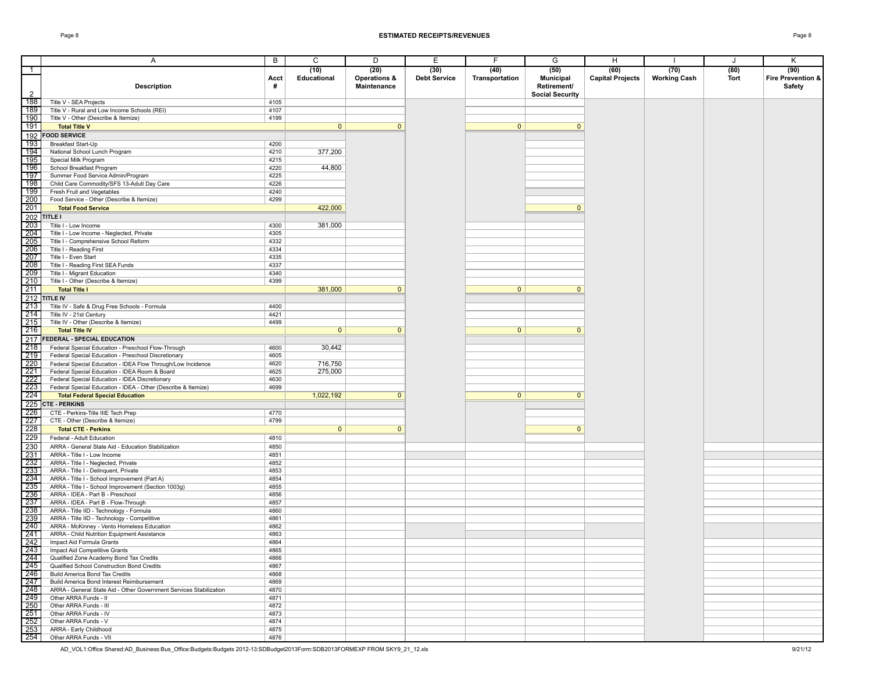|                   | Α                                                                                      | B            | C              | D            | $\overline{E}$      | F              | G                      | H                       |                     | J    | Κ                 |
|-------------------|----------------------------------------------------------------------------------------|--------------|----------------|--------------|---------------------|----------------|------------------------|-------------------------|---------------------|------|-------------------|
| $\overline{1}$    |                                                                                        |              | (10)           | (20)         | (30)                | (40)           | (50)                   | (60)                    | (70)                | (80) | (90)              |
|                   |                                                                                        | Acct         | Educational    | Operations & | <b>Debt Service</b> | Transportation | <b>Municipal</b>       | <b>Capital Projects</b> | <b>Working Cash</b> | Tort | Fire Prevention & |
|                   | <b>Description</b>                                                                     | #            |                | Maintenance  |                     |                | Retirement/            |                         |                     |      | Safety            |
| 2                 |                                                                                        |              |                |              |                     |                | <b>Social Security</b> |                         |                     |      |                   |
| 188               | Title V - SEA Projects                                                                 | 4105         |                |              |                     |                |                        |                         |                     |      |                   |
| 189               | Title V - Rural and Low Income Schools (REI)                                           | 4107         |                |              |                     |                |                        |                         |                     |      |                   |
| 190               | Title V - Other (Describe & Itemize)                                                   | 4199         |                |              |                     |                |                        |                         |                     |      |                   |
| 191               | <b>Total Title V</b>                                                                   |              | $\mathbf{0}$   | $\mathbf{0}$ |                     | $\mathbf{0}$   | $\mathbf{0}$           |                         |                     |      |                   |
| 192               | <b>FOOD SERVICE</b>                                                                    |              |                |              |                     |                |                        |                         |                     |      |                   |
| 193               | Breakfast Start-Up                                                                     | 4200         |                |              |                     |                |                        |                         |                     |      |                   |
| 194               | National School Lunch Program                                                          | 4210         | 377,200        |              |                     |                |                        |                         |                     |      |                   |
| 195               | Special Milk Program                                                                   | 4215         |                |              |                     |                |                        |                         |                     |      |                   |
| 196               | School Breakfast Program                                                               | 4220         | 44,800         |              |                     |                |                        |                         |                     |      |                   |
| 197               | Summer Food Service Admin/Program                                                      | 4225         |                |              |                     |                |                        |                         |                     |      |                   |
| 198               | Child Care Commodity/SFS 13-Adult Day Care                                             | 4226         |                |              |                     |                |                        |                         |                     |      |                   |
| 199               | Fresh Fruit and Vegetables                                                             | 4240         |                |              |                     |                |                        |                         |                     |      |                   |
| 200               | Food Service - Other (Describe & Itemize)                                              | 4299         |                |              |                     |                |                        |                         |                     |      |                   |
| 201               | <b>Total Food Service</b>                                                              |              | 422,000        |              |                     |                | $\mathbf{0}$           |                         |                     |      |                   |
| 202               | TITLE I                                                                                |              |                |              |                     |                |                        |                         |                     |      |                   |
|                   |                                                                                        |              |                |              |                     |                |                        |                         |                     |      |                   |
| 203<br>204        | Title I - Low Income                                                                   | 4300<br>4305 | 381,000        |              |                     |                |                        |                         |                     |      |                   |
| 205               | Title I - Low Income - Neglected, Private<br>Title I - Comprehensive School Reform     | 4332         |                |              |                     |                |                        |                         |                     |      |                   |
| 206               |                                                                                        |              |                |              |                     |                |                        |                         |                     |      |                   |
| 207               | Title I - Reading First                                                                | 4334         |                |              |                     |                |                        |                         |                     |      |                   |
| 208               | Title I - Even Start<br>Title I - Reading First SEA Funds                              | 4335<br>4337 |                |              |                     |                |                        |                         |                     |      |                   |
| 209               | Title I - Migrant Education                                                            | 4340         |                |              |                     |                |                        |                         |                     |      |                   |
| $210$             | Title I - Other (Describe & Itemize)                                                   | 4399         |                |              |                     |                |                        |                         |                     |      |                   |
| 211               | <b>Total Title I</b>                                                                   |              | 381,000        | $\mathbf{0}$ |                     | $\mathbf{0}$   | $\mathbf 0$            |                         |                     |      |                   |
|                   |                                                                                        |              |                |              |                     |                |                        |                         |                     |      |                   |
|                   | $212$ TITLE IV                                                                         |              |                |              |                     |                |                        |                         |                     |      |                   |
| 213               | Title IV - Safe & Drug Free Schools - Formula                                          | 4400         |                |              |                     |                |                        |                         |                     |      |                   |
| 214               | Title IV - 21st Century                                                                | 4421         |                |              |                     |                |                        |                         |                     |      |                   |
| 215               | Title IV - Other (Describe & Itemize)                                                  | 4499         |                |              |                     |                |                        |                         |                     |      |                   |
| 216               | <b>Total Title IV</b>                                                                  |              | $\overline{0}$ | $\mathbf{0}$ |                     | $\mathbf{0}$   | $\mathbf{0}$           |                         |                     |      |                   |
| 217               | <b>FEDERAL - SPECIAL EDUCATION</b>                                                     |              |                |              |                     |                |                        |                         |                     |      |                   |
| 218               | Federal Special Education - Preschool Flow-Through                                     | 4600         | 30,442         |              |                     |                |                        |                         |                     |      |                   |
| 219               | Federal Special Education - Preschool Discretionary                                    | 4605         |                |              |                     |                |                        |                         |                     |      |                   |
| 220               | Federal Special Education - IDEA Flow Through/Low Incidence                            | 4620         | 716,750        |              |                     |                |                        |                         |                     |      |                   |
| $\frac{1}{221}$   | Federal Special Education - IDEA Room & Board                                          | 4625         | 275,000        |              |                     |                |                        |                         |                     |      |                   |
| 222               | Federal Special Education - IDEA Discretionary                                         | 4630         |                |              |                     |                |                        |                         |                     |      |                   |
| 223               | Federal Special Education - IDEA - Other (Describe & Itemize)                          | 4699         |                |              |                     |                |                        |                         |                     |      |                   |
| 224               | <b>Total Federal Special Education</b>                                                 |              | 1,022,192      | $\mathbf{0}$ |                     | $\mathbf{0}$   | $\mathbf 0$            |                         |                     |      |                   |
|                   | 225 CTE - PERKINS                                                                      |              |                |              |                     |                |                        |                         |                     |      |                   |
| 226<br>227        | CTE - Perkins-Title IIIE Tech Prep                                                     | 4770         |                |              |                     |                |                        |                         |                     |      |                   |
|                   | CTE - Other (Describe & Itemize)                                                       | 4799         |                |              |                     |                |                        |                         |                     |      |                   |
| 228               | <b>Total CTE - Perkins</b>                                                             |              | 0              | $\mathbf{0}$ |                     |                | $\mathbf{0}$           |                         |                     |      |                   |
| 229               | Federal - Adult Education                                                              | 4810         |                |              |                     |                |                        |                         |                     |      |                   |
| 230               | ARRA - General State Aid - Education Stabilization                                     | 4850         |                |              |                     |                |                        |                         |                     |      |                   |
| 231               | ARRA - Title I - Low Income                                                            | 4851         |                |              |                     |                |                        |                         |                     |      |                   |
| 232               | ARRA - Title I - Neglected, Private                                                    | 4852         |                |              |                     |                |                        |                         |                     |      |                   |
| $\overline{233}$  | ARRA - Title I - Delinquent, Private                                                   | 4853         |                |              |                     |                |                        |                         |                     |      |                   |
| 234               | ARRA - Title I - School Improvement (Part A)                                           | 4854         |                |              |                     |                |                        |                         |                     |      |                   |
| 235               | ARRA - Title I - School Improvement (Section 1003g)                                    | 4855         |                |              |                     |                |                        |                         |                     |      |                   |
| 236               | ARRA - IDEA - Part B - Preschool                                                       | 4856<br>4857 |                |              |                     |                |                        |                         |                     |      |                   |
| 237<br>238        | ARRA - IDEA - Part B - Flow-Through                                                    | 4860         |                |              |                     |                |                        |                         |                     |      |                   |
| 239               | ARRA - Title IID - Technology - Formula<br>ARRA - Title IID - Technology - Competitive |              |                |              |                     |                |                        |                         |                     |      |                   |
| 240               | ARRA - McKinney - Vento Homeless Education                                             | 4861<br>4862 |                |              |                     |                |                        |                         |                     |      |                   |
| 241               | ARRA - Child Nutrition Equipment Assistance                                            | 4863         |                |              |                     |                |                        |                         |                     |      |                   |
|                   | Impact Aid Formula Grants                                                              | 4864         |                |              |                     |                |                        |                         |                     |      |                   |
| $\frac{242}{243}$ | Impact Aid Competitive Grants                                                          | 4865         |                |              |                     |                |                        |                         |                     |      |                   |
| 243  <br>244      | Qualified Zone Academy Bond Tax Credits                                                | 4866         |                |              |                     |                |                        |                         |                     |      |                   |
| 245               | Qualified School Construction Bond Credits                                             | 4867         |                |              |                     |                |                        |                         |                     |      |                   |
| 246               | Build America Bond Tax Credits                                                         | 4868         |                |              |                     |                |                        |                         |                     |      |                   |
| 247               | Build America Bond Interest Reimbursement                                              | 4869         |                |              |                     |                |                        |                         |                     |      |                   |
| 248               | ARRA - General State Aid - Other Government Services Stabilization                     | 4870         |                |              |                     |                |                        |                         |                     |      |                   |
| 249               | Other ARRA Funds - II                                                                  | 4871         |                |              |                     |                |                        |                         |                     |      |                   |
| 250               | Other ARRA Funds - III                                                                 | 4872         |                |              |                     |                |                        |                         |                     |      |                   |
| 251               | Other ARRA Funds - IV                                                                  | 4873         |                |              |                     |                |                        |                         |                     |      |                   |
| 252               | Other ARRA Funds - V                                                                   | 4874         |                |              |                     |                |                        |                         |                     |      |                   |
| 253               | ARRA - Early Childhood                                                                 | 4875         |                |              |                     |                |                        |                         |                     |      |                   |
| $254$             | Other ARRA Funds - VII                                                                 | 4876         |                |              |                     |                |                        |                         |                     |      |                   |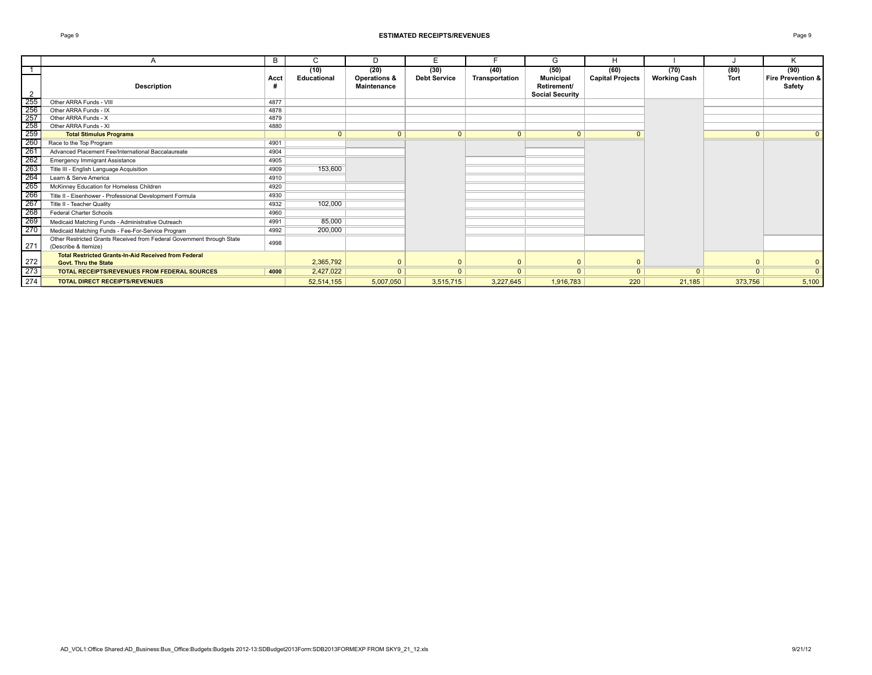|                   | А                                                                                              | B    | C           | D                                             | F                   |                | G                                                         | H                       |                     |             | K                           |
|-------------------|------------------------------------------------------------------------------------------------|------|-------------|-----------------------------------------------|---------------------|----------------|-----------------------------------------------------------|-------------------------|---------------------|-------------|-----------------------------|
|                   |                                                                                                |      | (10)        | (20)                                          | (30)                | (40)           | (50)                                                      | (60)                    | (70)                | (80)        | (90)                        |
|                   | <b>Description</b>                                                                             | Acct | Educational | <b>Operations &amp;</b><br><b>Maintenance</b> | <b>Debt Service</b> | Transportation | <b>Municipal</b><br>Retirement/<br><b>Social Security</b> | <b>Capital Projects</b> | <b>Working Cash</b> | <b>Tort</b> | Fire Prevention &<br>Safety |
|                   | Other ARRA Funds - VIII                                                                        | 4877 |             |                                               |                     |                |                                                           |                         |                     |             |                             |
|                   | Other ARRA Funds - IX                                                                          | 4878 |             |                                               |                     |                |                                                           |                         |                     |             |                             |
|                   | Other ARRA Funds - X                                                                           | 4879 |             |                                               |                     |                |                                                           |                         |                     |             |                             |
|                   | Other ARRA Funds - XI                                                                          | 4880 |             |                                               |                     |                |                                                           |                         |                     |             |                             |
|                   | <b>Total Stimulus Programs</b>                                                                 |      | $\Omega$    | $\Omega$                                      | $\mathbf{0}$        | $\mathbf{0}$   | $\Omega$                                                  | $\Omega$                |                     | $\Omega$    | $\mathbf{0}$                |
|                   | Race to the Top Program                                                                        | 4901 |             |                                               |                     |                |                                                           |                         |                     |             |                             |
|                   | Advanced Placement Fee/International Baccalaureate                                             | 4904 |             |                                               |                     |                |                                                           |                         |                     |             |                             |
|                   | <b>Emergency Immigrant Assistance</b>                                                          | 4905 |             |                                               |                     |                |                                                           |                         |                     |             |                             |
|                   | Title III - English Language Acquisition                                                       | 4909 | 153,600     |                                               |                     |                |                                                           |                         |                     |             |                             |
|                   | Learn & Serve America                                                                          | 4910 |             |                                               |                     |                |                                                           |                         |                     |             |                             |
|                   | McKinney Education for Homeless Children                                                       | 4920 |             |                                               |                     |                |                                                           |                         |                     |             |                             |
|                   | Title II - Eisenhower - Professional Development Formula                                       | 4930 |             |                                               |                     |                |                                                           |                         |                     |             |                             |
|                   | Title II - Teacher Quality                                                                     | 4932 | 102,000     |                                               |                     |                |                                                           |                         |                     |             |                             |
| $\frac{268}{269}$ | <b>Federal Charter Schools</b>                                                                 | 4960 |             |                                               |                     |                |                                                           |                         |                     |             |                             |
|                   | Medicaid Matching Funds - Administrative Outreach                                              | 4991 | 85,000      |                                               |                     |                |                                                           |                         |                     |             |                             |
|                   | Medicaid Matching Funds - Fee-For-Service Program                                              | 4992 | 200,000     |                                               |                     |                |                                                           |                         |                     |             |                             |
| 271               | Other Restricted Grants Received from Federal Government through State<br>(Describe & Itemize) | 4998 |             |                                               |                     |                |                                                           |                         |                     |             |                             |
| $\frac{272}{273}$ | <b>Total Restricted Grants-In-Aid Received from Federal</b><br><b>Govt. Thru the State</b>     |      | 2,365,792   |                                               | $\Omega$            | $\Omega$       |                                                           | $\Omega$                |                     |             | $\mathbf{0}$                |
|                   | <b>TOTAL RECEIPTS/REVENUES FROM FEDERAL SOURCES</b>                                            | 4000 | 2,427,022   | $\Omega$                                      | $\Omega$            | $\mathbf{0}$   | $\Omega$                                                  | $\Omega$                | $\Omega$            | $\Omega$    | $\mathbf{0}$                |
| 274               | <b>TOTAL DIRECT RECEIPTS/REVENUES</b>                                                          |      | 52,514,155  | 5,007,050                                     | 3,515,715           | 3,227,645      | 1,916,783                                                 | 220                     | 21,185              | 373,756     | 5,100                       |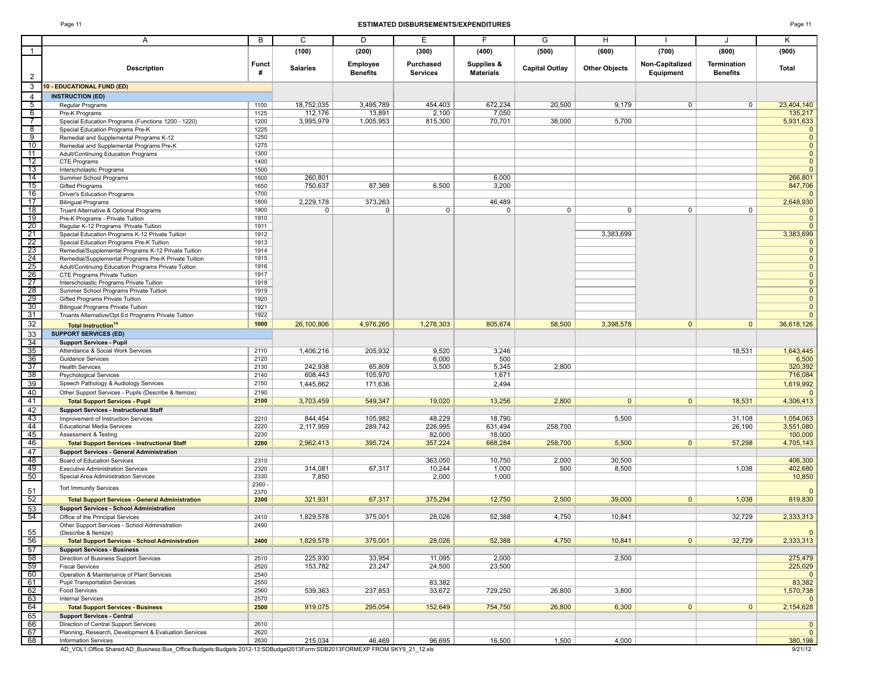#### Page 11 **ESTIMATED DISBURSEMENTS/EXPENDITURES** Page 11

| ar |  |  |
|----|--|--|
|----|--|--|

|                       | Α                                                                                        | B            | C               | D                           | Е                            | F                              | G                     | Н.                   |                              | J                                     | Κ                              |
|-----------------------|------------------------------------------------------------------------------------------|--------------|-----------------|-----------------------------|------------------------------|--------------------------------|-----------------------|----------------------|------------------------------|---------------------------------------|--------------------------------|
| $\overline{1}$        |                                                                                          |              | (100)           | (200)                       | (300)                        | (400)                          | (500)                 | (600)                | (700)                        | (800)                                 | (900)                          |
|                       |                                                                                          |              |                 |                             |                              |                                |                       |                      |                              |                                       |                                |
| $\overline{2}$        | <b>Description</b>                                                                       | Funct<br>#   | <b>Salaries</b> | Employee<br><b>Benefits</b> | Purchased<br><b>Services</b> | Supplies &<br><b>Materials</b> | <b>Capital Outlay</b> | <b>Other Objects</b> | Non-Capitalized<br>Equipment | <b>Termination</b><br><b>Benefits</b> | Total                          |
| 3                     | 10 - EDUCATIONAL FUND (ED)                                                               |              |                 |                             |                              |                                |                       |                      |                              |                                       |                                |
| $\overline{4}$        | <b>INSTRUCTION (ED)</b>                                                                  |              |                 |                             |                              |                                |                       |                      |                              |                                       |                                |
| 5                     | Regular Programs                                                                         | 1100         | 18,752,035      | 3,495,789                   | 454,403                      | 672,234                        | 20,500                | 9,179                | $\mathbf{0}$                 | 0                                     | 23,404,140                     |
| $6\overline{6}$       | Pre-K Programs                                                                           | 1125         | 112,176         | 13,891                      | 2,100                        | 7,050                          |                       |                      |                              |                                       | 135,217                        |
| $\overline{7}$        | Special Education Programs (Functions 1200 - 1220)                                       | 1200         | 3,995,979       | 1,005,953                   | 815,300                      | 70,701                         | 38,000                | 5,700                |                              |                                       | 5,931,633                      |
| $^8$                  | Special Education Programs Pre-K                                                         | 1225         |                 |                             |                              |                                |                       |                      |                              |                                       | $\mathbf{0}$                   |
| 9                     | Remedial and Supplemental Programs K-12                                                  | 1250         |                 |                             |                              |                                |                       |                      |                              |                                       | $\overline{0}$                 |
| 10<br>11              | Remedial and Supplemental Programs Pre-K                                                 | 1275<br>1300 |                 |                             |                              |                                |                       |                      |                              |                                       | $\overline{0}$<br>$\mathbf{0}$ |
| 12                    | Adult/Continuing Education Programs<br>CTE Programs                                      | 1400         |                 |                             |                              |                                |                       |                      |                              |                                       | $\mathbf{0}$                   |
| 13                    | Interscholastic Programs                                                                 | 1500         |                 |                             |                              |                                |                       |                      |                              |                                       | $\mathbf{0}$                   |
| $\overline{14}$       | Summer School Programs                                                                   | 1600         | 260,801         |                             |                              | 6,000                          |                       |                      |                              |                                       | 266,801                        |
| 15                    | Gifted Programs                                                                          | 1650         | 750,637         | 87,369                      | 6,500                        | 3,200                          |                       |                      |                              |                                       | 847,706                        |
| 16                    | <b>Driver's Education Programs</b>                                                       | 1700         |                 |                             |                              |                                |                       |                      |                              |                                       | $\mathbf{0}$                   |
| 17                    | <b>Bilingual Programs</b>                                                                | 1800         | 2,229,178       | 373,263                     |                              | 46,489                         |                       |                      |                              |                                       | 2,648,930                      |
| 18                    | Truant Alternative & Optional Programs                                                   | 1900         | $\mathbf 0$     | 0                           | $\mathbf 0$                  | 0                              | 0                     | 0                    | $\mathbf{0}$                 | 0                                     | $\overline{0}$                 |
| 19<br>$\overline{20}$ | Pre-K Programs - Private Tuition                                                         | 1910         |                 |                             |                              |                                |                       |                      |                              |                                       | $\mathbf{0}$<br>$\Omega$       |
| $\overline{21}$       | Regular K-12 Programs Private Tuition<br>Special Education Programs K-12 Private Tuition | 1911<br>1912 |                 |                             |                              |                                |                       | 3,383,699            |                              |                                       | 3,383,699                      |
| $\overline{22}$       | Special Education Programs Pre-K Tuition                                                 | 1913         |                 |                             |                              |                                |                       |                      |                              |                                       | $\mathbf{0}$                   |
| 23                    | Remedial/Supplemental Programs K-12 Private Tuition                                      | 1914         |                 |                             |                              |                                |                       |                      |                              |                                       | $\overline{0}$                 |
|                       | Remedial/Supplemental Programs Pre-K Private Tuition                                     | 1915         |                 |                             |                              |                                |                       |                      |                              |                                       | $\overline{0}$                 |
| $\frac{24}{25}$       | Adult/Continuing Education Programs Private Tuition                                      | 1916         |                 |                             |                              |                                |                       |                      |                              |                                       | $\overline{0}$                 |
|                       | CTE Programs Private Tuition                                                             | 1917         |                 |                             |                              |                                |                       |                      |                              |                                       | $\mathbf{0}$                   |
| 27                    | Interscholastic Programs Private Tuition                                                 | 1918         |                 |                             |                              |                                |                       |                      |                              |                                       | $\mathbf{0}$                   |
| $\frac{1}{28}$        | Summer School Programs Private Tuition                                                   | 1919         |                 |                             |                              |                                |                       |                      |                              |                                       | $\mathbf{0}$                   |
| $\overline{29}$       | Gifted Programs Private Tuition                                                          | 1920         |                 |                             |                              |                                |                       |                      |                              |                                       | $\mathbf{0}$                   |
| 30                    | <b>Bilingual Programs Private Tuition</b>                                                | 1921         |                 |                             |                              |                                |                       |                      |                              |                                       | $\mathbf{0}$                   |
| 31                    | Truants Alternative/Opt Ed Programs Private Tuition                                      | 1922         |                 |                             |                              |                                |                       |                      |                              |                                       | $\mathbf{0}$                   |
| 32                    | <b>Total Instruction<sup>14</sup></b>                                                    | 1000         | 26,100,806      | 4,976,265                   | 1,278,303                    | 805,674                        | 58,500                | 3,398,578            | $\overline{0}$               | $\mathbf{0}$                          | 36,618,126                     |
| 33                    | <b>SUPPORT SERVICES (ED)</b>                                                             |              |                 |                             |                              |                                |                       |                      |                              |                                       |                                |
| 34                    | <b>Support Services - Pupil</b>                                                          |              |                 |                             |                              |                                |                       |                      |                              |                                       |                                |
| 35                    | Attendance & Social Work Services                                                        | 2110         | 1,406,216       | 205,932                     | 9,520                        | 3,246                          |                       |                      |                              | 18,531                                | 1,643,445                      |
| 36<br>37              | Guidance Services<br><b>Health Services</b>                                              | 2120<br>2130 | 242,938         | 65,809                      | 6,000<br>3,500               | 500<br>5,345                   | 2,800                 |                      |                              |                                       | 6,500<br>320,392               |
| 38                    | Psychological Services                                                                   | 2140         | 608,443         | 105,970                     |                              | 1,671                          |                       |                      |                              |                                       | 716,084                        |
| 39                    | Speech Pathology & Audiology Services                                                    | 2150         | 1,445,862       | 171,636                     |                              | 2,494                          |                       |                      |                              |                                       | 1,619,992                      |
| 40                    | Other Support Services - Pupils (Describe & Itemize)                                     | 2190         |                 |                             |                              |                                |                       |                      |                              |                                       | $\Omega$                       |
| 41                    | <b>Total Support Services - Pupil</b>                                                    | 2100         | 3,703,459       | 549,347                     | 19,020                       | 13,256                         | 2,800                 | 0 <sup>1</sup>       | 0                            | 18,531                                | 4,306,413                      |
| 42                    | <b>Support Services - Instructional Staff</b>                                            |              |                 |                             |                              |                                |                       |                      |                              |                                       |                                |
|                       | Improvement of Instruction Services                                                      | 2210         | 844,454         | 105,982                     | 48,229                       | 18,790                         |                       | 5,500                |                              | 31,108                                | 1,054,063                      |
| $\frac{43}{44}$       | <b>Educational Media Services</b>                                                        | 2220         | 2,117,959       | 289,742                     | 226,995                      | 631,494                        | 258,700               |                      |                              | 26,190                                | 3,551,080                      |
| 45                    | Assessment & Testing                                                                     | 2230         |                 |                             | 82,000                       | 18,000                         |                       |                      |                              |                                       | 100,000                        |
| 46                    | <b>Total Support Services - Instructional Staff</b>                                      | 2200         | 2,962,413       | 395,724                     | 357,224                      | 668,284                        | 258,700               | 5,500                | $\overline{0}$               | 57,298                                | 4,705,143                      |
| 47                    | <b>Support Services - General Administration</b>                                         |              |                 |                             |                              |                                |                       |                      |                              |                                       |                                |
| 48                    | Board of Education Services                                                              | 2310         |                 |                             | 363,050                      | 10,750                         | 2,000                 | 30,500               |                              |                                       | 406,300                        |
| 49                    | <b>Executive Administration Services</b>                                                 | 2320         | 314,081         | 67,317                      | 10,244                       | 1,000                          | 500                   | 8,500                |                              | 1,038                                 | 402,680                        |
| 50                    | Special Area Administration Services                                                     | 2330         | 7,850           |                             | 2,000                        | 1,000                          |                       |                      |                              |                                       | 10,850                         |
| 51                    | <b>Tort Immunity Services</b>                                                            | 2360 -       |                 |                             |                              |                                |                       |                      |                              |                                       |                                |
| 52                    |                                                                                          | 2370         | 321,931         | 67,317                      | 375,294                      | 12,750                         | 2,500                 | 39,000               | $\overline{0}$               | 1,038                                 | $\overline{0}$<br>819,830      |
|                       | <b>Total Support Services - General Administration</b>                                   | 2300         |                 |                             |                              |                                |                       |                      |                              |                                       |                                |
| 53<br>54              | <b>Support Services - School Administration</b><br>Office of the Principal Services      | 2410         | 1,829,578       | 375,001                     | 28,026                       | 52,388                         | 4,750                 | 10,841               |                              | 32,729                                | 2,333,313                      |
|                       | Other Support Services - School Administration                                           | 2490         |                 |                             |                              |                                |                       |                      |                              |                                       |                                |
|                       | (Describe & Itemize)                                                                     |              |                 |                             |                              |                                |                       |                      |                              |                                       | $\mathbf{0}$                   |
| $\frac{55}{56}$       | <b>Total Support Services - School Administration</b>                                    | 2400         | 1,829,578       | 375,001                     | 28,026                       | 52,388                         | 4,750                 | 10,841               | 0                            | 32,729                                | 2,333,313                      |
| 57                    | <b>Support Services - Business</b>                                                       |              |                 |                             |                              |                                |                       |                      |                              |                                       |                                |
| 58                    | Direction of Business Support Services                                                   | 2510         | 225,930         | 33,954                      | 11,095                       | 2,000                          |                       | 2,500                |                              |                                       | 275,479                        |
| 59                    | <b>Fiscal Services</b>                                                                   | 2520         | 153,782         | 23,247                      | 24,500                       | 23,500                         |                       |                      |                              |                                       | 225,029                        |
| 60                    | Operation & Maintenance of Plant Services                                                | 2540         |                 |                             |                              |                                |                       |                      |                              |                                       | $\overline{0}$                 |
| 61                    | <b>Pupil Transportation Services</b>                                                     | 2550         |                 |                             | 83,382                       |                                |                       |                      |                              |                                       | 83,382                         |
| 62                    | <b>Food Services</b>                                                                     | 2560         | 539,363         | 237,853                     | 33,672                       | 729,250                        | 26,800                | 3,800                |                              |                                       | 1,570,738                      |
| 63                    | <b>Internal Services</b>                                                                 | 2570         |                 |                             |                              |                                |                       |                      |                              |                                       | $\overline{0}$                 |
| 64                    | <b>Total Support Services - Business</b>                                                 | 2500         | 919,075         | 295,054                     | 152,649                      | 754,750                        | 26,800                | 6,300                | $\mathbf{0}$                 | $\mathbf{0}$                          | 2,154,628                      |
| 65                    | <b>Support Services - Central</b>                                                        |              |                 |                             |                              |                                |                       |                      |                              |                                       |                                |
| 66                    | Direction of Central Support Services                                                    | 2610         |                 |                             |                              |                                |                       |                      |                              |                                       | 0                              |
| 67<br>68              | Planning, Research, Development & Evaluation Services<br>Information Services            | 2620         | 215,034         | 46,469                      | 96,695                       | 16,500                         | 1,500                 | 4,000                |                              |                                       | $\mathbf{0}$<br>380,198        |
|                       |                                                                                          | 2630         |                 |                             |                              |                                |                       |                      |                              |                                       |                                |

AD\_VOL1:Office Shared:AD\_Business:Bus\_Office:Budgets:Budgets:2012-13:SDBudget2013Form:SDB2013FORMEXP FROM SKY9\_21\_12.xls 9/21/12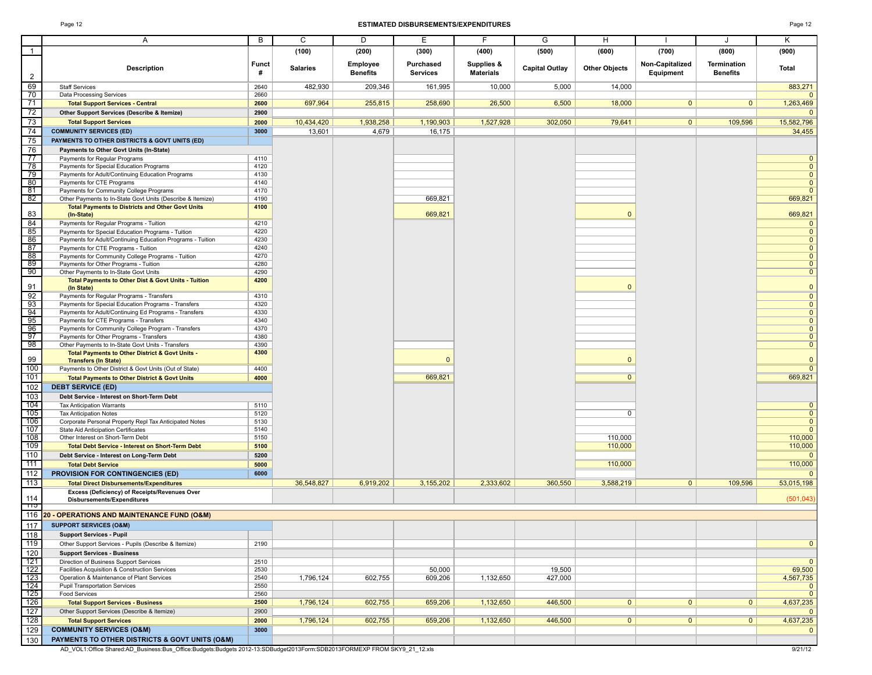#### Page 12 **ESTIMATED DISBURSEMENTS/EXPENDITURES** Page 12

|--|--|--|

|                  | Α                                                                                                               | B            | $\overline{c}$  | D               | Ε               | F                | G                     | $\overline{H}$       |                 | J               | Κ                              |
|------------------|-----------------------------------------------------------------------------------------------------------------|--------------|-----------------|-----------------|-----------------|------------------|-----------------------|----------------------|-----------------|-----------------|--------------------------------|
| $\overline{1}$   |                                                                                                                 |              | (100)           | (200)           | (300)           | (400)            | (500)                 | (600)                | (700)           | (800)           | (900)                          |
|                  |                                                                                                                 | Funct        |                 | Employee        | Purchased       | Supplies &       |                       |                      | Non-Capitalized | Termination     |                                |
| 2                | <b>Description</b>                                                                                              | #            | <b>Salaries</b> | <b>Benefits</b> | <b>Services</b> | <b>Materials</b> | <b>Capital Outlay</b> | <b>Other Objects</b> | Equipment       | <b>Benefits</b> | Total                          |
| 69               | <b>Staff Services</b>                                                                                           | 2640         | 482,930         | 209,346         | 161,995         | 10,000           | 5,000                 | 14,000               |                 |                 | 883,271                        |
| 70               | Data Processing Services                                                                                        | 2660         |                 |                 |                 |                  |                       |                      |                 |                 | $\mathbf{0}$                   |
| 71               | <b>Total Support Services - Central</b>                                                                         | 2600         | 697,964         | 255,815         | 258,690         | 26,500           | 6,500                 | 18,000               | $\mathbf{0}$    | $\mathbf{0}$    | 1,263,469                      |
| 72               | Other Support Services (Describe & Itemize)                                                                     | 2900         |                 |                 |                 |                  |                       |                      |                 |                 | $\Omega$                       |
| 73               | <b>Total Support Services</b>                                                                                   | 2000         | 10,434,420      | 1,938,258       | 1,190,903       | 1,527,928        | 302,050               | 79,641               | $\overline{0}$  | 109,596         | 15,582,796                     |
| 74               | <b>COMMUNITY SERVICES (ED)</b>                                                                                  | 3000         | 13,601          | 4,679           | 16,175          |                  |                       |                      |                 |                 | 34,455                         |
| 75               | PAYMENTS TO OTHER DISTRICTS & GOVT UNITS (ED)                                                                   |              |                 |                 |                 |                  |                       |                      |                 |                 |                                |
| 76               | Payments to Other Govt Units (In-State)                                                                         |              |                 |                 |                 |                  |                       |                      |                 |                 |                                |
| -77<br>78        | Payments for Regular Programs<br>Payments for Special Education Programs                                        | 4110<br>4120 |                 |                 |                 |                  |                       |                      |                 |                 | $\mathbf{0}$<br>$\overline{0}$ |
| 79               | Payments for Adult/Continuing Education Programs                                                                | 4130         |                 |                 |                 |                  |                       |                      |                 |                 | $\mathbf{0}$                   |
| 80               | Payments for CTE Programs                                                                                       | 4140         |                 |                 |                 |                  |                       |                      |                 |                 | $\mathbf{0}$                   |
| 81               | Payments for Community College Programs                                                                         | 4170         |                 |                 |                 |                  |                       |                      |                 |                 | $\mathbf{0}$                   |
| 82               | Other Payments to In-State Govt Units (Describe & Itemize)                                                      | 4190         |                 |                 | 669,821         |                  |                       |                      |                 |                 | 669,821                        |
|                  | <b>Total Payments to Districts and Other Govt Units</b>                                                         | 4100         |                 |                 |                 |                  |                       |                      |                 |                 |                                |
| 83               | (In-State)                                                                                                      |              |                 |                 | 669,821         |                  |                       | $\Omega$             |                 |                 | 669,821                        |
| 84<br>85         | Payments for Regular Programs - Tuition                                                                         | 4210<br>4220 |                 |                 |                 |                  |                       |                      |                 |                 | $\mathbf{0}$<br>$\mathbf{0}$   |
| 86               | Payments for Special Education Programs - Tuition<br>Payments for Adult/Continuing Education Programs - Tuition | 4230         |                 |                 |                 |                  |                       |                      |                 |                 | $\mathbf{0}$                   |
| 87               | Payments for CTE Programs - Tuition                                                                             | 4240         |                 |                 |                 |                  |                       |                      |                 |                 | $\mathbf{0}$                   |
| 88               | Payments for Community College Programs - Tuition                                                               | 4270         |                 |                 |                 |                  |                       |                      |                 |                 | $\mathbf{0}$                   |
| 89               | Payments for Other Programs - Tuition                                                                           | 4280         |                 |                 |                 |                  |                       |                      |                 |                 | $\mathbf{0}$                   |
| 90               | Other Payments to In-State Govt Units                                                                           | 4290         |                 |                 |                 |                  |                       |                      |                 |                 | $\mathbf{0}$                   |
| 91               | <b>Total Payments to Other Dist &amp; Govt Units - Tuition</b><br>(In State)                                    | 4200         |                 |                 |                 |                  |                       | $\Omega$             |                 |                 | $\mathbf{0}$                   |
| 92               | Payments for Regular Programs - Transfers                                                                       | 4310         |                 |                 |                 |                  |                       |                      |                 |                 | $\mathbf{0}$                   |
| 93               | Payments for Special Education Programs - Transfers                                                             | 4320         |                 |                 |                 |                  |                       |                      |                 |                 | $\mathbf{0}$                   |
| 94               | Payments for Adult/Continuing Ed Programs - Transfers                                                           | 4330         |                 |                 |                 |                  |                       |                      |                 |                 | $\mathbf{0}$                   |
| 95               | Payments for CTE Programs - Transfers                                                                           | 4340         |                 |                 |                 |                  |                       |                      |                 |                 | $\mathbf{0}$                   |
| 96               | Payments for Community College Program - Transfers                                                              | 4370         |                 |                 |                 |                  |                       |                      |                 |                 | $\mathbf{0}$                   |
| 97               | Payments for Other Programs - Transfers                                                                         | 4380         |                 |                 |                 |                  |                       |                      |                 |                 | $\mathbf{0}$                   |
| 98               | Other Payments to In-State Govt Units - Transfers<br>Total Payments to Other District & Govt Units -            | 4390<br>4300 |                 |                 |                 |                  |                       |                      |                 |                 | $\mathbf{0}$                   |
| 99               | <b>Transfers (In State)</b>                                                                                     |              |                 |                 | $\overline{0}$  |                  |                       | $\Omega$             |                 |                 | $\mathbf{0}$                   |
| 100              | Payments to Other District & Govt Units (Out of State)                                                          | 4400         |                 |                 |                 |                  |                       |                      |                 |                 | $\overline{0}$                 |
| 101              | <b>Total Payments to Other District &amp; Govt Units</b>                                                        | 4000         |                 |                 | 669,821         |                  |                       | $\overline{0}$       |                 |                 | 669,821                        |
| 102              | <b>DEBT SERVICE (ED)</b>                                                                                        |              |                 |                 |                 |                  |                       |                      |                 |                 |                                |
| 103              | Debt Service - Interest on Short-Term Debt                                                                      |              |                 |                 |                 |                  |                       |                      |                 |                 |                                |
| 104              | <b>Tax Anticipation Warrants</b>                                                                                | 5110         |                 |                 |                 |                  |                       |                      |                 |                 | $\mathbf{0}$                   |
| 105              | <b>Tax Anticipation Notes</b>                                                                                   | 5120         |                 |                 |                 |                  |                       | 0                    |                 |                 | $\mathbf{0}$                   |
| 106<br>107       | Corporate Personal Property Repl Tax Anticipated Notes                                                          | 5130         |                 |                 |                 |                  |                       |                      |                 |                 | $\mathbf{0}$<br>$\overline{0}$ |
| 108              | State Aid Anticipation Certificates<br>Other Interest on Short-Term Debt                                        | 5140<br>5150 |                 |                 |                 |                  |                       | 110,000              |                 |                 | 110,000                        |
| 109              | <b>Total Debt Service - Interest on Short-Term Debt</b>                                                         | 5100         |                 |                 |                 |                  |                       | 110,000              |                 |                 | 110,000                        |
| 110              | Debt Service - Interest on Long-Term Debt                                                                       | 5200         |                 |                 |                 |                  |                       |                      |                 |                 | $\mathbf{0}$                   |
| 111              | <b>Total Debt Service</b>                                                                                       | 5000         |                 |                 |                 |                  |                       | 110,000              |                 |                 | 110,000                        |
| 112              | <b>PROVISION FOR CONTINGENCIES (ED)</b>                                                                         | 6000         |                 |                 |                 |                  |                       |                      |                 |                 | $\Omega$                       |
| 113              | <b>Total Direct Disbursements/Expenditures</b>                                                                  |              | 36.548.827      | 6.919.202       | 3,155,202       | 2,333,602        | 360,550               | 3,588,219            | $\mathbf{0}$    | 109,596         | 53,015,198                     |
|                  | Excess (Deficiency) of Receipts/Revenues Over                                                                   |              |                 |                 |                 |                  |                       |                      |                 |                 |                                |
| 114              | Disbursements/Expenditures                                                                                      |              |                 |                 |                 |                  |                       |                      |                 |                 | (501, 043)                     |
| াাচ              |                                                                                                                 |              |                 |                 |                 |                  |                       |                      |                 |                 |                                |
|                  | 116 20 - OPERATIONS AND MAINTENANCE FUND (O&M)                                                                  |              |                 |                 |                 |                  |                       |                      |                 |                 |                                |
| 117              | <b>SUPPORT SERVICES (O&amp;M)</b>                                                                               |              |                 |                 |                 |                  |                       |                      |                 |                 |                                |
| 118              | <b>Support Services - Pupil</b>                                                                                 |              |                 |                 |                 |                  |                       |                      |                 |                 |                                |
| $\overline{119}$ | Other Support Services - Pupils (Describe & Itemize)                                                            | 2190         |                 |                 |                 |                  |                       |                      |                 |                 | $\overline{0}$                 |
| 120<br>121       | <b>Support Services - Business</b><br>Direction of Business Support Services                                    | 2510         |                 |                 |                 |                  |                       |                      |                 |                 | $\overline{0}$                 |
| 122              | Facilities Acquisition & Construction Services                                                                  | 2530         |                 |                 | 50,000          |                  | 19,500                |                      |                 |                 | 69,500                         |
| 123              | Operation & Maintenance of Plant Services                                                                       | 2540         | 1,796,124       | 602,755         | 609,206         | 1,132,650        | 427,000               |                      |                 |                 | 4,567,735                      |
| 124              | <b>Pupil Transportation Services</b>                                                                            | 2550         |                 |                 |                 |                  |                       |                      |                 |                 | $\mathbf{0}$                   |
| 125              | Food Services                                                                                                   | 2560         |                 |                 |                 |                  |                       |                      |                 |                 | $\overline{0}$                 |
| 126              | <b>Total Support Services - Business</b>                                                                        | 2500         | 1,796,124       | 602,755         | 659,206         | 1,132,650        | 446,500               | $\mathbf{0}$         | $\mathbf{0}$    | $\overline{0}$  | 4,637,235                      |
| 127              | Other Support Services (Describe & Itemize)                                                                     | 2900         |                 |                 |                 |                  |                       |                      |                 |                 | $\mathbf{0}$                   |
| 128              | <b>Total Support Services</b>                                                                                   | 2000         | 1,796,124       | 602,755         | 659,206         | 1,132,650        | 446,500               | 0                    | 0               | 0               | 4,637,235                      |
| 129              | <b>COMMUNITY SERVICES (O&amp;M)</b>                                                                             | 3000         |                 |                 |                 |                  |                       |                      |                 |                 | $\mathbf{0}$                   |
| 130              | PAYMENTS TO OTHER DISTRICTS & GOVT UNITS (O&M)                                                                  |              |                 |                 |                 |                  |                       |                      |                 |                 |                                |

AD\_VOL1:Office Shared:AD\_Business:Bus\_Office:Budgets:Budgets 2012-13:SDBudget2013Form:SDB2013FORMEXP FROM SKY9\_21\_12.xls 9/21/12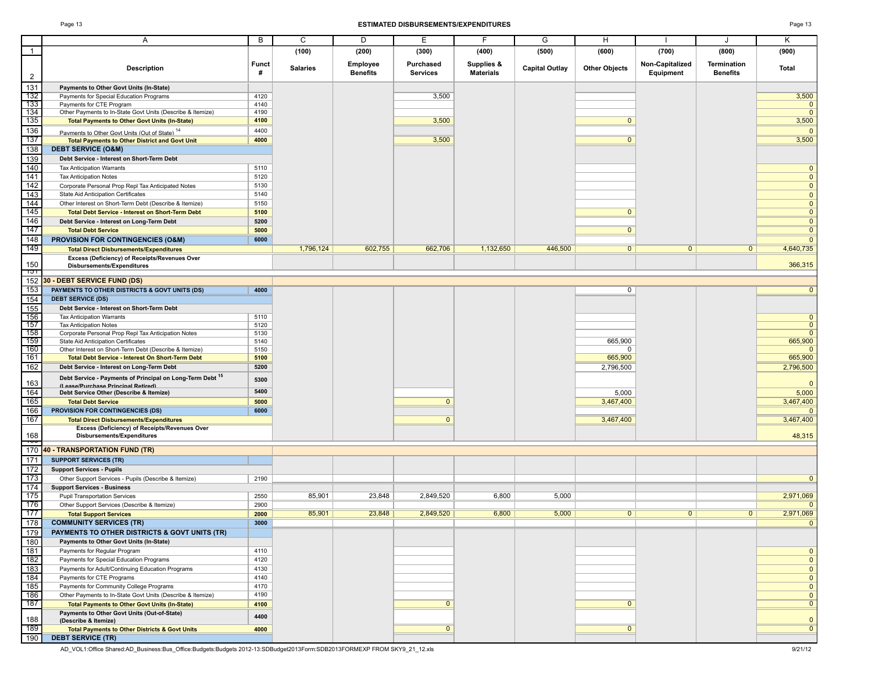#### Page 13 **ESTIMATED DISBURSEMENTS/EXPENDITURES** Page 13

|                | Α                                                                                                          | B                 | C               | D                           | E.                           |                                | G                     | H                    |                              | J                              | Κ              |
|----------------|------------------------------------------------------------------------------------------------------------|-------------------|-----------------|-----------------------------|------------------------------|--------------------------------|-----------------------|----------------------|------------------------------|--------------------------------|----------------|
| $\overline{1}$ |                                                                                                            |                   | (100)           | (200)                       | (300)                        | (400)                          | (500)                 | (600)                | (700)                        | (800)                          | (900)          |
|                | <b>Description</b>                                                                                         | <b>Funct</b><br># | <b>Salaries</b> | Employee<br><b>Benefits</b> | Purchased<br><b>Services</b> | Supplies &<br><b>Materials</b> | <b>Capital Outlay</b> | <b>Other Objects</b> | Non-Capitalized<br>Equipment | Termination<br><b>Benefits</b> | Total          |
| $\overline{2}$ |                                                                                                            |                   |                 |                             |                              |                                |                       |                      |                              |                                |                |
| 131            | Payments to Other Govt Units (In-State)                                                                    |                   |                 |                             |                              |                                |                       |                      |                              |                                |                |
| 132            | Payments for Special Education Programs                                                                    | 4120              |                 |                             | 3,500                        |                                |                       |                      |                              |                                | 3,500          |
| 133            | Payments for CTE Program                                                                                   | 4140              |                 |                             |                              |                                |                       |                      |                              |                                | $\mathbf{0}$   |
| 134            | Other Payments to In-State Govt Units (Describe & Itemize)                                                 | 4190              |                 |                             |                              |                                |                       |                      |                              |                                | $\overline{0}$ |
| 135            | <b>Total Payments to Other Govt Units (In-State)</b>                                                       | 4100              |                 |                             | 3,500                        |                                |                       | $\mathbf{0}$         |                              |                                | 3,500          |
| 136            | Payments to Other Govt Units (Out of State) <sup>14</sup>                                                  | 4400              |                 |                             |                              |                                |                       |                      |                              |                                | $\mathbf{0}$   |
| 137            | <b>Total Payments to Other District and Govt Unit</b>                                                      | 4000              |                 |                             | 3,500                        |                                |                       | $\overline{0}$       |                              |                                | 3,500          |
| 138            | <b>DEBT SERVICE (O&amp;M)</b>                                                                              |                   |                 |                             |                              |                                |                       |                      |                              |                                |                |
| 139            | Debt Service - Interest on Short-Term Debt                                                                 |                   |                 |                             |                              |                                |                       |                      |                              |                                |                |
| 140            | <b>Tax Anticipation Warrants</b>                                                                           | 5110              |                 |                             |                              |                                |                       |                      |                              |                                | $\mathbf{0}$   |
| 141            | <b>Tax Anticipation Notes</b>                                                                              | 5120              |                 |                             |                              |                                |                       |                      |                              |                                | $\mathbf{0}$   |
| 142            | Corporate Personal Prop Repl Tax Anticipated Notes                                                         | 5130              |                 |                             |                              |                                |                       |                      |                              |                                | $\mathbf{0}$   |
| 143            | State Aid Anticipation Certificates                                                                        | 5140              |                 |                             |                              |                                |                       |                      |                              |                                | $\mathbf{0}$   |
| 144            | Other Interest on Short-Term Debt (Describe & Itemize)                                                     | 5150              |                 |                             |                              |                                |                       |                      |                              |                                | $\mathbf{0}$   |
| 145            | <b>Total Debt Service - Interest on Short-Term Debt</b>                                                    | 5100              |                 |                             |                              |                                |                       | $\mathbf{0}$         |                              |                                | $\mathbf{0}$   |
| 146            | Debt Service - Interest on Long-Term Debt                                                                  | 5200              |                 |                             |                              |                                |                       |                      |                              |                                | $\mathbf{0}$   |
| 147            |                                                                                                            |                   |                 |                             |                              |                                |                       | $\overline{0}$       |                              |                                |                |
|                | <b>Total Debt Service</b>                                                                                  | 5000              |                 |                             |                              |                                |                       |                      |                              |                                | $\mathbf 0$    |
| 148            | <b>PROVISION FOR CONTINGENCIES (O&amp;M)</b>                                                               | 6000              |                 |                             |                              |                                |                       |                      |                              |                                | $\mathbf{0}$   |
| 149            | <b>Total Direct Disbursements/Expenditures</b>                                                             |                   | 1.796.124       | 602,755                     | 662,706                      | 1,132,650                      | 446,500               | $\overline{0}$       | $\mathbf{0}$                 | $\mathbf{0}$                   | 4,640,735      |
|                | Excess (Deficiency) of Receipts/Revenues Over                                                              |                   |                 |                             |                              |                                |                       |                      |                              |                                |                |
| 150<br>ाञा     | <b>Disbursements/Expenditures</b>                                                                          |                   |                 |                             |                              |                                |                       |                      |                              |                                | 366,315        |
| 152            | 30 - DEBT SERVICE FUND (DS)                                                                                |                   |                 |                             |                              |                                |                       |                      |                              |                                |                |
| 153            | PAYMENTS TO OTHER DISTRICTS & GOVT UNITS (DS)                                                              | 4000              |                 |                             |                              |                                |                       | 0                    |                              |                                | $\mathbf{0}$   |
| 154            | <b>DEBT SERVICE (DS)</b>                                                                                   |                   |                 |                             |                              |                                |                       |                      |                              |                                |                |
| 155            | Debt Service - Interest on Short-Term Debt                                                                 |                   |                 |                             |                              |                                |                       |                      |                              |                                |                |
| 156            | <b>Tax Anticipation Warrants</b>                                                                           | 5110              |                 |                             |                              |                                |                       |                      |                              |                                | $\mathbf{0}$   |
| 157            | <b>Tax Anticipation Notes</b>                                                                              | 5120              |                 |                             |                              |                                |                       |                      |                              |                                | $\mathbf{0}$   |
| 158            | Corporate Personal Prop Repl Tax Anticipation Notes                                                        | 5130              |                 |                             |                              |                                |                       |                      |                              |                                | $\mathbf{0}$   |
| 159            | State Aid Anticipation Certificates                                                                        | 5140              |                 |                             |                              |                                |                       | 665,900              |                              |                                | 665,900        |
| 160            | Other Interest on Short-Term Debt (Describe & Itemize)                                                     | 5150              |                 |                             |                              |                                |                       | 0                    |                              |                                | $\Omega$       |
| 161            | <b>Total Debt Service - Interest On Short-Term Debt</b>                                                    | 5100              |                 |                             |                              |                                |                       | 665,900              |                              |                                | 665,900        |
| 162            | Debt Service - Interest on Long-Term Debt                                                                  | 5200              |                 |                             |                              |                                |                       | 2,796,500            |                              |                                | 2,796,500      |
|                |                                                                                                            |                   |                 |                             |                              |                                |                       |                      |                              |                                |                |
| 163            | Debt Service - Payments of Principal on Long-Term Debt <sup>15</sup><br>(Lease/Purchase Principal Retired) | 5300              |                 |                             |                              |                                |                       |                      |                              |                                | $\mathbf{0}$   |
| 164            | Debt Service Other (Describe & Itemize)                                                                    | 5400              |                 |                             |                              |                                |                       | 5,000                |                              |                                | 5,000          |
| 165            | <b>Total Debt Service</b>                                                                                  | 5000              |                 |                             | $\mathbf{0}$                 |                                |                       | 3,467,400            |                              |                                | 3,467,400      |
| 166            | PROVISION FOR CONTINGENCIES (DS)                                                                           | 6000              |                 |                             |                              |                                |                       |                      |                              |                                | $\mathbf{0}$   |
| 167            | <b>Total Direct Disbursements/Expenditures</b>                                                             |                   |                 |                             | $\mathbf{0}$                 |                                |                       | 3,467,400            |                              |                                | 3,467,400      |
|                | Excess (Deficiency) of Receipts/Revenues Over                                                              |                   |                 |                             |                              |                                |                       |                      |                              |                                |                |
| 168            | Disbursements/Expenditures                                                                                 |                   |                 |                             |                              |                                |                       |                      |                              |                                | 48,315         |
| न्जर           |                                                                                                            |                   |                 |                             |                              |                                |                       |                      |                              |                                |                |
| 170            | 40 - TRANSPORTATION FUND (TR)                                                                              |                   |                 |                             |                              |                                |                       |                      |                              |                                |                |
| 171            | <b>SUPPORT SERVICES (TR)</b>                                                                               |                   |                 |                             |                              |                                |                       |                      |                              |                                |                |
| 172            | <b>Support Services - Pupils</b>                                                                           |                   |                 |                             |                              |                                |                       |                      |                              |                                |                |
| 173            | Other Support Services - Pupils (Describe & Itemize)                                                       | 2190              |                 |                             |                              |                                |                       |                      |                              |                                | $\mathbf 0$    |
| 174            | <b>Support Services - Business</b>                                                                         |                   |                 |                             |                              |                                |                       |                      |                              |                                |                |
| 175            | <b>Pupil Transportation Services</b>                                                                       | 2550              | 85,901          | 23,848                      | 2,849,520                    | 6,800                          | 5,000                 |                      |                              |                                | 2,971,069      |
| 176            | Other Support Services (Describe & Itemize)                                                                | 2900              |                 |                             |                              |                                |                       |                      |                              |                                |                |
| 177            | <b>Total Support Services</b>                                                                              | 2000              | 85,901          | 23,848                      | 2,849,520                    | 6,800                          | 5,000                 | $\overline{0}$       | $\overline{0}$               | 0 <sup>1</sup>                 | 2,971,069      |
| 178            | <b>COMMUNITY SERVICES (TR)</b>                                                                             | 3000              |                 |                             |                              |                                |                       |                      |                              |                                |                |
| 179            | PAYMENTS TO OTHER DISTRICTS & GOVT UNITS (TR)                                                              |                   |                 |                             |                              |                                |                       |                      |                              |                                |                |
| 180            | Payments to Other Govt Units (In-State)                                                                    |                   |                 |                             |                              |                                |                       |                      |                              |                                |                |
| 181            | Payments for Regular Program                                                                               | 4110              |                 |                             |                              |                                |                       |                      |                              |                                | $\mathbf{0}$   |
| 182            | Payments for Special Education Programs                                                                    | 4120              |                 |                             |                              |                                |                       |                      |                              |                                | $\mathbf{0}$   |
| 183            | Payments for Adult/Continuing Education Programs                                                           | 4130              |                 |                             |                              |                                |                       |                      |                              |                                |                |
| 184            |                                                                                                            |                   |                 |                             |                              |                                |                       |                      |                              |                                | $\mathbf{0}$   |
|                | Payments for CTE Programs                                                                                  | 4140              |                 |                             |                              |                                |                       |                      |                              |                                | $\mathbf{0}$   |
| 185            | Payments for Community College Programs                                                                    | 4170              |                 |                             |                              |                                |                       |                      |                              |                                | $\mathbf 0$    |
| 186<br>187     | Other Payments to In-State Govt Units (Describe & Itemize)                                                 | 4190              |                 |                             |                              |                                |                       |                      |                              |                                | $\mathbf 0$    |
|                | <b>Total Payments to Other Govt Units (In-State)</b>                                                       | 4100              |                 |                             | $\mathbf{0}$                 |                                |                       | $\mathbf{0}$         |                              |                                | $\mathbf 0$    |
| 188            | Payments to Other Govt Units (Out-of-State)                                                                | 4400              |                 |                             |                              |                                |                       |                      |                              |                                | $\mathbf{0}$   |
| 189            | (Describe & Itemize)<br><b>Total Payments to Other Districts &amp; Govt Units</b>                          | 4000              |                 |                             | $\mathbf{0}$                 |                                |                       | $\mathbf{0}$         |                              |                                | $\overline{0}$ |
| 190            | <b>DEBT SERVICE (TR)</b>                                                                                   |                   |                 |                             |                              |                                |                       |                      |                              |                                |                |
|                |                                                                                                            |                   |                 |                             |                              |                                |                       |                      |                              |                                |                |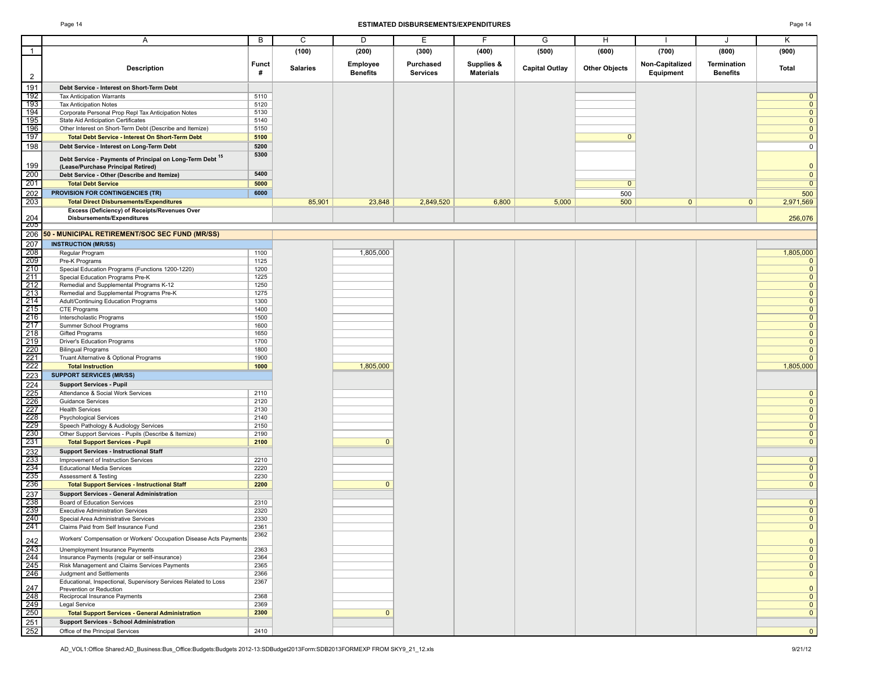#### Page 14 **ESTIMATED DISBURSEMENTS/EXPENDITURES** Page 14

| ٠ |
|---|
|---|

|                                        | A                                                                                             | В            | C               | D               | Е         | F                | G                     | H                    |                 | J               | Κ                                         |
|----------------------------------------|-----------------------------------------------------------------------------------------------|--------------|-----------------|-----------------|-----------|------------------|-----------------------|----------------------|-----------------|-----------------|-------------------------------------------|
| $\mathbf{1}$                           |                                                                                               |              | (100)           | (200)           | (300)     | (400)            | (500)                 | (600)                | (700)           | (800)           | (900)                                     |
|                                        |                                                                                               |              |                 |                 |           |                  |                       |                      |                 |                 |                                           |
|                                        | <b>Description</b>                                                                            | <b>Funct</b> | <b>Salaries</b> | Employee        | Purchased | Supplies &       | <b>Capital Outlay</b> | <b>Other Objects</b> | Non-Capitalized | Termination     | Total                                     |
| $\overline{2}$                         |                                                                                               | #            |                 | <b>Benefits</b> | Services  | <b>Materials</b> |                       |                      | Equipment       | <b>Benefits</b> |                                           |
| 191                                    | Debt Service - Interest on Short-Term Debt                                                    |              |                 |                 |           |                  |                       |                      |                 |                 |                                           |
| 192                                    | <b>Tax Anticipation Warrants</b>                                                              | 5110         |                 |                 |           |                  |                       |                      |                 |                 | $\mathbf{0}$                              |
| 193                                    | <b>Tax Anticipation Notes</b>                                                                 | 5120         |                 |                 |           |                  |                       |                      |                 |                 | $\overline{0}$                            |
| 194                                    | Corporate Personal Prop Repl Tax Anticipation Notes                                           | 5130         |                 |                 |           |                  |                       |                      |                 |                 | $\overline{\mathbf{0}}$                   |
| 195                                    | State Aid Anticipation Certificates                                                           | 5140         |                 |                 |           |                  |                       |                      |                 |                 | $\overline{0}$                            |
| 196<br>197                             | Other Interest on Short-Term Debt (Describe and Itemize)                                      | 5150         |                 |                 |           |                  |                       |                      |                 |                 | $\overline{\mathbf{0}}$<br>$\overline{0}$ |
|                                        | <b>Total Debt Service - Interest On Short-Term Debt</b>                                       | 5100         |                 |                 |           |                  |                       | $\mathbf{0}$         |                 |                 |                                           |
| 198                                    | Debt Service - Interest on Long-Term Debt                                                     | 5200<br>5300 |                 |                 |           |                  |                       |                      |                 |                 | $\mathsf 0$                               |
|                                        | Debt Service - Payments of Principal on Long-Term Debt 15                                     |              |                 |                 |           |                  |                       |                      |                 |                 |                                           |
| 199                                    | (Lease/Purchase Principal Retired)                                                            |              |                 |                 |           |                  |                       |                      |                 |                 | $\mathbf{0}$                              |
| 200<br>201                             | Debt Service - Other (Describe and Itemize)                                                   | 5400         |                 |                 |           |                  |                       |                      |                 |                 | $\mathbf 0$                               |
|                                        | <b>Total Debt Service</b>                                                                     | 5000         |                 |                 |           |                  |                       | $\overline{0}$       |                 |                 | $\overline{0}$                            |
| 202                                    | <b>PROVISION FOR CONTINGENCIES (TR)</b>                                                       | 6000         |                 |                 |           |                  |                       | 500                  |                 |                 | 500                                       |
| 203                                    | <b>Total Direct Disbursements/Expenditures</b>                                                |              | 85,901          | 23,848          | 2,849,520 | 6,800            | 5,000                 | 500                  | $\overline{0}$  | $\mathbf{0}$    | 2,971,569                                 |
| 204                                    | Excess (Deficiency) of Receipts/Revenues Over<br>Disbursements/Expenditures                   |              |                 |                 |           |                  |                       |                      |                 |                 | 256,076                                   |
| <b>ZU5</b>                             |                                                                                               |              |                 |                 |           |                  |                       |                      |                 |                 |                                           |
| 206                                    | 50 - MUNICIPAL RETIREMENT/SOC SEC FUND (MR/SS)                                                |              |                 |                 |           |                  |                       |                      |                 |                 |                                           |
| 207                                    | <b>INSTRUCTION (MR/SS)</b>                                                                    |              |                 |                 |           |                  |                       |                      |                 |                 |                                           |
| 208                                    | Regular Program                                                                               | 1100         |                 | 1,805,000       |           |                  |                       |                      |                 |                 | 1,805,000                                 |
| 209                                    | Pre-K Programs                                                                                | 1125         |                 |                 |           |                  |                       |                      |                 |                 | $\mathbf{0}$                              |
| 210                                    | Special Education Programs (Functions 1200-1220)                                              | 1200         |                 |                 |           |                  |                       |                      |                 |                 | $\overline{\mathbf{0}}$                   |
| 211<br>$\boxed{212}$                   | Special Education Programs Pre-K<br>Remedial and Supplemental Programs K-12                   | 1225<br>1250 |                 |                 |           |                  |                       |                      |                 |                 | $\overline{0}$<br>$\overline{0}$          |
| 213                                    | Remedial and Supplemental Programs Pre-K                                                      | 1275         |                 |                 |           |                  |                       |                      |                 |                 | $\overline{0}$                            |
|                                        | Adult/Continuing Education Programs                                                           | 1300         |                 |                 |           |                  |                       |                      |                 |                 | $\overline{0}$                            |
| $\frac{214}{215}$                      | CTE Programs                                                                                  | 1400         |                 |                 |           |                  |                       |                      |                 |                 | $\overline{0}$                            |
| 216                                    | Interscholastic Programs                                                                      | 1500         |                 |                 |           |                  |                       |                      |                 |                 | $\overline{0}$                            |
| 217                                    | Summer School Programs                                                                        | 1600         |                 |                 |           |                  |                       |                      |                 |                 | $\overline{0}$                            |
| $\overline{218}$                       | <b>Gifted Programs</b>                                                                        | 1650         |                 |                 |           |                  |                       |                      |                 |                 | $\overline{0}$                            |
| 219<br>220                             | Driver's Education Programs                                                                   | 1700<br>1800 |                 |                 |           |                  |                       |                      |                 |                 | $\overline{0}$<br>$\overline{0}$          |
|                                        | <b>Bilingual Programs</b><br>Truant Alternative & Optional Programs                           | 1900         |                 |                 |           |                  |                       |                      |                 |                 | $\mathbf{0}$                              |
| $\frac{221}{222}$                      | <b>Total Instruction</b>                                                                      | 1000         |                 | 1,805,000       |           |                  |                       |                      |                 |                 | 1,805,000                                 |
| 223                                    | <b>SUPPORT SERVICES (MR/SS)</b>                                                               |              |                 |                 |           |                  |                       |                      |                 |                 |                                           |
| 224                                    | <b>Support Services - Pupil</b>                                                               |              |                 |                 |           |                  |                       |                      |                 |                 |                                           |
|                                        | Attendance & Social Work Services                                                             | 2110         |                 |                 |           |                  |                       |                      |                 |                 | $\mathbf 0$                               |
| $\frac{225}{226}$                      | <b>Guidance Services</b>                                                                      | 2120         |                 |                 |           |                  |                       |                      |                 |                 | $\overline{0}$                            |
| 227                                    | <b>Health Services</b>                                                                        | 2130         |                 |                 |           |                  |                       |                      |                 |                 | $\overline{\mathbf{0}}$                   |
| $\frac{228}{229}$                      | <b>Psychological Services</b>                                                                 | 2140         |                 |                 |           |                  |                       |                      |                 |                 | $\overline{0}$                            |
|                                        | Speech Pathology & Audiology Services                                                         | 2150<br>2190 |                 |                 |           |                  |                       |                      |                 |                 | $\overline{0}$                            |
| $\frac{230}{231}$                      | Other Support Services - Pupils (Describe & Itemize)<br><b>Total Support Services - Pupil</b> | 2100         |                 | $\mathbf{0}$    |           |                  |                       |                      |                 |                 | $\mathbf 0$<br>$\overline{0}$             |
|                                        | <b>Support Services - Instructional Staff</b>                                                 |              |                 |                 |           |                  |                       |                      |                 |                 |                                           |
| 232<br>233<br>234<br>235<br>236<br>236 | Improvement of Instruction Services                                                           | 2210         |                 |                 |           |                  |                       |                      |                 |                 | $\mathbf{0}$                              |
|                                        | <b>Educational Media Services</b>                                                             | 2220         |                 |                 |           |                  |                       |                      |                 |                 | $\overline{0}$                            |
|                                        | Assessment & Testing                                                                          | 2230         |                 |                 |           |                  |                       |                      |                 |                 | $\overline{0}$                            |
|                                        | <b>Total Support Services - Instructional Staff</b>                                           | 2200         |                 | $\mathbf{0}$    |           |                  |                       |                      |                 |                 | $\overline{0}$                            |
| 237                                    | <b>Support Services - General Administration</b>                                              |              |                 |                 |           |                  |                       |                      |                 |                 |                                           |
| 238                                    | <b>Board of Education Services</b>                                                            | 2310         |                 |                 |           |                  |                       |                      |                 |                 | $\mathbf 0$                               |
| 239                                    | <b>Executive Administration Services</b>                                                      | 2320<br>2330 |                 |                 |           |                  |                       |                      |                 |                 | $\overline{0}$                            |
| 240<br>241                             | Special Area Administrative Services<br>Claims Paid from Self Insurance Fund                  | 2361         |                 |                 |           |                  |                       |                      |                 |                 | $\overline{0}$<br>$\overline{0}$          |
|                                        |                                                                                               | 2362         |                 |                 |           |                  |                       |                      |                 |                 |                                           |
| 242                                    | Workers' Compensation or Workers' Occupation Disease Acts Payments                            |              |                 |                 |           |                  |                       |                      |                 |                 | $\mathbf 0$                               |
| 243                                    | Unemployment Insurance Payments                                                               | 2363         |                 |                 |           |                  |                       |                      |                 |                 | $\overline{0}$                            |
| 244                                    | Insurance Payments (regular or self-insurance)                                                | 2364         |                 |                 |           |                  |                       |                      |                 |                 | $\overline{0}$                            |
| 245<br>246                             | Risk Management and Claims Services Payments<br>Judgment and Settlements                      | 2365<br>2366 |                 |                 |           |                  |                       |                      |                 |                 | $\overline{0}$<br>$\mathbf{0}$            |
|                                        | Educational, Inspectional, Supervisory Services Related to Loss                               | 2367         |                 |                 |           |                  |                       |                      |                 |                 |                                           |
| 247                                    | Prevention or Reduction                                                                       |              |                 |                 |           |                  |                       |                      |                 |                 | $\mathbf 0$                               |
| 248                                    | Reciprocal Insurance Payments                                                                 | 2368         |                 |                 |           |                  |                       |                      |                 |                 | $\overline{\mathbf{0}}$                   |
| $\overline{249}$                       | Legal Service                                                                                 | 2369         |                 |                 |           |                  |                       |                      |                 |                 | $\overline{0}$                            |
| 250                                    | <b>Total Support Services - General Administration</b>                                        | 2300         |                 | $\mathbf{0}$    |           |                  |                       |                      |                 |                 | $\overline{0}$                            |
| 251                                    | <b>Support Services - School Administration</b>                                               |              |                 |                 |           |                  |                       |                      |                 |                 |                                           |
| 252                                    | Office of the Principal Services                                                              | 2410         |                 |                 |           |                  |                       |                      |                 |                 | $\mathbf{0}$                              |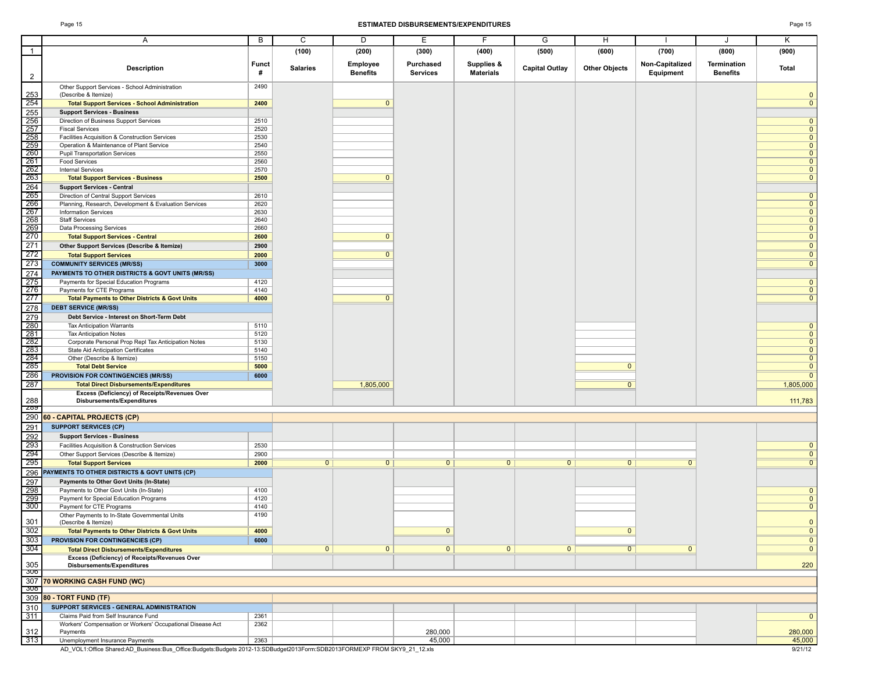#### Page 15 **ESTIMATED DISBURSEMENTS/EXPENDITURES** Page 15

|                                               | Α                                                                                              | B                 | C               | D                           | Е                            | F                              | G                     | н                    |                              | J                              | Κ                              |
|-----------------------------------------------|------------------------------------------------------------------------------------------------|-------------------|-----------------|-----------------------------|------------------------------|--------------------------------|-----------------------|----------------------|------------------------------|--------------------------------|--------------------------------|
|                                               |                                                                                                |                   | (100)           | (200)                       | (300)                        | (400)                          | (500)                 | (600)                | (700)                        | (800)                          | (900)                          |
|                                               |                                                                                                |                   |                 |                             |                              |                                |                       |                      |                              |                                |                                |
| $\overline{2}$                                | <b>Description</b>                                                                             | <b>Funct</b><br># | <b>Salaries</b> | Employee<br><b>Benefits</b> | Purchased<br><b>Services</b> | Supplies &<br><b>Materials</b> | <b>Capital Outlay</b> | <b>Other Objects</b> | Non-Capitalized<br>Equipment | Termination<br><b>Benefits</b> | Total                          |
|                                               | Other Support Services - School Administration<br>(Describe & Itemize)                         | 2490              |                 |                             |                              |                                |                       |                      |                              |                                | $\Omega$                       |
| $\frac{253}{254}$                             | <b>Total Support Services - School Administration</b>                                          | 2400              |                 | $\Omega$                    |                              |                                |                       |                      |                              |                                | $\Omega$                       |
| 255<br>256<br>257<br>258<br>258<br>260<br>260 | <b>Support Services - Business</b>                                                             |                   |                 |                             |                              |                                |                       |                      |                              |                                |                                |
|                                               | Direction of Business Support Services                                                         | 2510              |                 |                             |                              |                                |                       |                      |                              |                                | $\Omega$                       |
|                                               | <b>Fiscal Services</b>                                                                         | 2520              |                 |                             |                              |                                |                       |                      |                              |                                | $\Omega$                       |
|                                               | Facilities Acquisition & Construction Services<br>Operation & Maintenance of Plant Service     | 2530<br>2540      |                 |                             |                              |                                |                       |                      |                              |                                | $\Omega$<br>$\Omega$           |
|                                               | <b>Pupil Transportation Services</b>                                                           | 2550              |                 |                             |                              |                                |                       |                      |                              |                                | $\Omega$                       |
| $\frac{261}{262}$                             | <b>Food Services</b>                                                                           | 2560              |                 |                             |                              |                                |                       |                      |                              |                                | $\Omega$                       |
|                                               | <b>Internal Services</b>                                                                       | 2570              |                 |                             |                              |                                |                       |                      |                              |                                | $\Omega$                       |
| 263                                           | <b>Total Support Services - Business</b>                                                       | 2500              |                 | $\mathbf{0}$                |                              |                                |                       |                      |                              |                                | $\mathbf{0}$                   |
| 264<br>265                                    | <b>Support Services - Central</b>                                                              | 2610              |                 |                             |                              |                                |                       |                      |                              |                                | $\Omega$                       |
| 266                                           | Direction of Central Support Services<br>Planning, Research, Development & Evaluation Services | 2620              |                 |                             |                              |                                |                       |                      |                              |                                | $\Omega$                       |
| 267                                           | <b>Information Services</b>                                                                    | 2630              |                 |                             |                              |                                |                       |                      |                              |                                | $\Omega$                       |
| 268                                           | <b>Staff Services</b>                                                                          | 2640              |                 |                             |                              |                                |                       |                      |                              |                                | $\mathbf{0}$                   |
| 269                                           | Data Processing Services                                                                       | 2660              |                 |                             |                              |                                |                       |                      |                              |                                | $\Omega$                       |
| $\frac{-1}{270}$                              | <b>Total Support Services - Central</b>                                                        | 2600              |                 | $\mathbf{0}$                |                              |                                |                       |                      |                              |                                | $\mathbf 0$                    |
| 271<br>272                                    | Other Support Services (Describe & Itemize)                                                    | 2900<br>2000      |                 | $\overline{0}$              |                              |                                |                       |                      |                              |                                | $\mathbf{0}$<br>$\overline{0}$ |
| 273                                           | <b>Total Support Services</b><br><b>COMMUNITY SERVICES (MR/SS)</b>                             | 3000              |                 |                             |                              |                                |                       |                      |                              |                                | $\Omega$                       |
| $\overline{274}$                              | PAYMENTS TO OTHER DISTRICTS & GOVT UNITS (MR/SS)                                               |                   |                 |                             |                              |                                |                       |                      |                              |                                |                                |
| 275                                           | Payments for Special Education Programs                                                        | 4120              |                 |                             |                              |                                |                       |                      |                              |                                | $\Omega$                       |
| 276                                           | Payments for CTE Programs                                                                      | 4140              |                 |                             |                              |                                |                       |                      |                              |                                | $\mathbf{0}$                   |
| 277                                           | <b>Total Payments to Other Districts &amp; Govt Units</b>                                      | 4000              |                 | $\mathbf{0}$                |                              |                                |                       |                      |                              |                                | $\Omega$                       |
| 278                                           | <b>DEBT SERVICE (MR/SS)</b>                                                                    |                   |                 |                             |                              |                                |                       |                      |                              |                                |                                |
| 279<br>280<br>281<br>282                      | Debt Service - Interest on Short-Term Debt                                                     |                   |                 |                             |                              |                                |                       |                      |                              |                                | $\mathbf{0}$                   |
|                                               | <b>Tax Anticipation Warrants</b><br><b>Tax Anticipation Notes</b>                              | 5110<br>5120      |                 |                             |                              |                                |                       |                      |                              |                                | $\Omega$                       |
|                                               | Corporate Personal Prop Repl Tax Anticipation Notes                                            | 5130              |                 |                             |                              |                                |                       |                      |                              |                                | $\Omega$                       |
| $\overline{283}$                              | State Aid Anticipation Certificates                                                            | 5140              |                 |                             |                              |                                |                       |                      |                              |                                | $\Omega$                       |
| 284<br>285                                    | Other (Describe & Itemize)                                                                     | 5150              |                 |                             |                              |                                |                       | $\Omega$             |                              |                                | $\Omega$<br>$\Omega$           |
| 286                                           | <b>Total Debt Service</b><br>PROVISION FOR CONTINGENCIES (MR/SS)                               | 5000<br>6000      |                 |                             |                              |                                |                       |                      |                              |                                | $\Omega$                       |
| 287                                           | <b>Total Direct Disbursements/Expenditures</b>                                                 |                   |                 | 1,805,000                   |                              |                                |                       | $\overline{0}$       |                              |                                | 1,805,000                      |
|                                               | Excess (Deficiency) of Receipts/Revenues Over                                                  |                   |                 |                             |                              |                                |                       |                      |                              |                                |                                |
| 288<br>-289                                   | <b>Disbursements/Expenditures</b>                                                              |                   |                 |                             |                              |                                |                       |                      |                              |                                | 111,783                        |
| 290                                           | 60 - CAPITAL PROJECTS (CP)                                                                     |                   |                 |                             |                              |                                |                       |                      |                              |                                |                                |
| 291                                           | <b>SUPPORT SERVICES (CP)</b>                                                                   |                   |                 |                             |                              |                                |                       |                      |                              |                                |                                |
| 292                                           | <b>Support Services - Business</b>                                                             |                   |                 |                             |                              |                                |                       |                      |                              |                                |                                |
| 293                                           | Facilities Acquisition & Construction Services                                                 | 2530              |                 |                             |                              |                                |                       |                      |                              |                                | $\mathbf 0$                    |
| 294<br>295                                    | Other Support Services (Describe & Itemize)<br><b>Total Support Services</b>                   | 2900<br>2000      | 0               | $\overline{0}$              | 0                            | 0                              | 0                     | 0                    | $\overline{0}$               |                                | $\mathbf 0$<br>$\overline{0}$  |
| 296                                           | PAYMENTS TO OTHER DISTRICTS & GOVT UNITS (CP)                                                  |                   |                 |                             |                              |                                |                       |                      |                              |                                |                                |
| 297                                           | Payments to Other Govt Units (In-State)                                                        |                   |                 |                             |                              |                                |                       |                      |                              |                                |                                |
| 298                                           | Payments to Other Govt Units (In-State)                                                        | 4100              |                 |                             |                              |                                |                       |                      |                              |                                | $\mathbf{0}$                   |
| 299                                           | Payment for Special Education Programs                                                         | 4120              |                 |                             |                              |                                |                       |                      |                              |                                | $\mathbf 0$                    |
| 300                                           | Payment for CTE Programs<br>Other Payments to In-State Governmental Units                      | 4140<br>4190      |                 |                             |                              |                                |                       |                      |                              |                                | $\mathbf{0}$                   |
| 301                                           | (Describe & Itemize)                                                                           |                   |                 |                             |                              |                                |                       |                      |                              |                                |                                |
| 302                                           | <b>Total Payments to Other Districts &amp; Govt Units</b>                                      | 4000              |                 |                             | $\overline{0}$               |                                |                       | $\overline{0}$       |                              |                                | $\mathbf{0}$                   |
| 303                                           | PROVISION FOR CONTINGENCIES (CP)                                                               | 6000              |                 |                             |                              |                                |                       |                      |                              |                                | $\mathbf{0}$                   |
| 304                                           | <b>Total Direct Disbursements/Expenditures</b>                                                 |                   | $\overline{0}$  | $\mathbf{0}$                | $\overline{0}$               | $\mathbf{0}$                   | $\mathbf{0}$          | $\overline{0}$       | $\mathbf{0}$                 |                                | $\mathbf{0}$                   |
| 305<br>-300                                   | Excess (Deficiency) of Receipts/Revenues Over<br>Disbursements/Expenditures                    |                   |                 |                             |                              |                                |                       |                      |                              |                                | 220                            |
| 307<br>ು∪ರ                                    | 70 WORKING CASH FUND (WC)                                                                      |                   |                 |                             |                              |                                |                       |                      |                              |                                |                                |
|                                               | 309 80 - TORT FUND (TF)                                                                        |                   |                 |                             |                              |                                |                       |                      |                              |                                |                                |
| 310                                           | SUPPORT SERVICES - GENERAL ADMINISTRATION                                                      |                   |                 |                             |                              |                                |                       |                      |                              |                                |                                |
| 311                                           | Claims Paid from Self Insurance Fund                                                           | 2361              |                 |                             |                              |                                |                       |                      |                              |                                | $\mathbf{0}$                   |
|                                               | Workers' Compensation or Workers' Occupational Disease Act                                     | 2362              |                 |                             |                              |                                |                       |                      |                              |                                |                                |
| 312                                           | Payments                                                                                       |                   |                 |                             | 280,000                      |                                |                       |                      |                              |                                | 280,000                        |
| 313                                           | Unemployment Insurance Payments                                                                | 2363              |                 |                             | 45,000                       |                                |                       |                      |                              |                                | 45,000                         |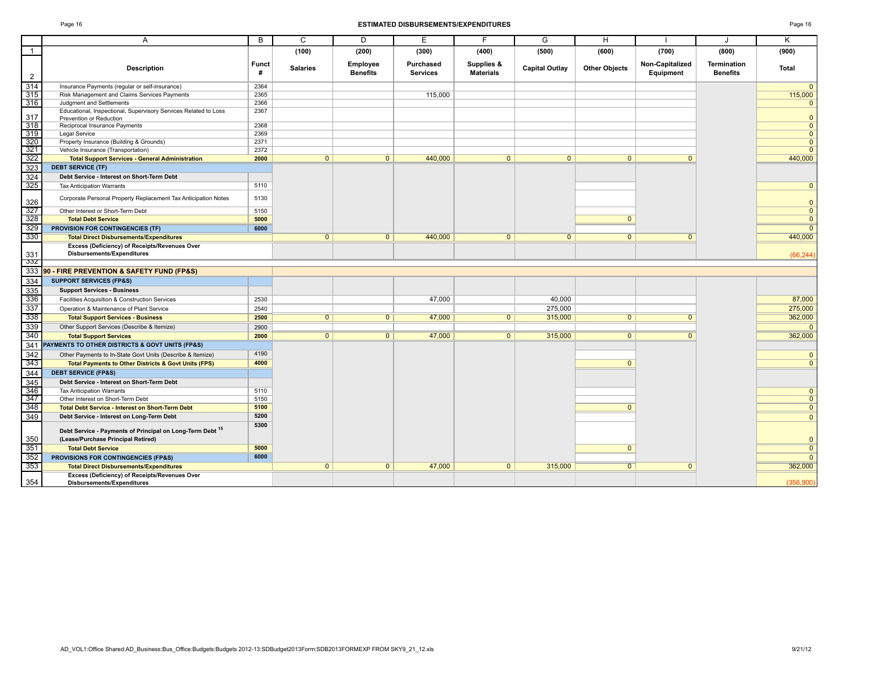Е

#### Page 16 **ESTIMATED DISBURSEMENTS/EXPENDITURES** Page 16

|         |       |                 |                       | <b>ESTIMATED DISBURSEMENTS/EXPENDITURES</b> |                                |                       |                      |                                          |                                | Page 16      |  |
|---------|-------|-----------------|-----------------------|---------------------------------------------|--------------------------------|-----------------------|----------------------|------------------------------------------|--------------------------------|--------------|--|
|         |       |                 |                       |                                             |                                |                       |                      |                                          |                                |              |  |
|         |       | (100)           | (200)                 | (300)                                       | (400)                          | (500)                 | (600)                | (700)                                    | (800)                          | (900)        |  |
| ription | Funct | <b>Salaries</b> | Employee<br>$D - - -$ | Purchased<br>$P = 1$                        | Supplies &<br><b>Materials</b> | <b>Capital Outlav</b> | <b>Other Obiects</b> | <b>Non-Capitalized</b><br>Explanation of | Termination<br><b>Densfile</b> | <b>Total</b> |  |

| $\overline{1}$ |                                                                                                 |                   | (100)           | (200)                       | (300)                        | (400)                          | (500)                 | (600)                | (700)                        | (800)                                 | (900)          |
|----------------|-------------------------------------------------------------------------------------------------|-------------------|-----------------|-----------------------------|------------------------------|--------------------------------|-----------------------|----------------------|------------------------------|---------------------------------------|----------------|
| $\overline{2}$ | <b>Description</b>                                                                              | <b>Funct</b><br># | <b>Salaries</b> | Employee<br><b>Benefits</b> | Purchased<br><b>Services</b> | Supplies &<br><b>Materials</b> | <b>Capital Outlay</b> | <b>Other Objects</b> | Non-Capitalized<br>Equipment | <b>Termination</b><br><b>Benefits</b> | Total          |
| 314            | Insurance Payments (regular or self-insurance)                                                  | 2364              |                 |                             |                              |                                |                       |                      |                              |                                       | $\overline{0}$ |
| 315            | Risk Management and Claims Services Payments                                                    | 2365              |                 |                             | 115,000                      |                                |                       |                      |                              |                                       | 115,000        |
| 316            | Judgment and Settlements                                                                        | 2366              |                 |                             |                              |                                |                       |                      |                              |                                       | $\overline{0}$ |
| 317            | Educational, Inspectional, Supervisory Services Related to Loss<br>Prevention or Reduction      | 2367              |                 |                             |                              |                                |                       |                      |                              |                                       | $\mathbf{0}$   |
| 318            | Reciprocal Insurance Payments                                                                   | 2368              |                 |                             |                              |                                |                       |                      |                              |                                       | $\overline{0}$ |
| 319            | Legal Service                                                                                   | 2369              |                 |                             |                              |                                |                       |                      |                              |                                       | $\overline{0}$ |
| 320            | Property Insurance (Building & Grounds)                                                         | 2371              |                 |                             |                              |                                |                       |                      |                              |                                       | $\overline{0}$ |
| 321            | Vehicle Insurance (Transportation)                                                              | 2372              |                 |                             |                              |                                |                       |                      |                              |                                       | $\overline{0}$ |
| 322            | <b>Total Support Services - General Administration</b>                                          | 2000              | $\overline{0}$  | $\mathbf{0}$                | 440,000                      | $\overline{0}$                 | $\mathbf{0}$          | $\mathbf{0}$         | $\Omega$                     |                                       | 440,000        |
| 323            | <b>DEBT SERVICE (TF)</b>                                                                        |                   |                 |                             |                              |                                |                       |                      |                              |                                       |                |
| 324            | Debt Service - Interest on Short-Term Debt                                                      |                   |                 |                             |                              |                                |                       |                      |                              |                                       |                |
| 325            | <b>Tax Anticipation Warrants</b>                                                                | 5110              |                 |                             |                              |                                |                       |                      |                              |                                       | $\overline{0}$ |
| 326            | Corporate Personal Property Replacement Tax Anticipation Notes                                  | 5130              |                 |                             |                              |                                |                       |                      |                              |                                       | $\mathbf{0}$   |
| 327            | Other Interest or Short-Term Debt                                                               | 5150              |                 |                             |                              |                                |                       |                      |                              |                                       | $\overline{0}$ |
| 328            | <b>Total Debt Service</b>                                                                       | 5000              |                 |                             |                              |                                |                       | $\mathbf{0}$         |                              |                                       | $\mathbf{0}$   |
| 329            | PROVISION FOR CONTINGENCIES (TF)                                                                | 6000              |                 |                             |                              |                                |                       |                      |                              |                                       | $\overline{0}$ |
| 330            | <b>Total Direct Disbursements/Expenditures</b>                                                  |                   | $\overline{0}$  | $\mathbf{0}$                | 440,000                      | $\overline{0}$                 | $\mathbf{0}$          | $\mathbf{0}$         | $\mathbf{0}$                 |                                       | 440,000        |
| 331            | Excess (Deficiency) of Receipts/Revenues Over<br><b>Disbursements/Expenditures</b>              |                   |                 |                             |                              |                                |                       |                      |                              |                                       | (66, 244)      |
| -33Z           |                                                                                                 |                   |                 |                             |                              |                                |                       |                      |                              |                                       |                |
|                | 333 90 - FIRE PREVENTION & SAFETY FUND (FP&S)                                                   |                   |                 |                             |                              |                                |                       |                      |                              |                                       |                |
| 334            | <b>SUPPORT SERVICES (FP&amp;S)</b>                                                              |                   |                 |                             |                              |                                |                       |                      |                              |                                       |                |
| 335            | <b>Support Services - Business</b>                                                              |                   |                 |                             |                              |                                |                       |                      |                              |                                       |                |
| 336            | Facilities Acquisition & Construction Services                                                  | 2530              |                 |                             | 47,000                       |                                | 40.000                |                      |                              |                                       | 87,000         |
| 337            | Operation & Maintenance of Plant Service                                                        | 2540              |                 |                             |                              |                                | 275,000               |                      |                              |                                       | 275,000        |
| 338            | <b>Total Support Services - Business</b>                                                        | 2500              | $\overline{0}$  | $\overline{0}$              | 47,000                       | $\overline{0}$                 | 315,000               | $\overline{0}$       | $\overline{0}$               |                                       | 362,000        |
| 339            | Other Support Services (Describe & Itemize)                                                     | 2900              |                 |                             |                              |                                |                       |                      |                              |                                       | $\mathbf{0}$   |
| 340            | <b>Total Support Services</b>                                                                   | 2000              | $\overline{0}$  | $\overline{0}$              | 47,000                       | $\overline{0}$                 | 315,000               | $\overline{0}$       | $\overline{0}$               |                                       | 362,000        |
| 341            | PAYMENTS TO OTHER DISTRICTS & GOVT UNITS (FP&S)                                                 |                   |                 |                             |                              |                                |                       |                      |                              |                                       |                |
| 342            | Other Payments to In-State Govt Units (Describe & Itemize)                                      | 4190              |                 |                             |                              |                                |                       |                      |                              |                                       | $\mathbf{0}$   |
| 343            | <b>Total Payments to Other Districts &amp; Govt Units (FPS)</b>                                 | 4000              |                 |                             |                              |                                |                       | $\Omega$             |                              |                                       | $\overline{0}$ |
| 344            | <b>DEBT SERVICE (FP&amp;S)</b>                                                                  |                   |                 |                             |                              |                                |                       |                      |                              |                                       |                |
| 345            | Debt Service - Interest on Short-Term Debt                                                      |                   |                 |                             |                              |                                |                       |                      |                              |                                       |                |
| 346            | <b>Tax Anticipation Warrants</b>                                                                | 5110              |                 |                             |                              |                                |                       |                      |                              |                                       | $\overline{0}$ |
| 347            | Other Interest on Short-Term Debt                                                               | 5150              |                 |                             |                              |                                |                       |                      |                              |                                       | $\overline{0}$ |
| 348            | <b>Total Debt Service - Interest on Short-Term Debt</b>                                         | 5100<br>5200      |                 |                             |                              |                                |                       | $\Omega$             |                              |                                       | $\overline{0}$ |
| 349            | Debt Service - Interest on Long-Term Debt                                                       |                   |                 |                             |                              |                                |                       |                      |                              |                                       | $\mathbf{0}$   |
| 350            | Debt Service - Payments of Principal on Long-Term Debt 15<br>(Lease/Purchase Principal Retired) | 5300              |                 |                             |                              |                                |                       |                      |                              |                                       | $\mathbf{0}$   |
| 351            | <b>Total Debt Service</b>                                                                       | 5000              |                 |                             |                              |                                |                       | $\mathbf{0}$         |                              |                                       | $\overline{0}$ |
| 352            | PROVISIONS FOR CONTINGENCIES (FP&S)                                                             | 6000              |                 |                             |                              |                                |                       |                      |                              |                                       | $\overline{0}$ |
| 353            | <b>Total Direct Disbursements/Expenditures</b>                                                  |                   | 0               | $\mathbf{0}$                | 47,000                       | $\overline{0}$                 | 315,000               | $\overline{0}$       | $\mathbf{0}$                 |                                       | 362,000        |
|                | Excess (Deficiency) of Receipts/Revenues Over                                                   |                   |                 |                             |                              |                                |                       |                      |                              |                                       |                |
| 354            | <b>Disbursements/Expenditures</b>                                                               |                   |                 |                             |                              |                                |                       |                      |                              |                                       | (356.900)      |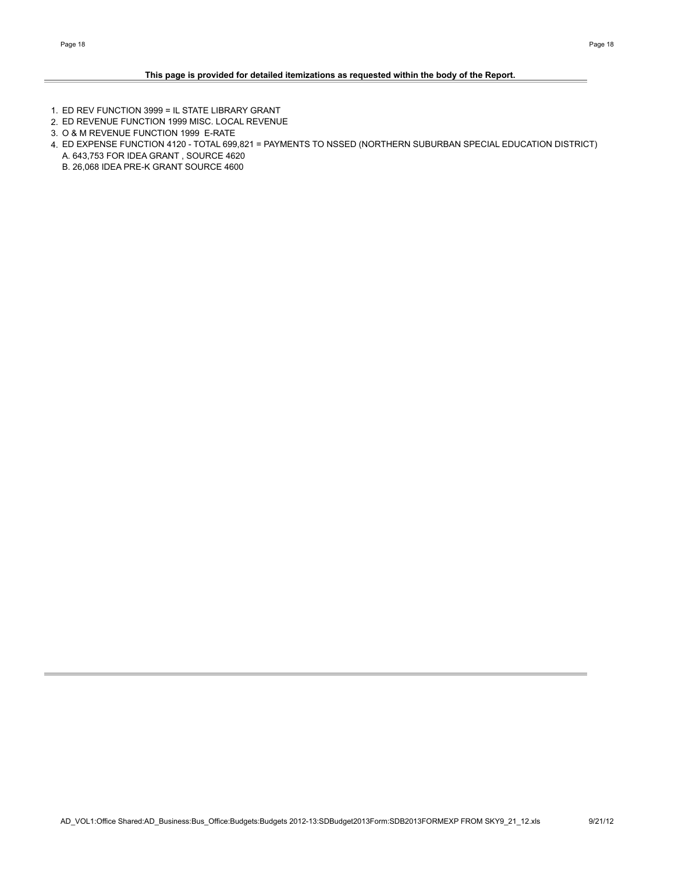## **This page is provided for detailed itemizations as requested within the body of the Report.**

- 1. ED REV FUNCTION 3999 = IL STATE LIBRARY GRANT
- 2. ED REVENUE FUNCTION 1999 MISC. LOCAL REVENUE
- 3. O & M REVENUE FUNCTION 1999 E-RATE
- 4. ED EXPENSE FUNCTION 4120 TOTAL 699,821 = PAYMENTS TO NSSED (NORTHERN SUBURBAN SPECIAL EDUCATION DISTRICT) A. 643,753 FOR IDEA GRANT , SOURCE 4620
	- B. 26,068 IDEA PRE-K GRANT SOURCE 4600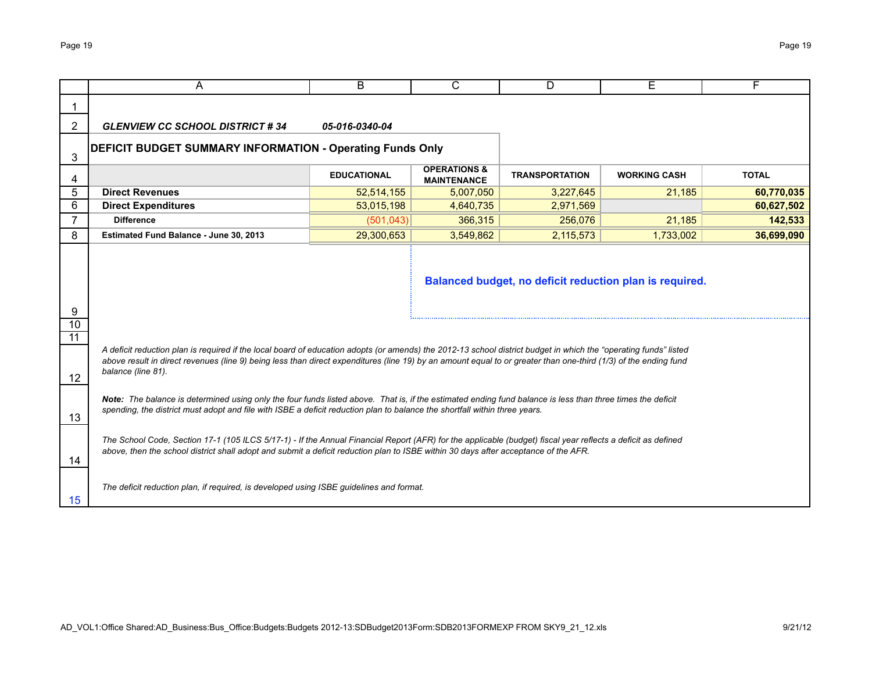|                      | A                                                                                                                                                                                                                                                                                                                                                         | B.                 | $\overline{\text{c}}$                         | D                     | Е                   | F            |  |  |  |  |  |  |
|----------------------|-----------------------------------------------------------------------------------------------------------------------------------------------------------------------------------------------------------------------------------------------------------------------------------------------------------------------------------------------------------|--------------------|-----------------------------------------------|-----------------------|---------------------|--------------|--|--|--|--|--|--|
|                      |                                                                                                                                                                                                                                                                                                                                                           |                    |                                               |                       |                     |              |  |  |  |  |  |  |
| 2                    | <b>GLENVIEW CC SCHOOL DISTRICT #34</b>                                                                                                                                                                                                                                                                                                                    | 05-016-0340-04     |                                               |                       |                     |              |  |  |  |  |  |  |
| 3                    | <b>DEFICIT BUDGET SUMMARY INFORMATION - Operating Funds Only</b>                                                                                                                                                                                                                                                                                          |                    |                                               |                       |                     |              |  |  |  |  |  |  |
| 4                    |                                                                                                                                                                                                                                                                                                                                                           | <b>EDUCATIONAL</b> | <b>OPERATIONS &amp;</b><br><b>MAINTENANCE</b> | <b>TRANSPORTATION</b> | <b>WORKING CASH</b> | <b>TOTAL</b> |  |  |  |  |  |  |
| 5                    | <b>Direct Revenues</b>                                                                                                                                                                                                                                                                                                                                    | 52,514,155         | 5,007,050                                     | 3,227,645             | 21,185              | 60,770,035   |  |  |  |  |  |  |
| 6                    | <b>Direct Expenditures</b>                                                                                                                                                                                                                                                                                                                                | 53,015,198         | 4,640,735                                     | 2,971,569             |                     | 60,627,502   |  |  |  |  |  |  |
| $\overline{7}$       | <b>Difference</b>                                                                                                                                                                                                                                                                                                                                         | (501, 043)         | 366,315                                       | 256,076               | 21,185              | 142,533      |  |  |  |  |  |  |
| 8                    | Estimated Fund Balance - June 30, 2013                                                                                                                                                                                                                                                                                                                    | 29,300,653         | 3,549,862                                     | 2,115,573             | 1,733,002           | 36,699,090   |  |  |  |  |  |  |
| 9<br>$\overline{10}$ | Balanced budget, no deficit reduction plan is required.                                                                                                                                                                                                                                                                                                   |                    |                                               |                       |                     |              |  |  |  |  |  |  |
| $\overline{11}$      |                                                                                                                                                                                                                                                                                                                                                           |                    |                                               |                       |                     |              |  |  |  |  |  |  |
| 12                   | A deficit reduction plan is required if the local board of education adopts (or amends) the 2012-13 school district budget in which the "operating funds" listed<br>above result in direct revenues (line 9) being less than direct expenditures (line 19) by an amount equal to or greater than one-third (1/3) of the ending fund<br>balance (line 81). |                    |                                               |                       |                     |              |  |  |  |  |  |  |
| 13                   | Note: The balance is determined using only the four funds listed above. That is, if the estimated ending fund balance is less than three times the deficit<br>spending, the district must adopt and file with ISBE a deficit reduction plan to balance the shortfall within three years.                                                                  |                    |                                               |                       |                     |              |  |  |  |  |  |  |
| 14                   | The School Code, Section 17-1 (105 ILCS 5/17-1) - If the Annual Financial Report (AFR) for the applicable (budget) fiscal year reflects a deficit as defined<br>above, then the school district shall adopt and submit a deficit reduction plan to ISBE within 30 days after acceptance of the AFR.                                                       |                    |                                               |                       |                     |              |  |  |  |  |  |  |
| 15                   | The deficit reduction plan, if required, is developed using ISBE quidelines and format.                                                                                                                                                                                                                                                                   |                    |                                               |                       |                     |              |  |  |  |  |  |  |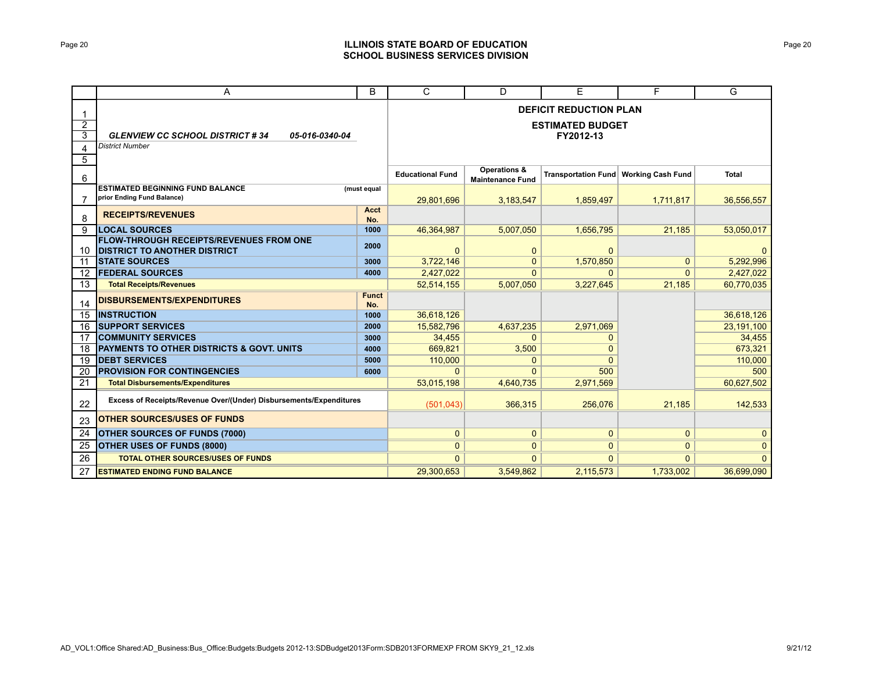## Page 20 **ILLINOIS STATE BOARD OF EDUCATION SCHOOL BUSINESS SERVICES DIVISION**

|                                                  | A                                                                                     | B                   | $\overline{C}$                                                        | D                                                  | E            | F                                       | G            |  |  |  |
|--------------------------------------------------|---------------------------------------------------------------------------------------|---------------------|-----------------------------------------------------------------------|----------------------------------------------------|--------------|-----------------------------------------|--------------|--|--|--|
| -1<br>$\overline{2}$<br>$\overline{3}$<br>4<br>5 | <b>GLENVIEW CC SCHOOL DISTRICT #34</b><br>05-016-0340-04<br><b>District Number</b>    |                     | <b>DEFICIT REDUCTION PLAN</b><br><b>ESTIMATED BUDGET</b><br>FY2012-13 |                                                    |              |                                         |              |  |  |  |
| 6                                                |                                                                                       |                     | <b>Educational Fund</b>                                               | <b>Operations &amp;</b><br><b>Maintenance Fund</b> |              | Transportation Fund   Working Cash Fund | <b>Total</b> |  |  |  |
| 7                                                | <b>ESTIMATED BEGINNING FUND BALANCE</b><br>prior Ending Fund Balance)                 | (must equal         | 29.801.696                                                            | 3,183,547                                          | 1,859,497    | 1,711,817                               | 36,556,557   |  |  |  |
| 8                                                | <b>RECEIPTS/REVENUES</b>                                                              | Acct<br>No.         |                                                                       |                                                    |              |                                         |              |  |  |  |
| 9                                                | <b>LOCAL SOURCES</b>                                                                  | 1000                | 46,364,987                                                            | 5,007,050                                          | 1,656,795    | 21,185                                  | 53,050,017   |  |  |  |
| 10                                               | <b>FLOW-THROUGH RECEIPTS/REVENUES FROM ONE</b><br><b>DISTRICT TO ANOTHER DISTRICT</b> | 2000                | $\Omega$                                                              | $\mathbf{0}$                                       | $\Omega$     |                                         | $\Omega$     |  |  |  |
| 11                                               | <b>STATE SOURCES</b>                                                                  | 3000                | 3,722,146                                                             | $\mathbf{0}$                                       | 1,570,850    | $\Omega$                                | 5,292,996    |  |  |  |
| 12                                               | <b>FEDERAL SOURCES</b>                                                                | 4000                | 2,427,022                                                             | $\Omega$                                           | $\Omega$     | $\Omega$                                | 2,427,022    |  |  |  |
| 13                                               | <b>Total Receipts/Revenues</b>                                                        |                     | 52.514.155                                                            | 5,007,050                                          | 3,227,645    | 21,185                                  | 60,770,035   |  |  |  |
| 14                                               | DISBURSEMENTS/EXPENDITURES                                                            | <b>Funct</b><br>No. |                                                                       |                                                    |              |                                         |              |  |  |  |
| 15                                               | <b>IINSTRUCTION</b>                                                                   | 1000                | 36,618,126                                                            |                                                    |              |                                         | 36,618,126   |  |  |  |
| 16                                               | <b>ISUPPORT SERVICES</b>                                                              | 2000                | 15,582,796                                                            | 4,637,235                                          | 2,971,069    |                                         | 23,191,100   |  |  |  |
| 17                                               | <b>COMMUNITY SERVICES</b>                                                             | 3000                | 34,455                                                                | $\mathbf{0}$                                       | 0            |                                         | 34,455       |  |  |  |
| 18                                               | <b>PAYMENTS TO OTHER DISTRICTS &amp; GOVT. UNITS</b>                                  | 4000                | 669,821                                                               | 3,500                                              | 0            |                                         | 673,321      |  |  |  |
| 19                                               | <b>IDEBT SERVICES</b>                                                                 | 5000                | 110,000                                                               | $\Omega$                                           | $\Omega$     |                                         | 110,000      |  |  |  |
| 20                                               | <b>PROVISION FOR CONTINGENCIES</b>                                                    | 6000                | $\Omega$                                                              | $\Omega$                                           | 500          |                                         | 500          |  |  |  |
| 21                                               | <b>Total Disbursements/Expenditures</b>                                               |                     | 53,015,198                                                            | 4,640,735                                          | 2,971,569    |                                         | 60,627,502   |  |  |  |
| 22                                               | Excess of Receipts/Revenue Over/(Under) Disbursements/Expenditures                    |                     | (501, 043)                                                            | 366,315                                            | 256.076      | 21,185                                  | 142,533      |  |  |  |
| 23                                               | <b>OTHER SOURCES/USES OF FUNDS</b>                                                    |                     |                                                                       |                                                    |              |                                         |              |  |  |  |
| 24                                               | <b>OTHER SOURCES OF FUNDS (7000)</b>                                                  |                     | $\mathbf{0}$                                                          | $\mathbf{0}$                                       | $\mathbf 0$  | $\mathbf{0}$                            | $\mathbf{0}$ |  |  |  |
| 25                                               | <b>OTHER USES OF FUNDS (8000)</b>                                                     |                     | $\overline{0}$                                                        | $\Omega$                                           | $\mathbf{0}$ | $\overline{0}$                          | $\mathbf{0}$ |  |  |  |
| 26                                               | <b>TOTAL OTHER SOURCES/USES OF FUNDS</b>                                              |                     | $\Omega$                                                              | $\Omega$                                           | $\Omega$     | $\Omega$                                | $\mathbf{0}$ |  |  |  |
| 27                                               | <b>ESTIMATED ENDING FUND BALANCE</b>                                                  |                     | 29,300,653                                                            | 3.549.862                                          | 2.115.573    | 1.733.002                               | 36,699,090   |  |  |  |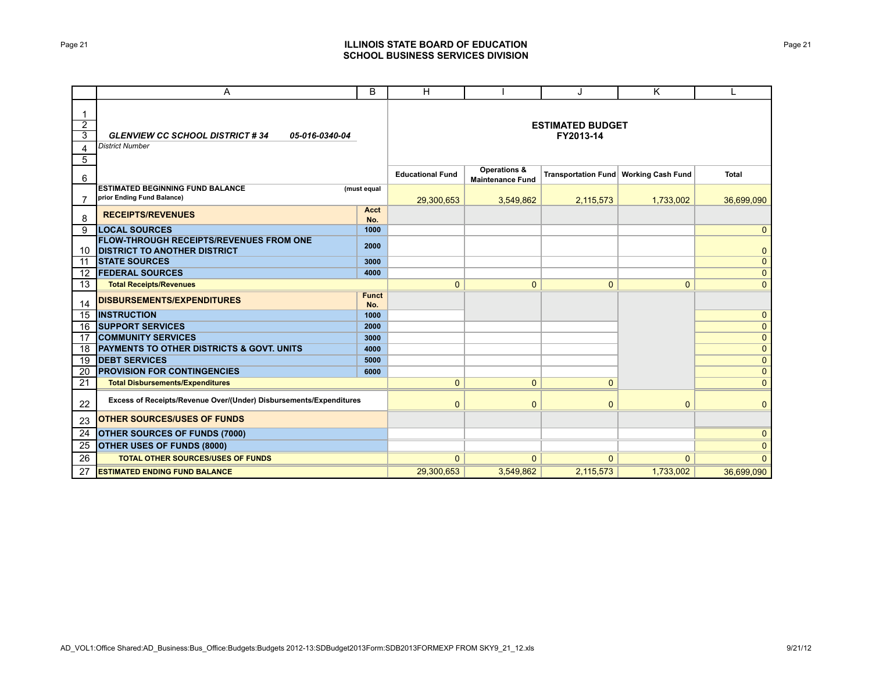## Page 21 **ILLINOIS STATE BOARD OF EDUCATION SCHOOL BUSINESS SERVICES DIVISION**

|                                                           | Α                                                                                     | B                   | H                       |                                                    | J                                    | Κ                                       |                |
|-----------------------------------------------------------|---------------------------------------------------------------------------------------|---------------------|-------------------------|----------------------------------------------------|--------------------------------------|-----------------------------------------|----------------|
| $\mathbf 1$<br>$\overline{2}$<br>$\overline{3}$<br>4<br>5 | <b>GLENVIEW CC SCHOOL DISTRICT #34</b><br>05-016-0340-04<br><b>District Number</b>    |                     |                         |                                                    | <b>ESTIMATED BUDGET</b><br>FY2013-14 |                                         |                |
| 6                                                         |                                                                                       |                     | <b>Educational Fund</b> | <b>Operations &amp;</b><br><b>Maintenance Fund</b> |                                      | Transportation Fund   Working Cash Fund | <b>Total</b>   |
| 7                                                         | <b>ESTIMATED BEGINNING FUND BALANCE</b><br>prior Ending Fund Balance)                 | (must equal         | 29,300,653              | 3,549,862                                          | 2,115,573                            | 1,733,002                               | 36,699,090     |
| 8                                                         | <b>RECEIPTS/REVENUES</b>                                                              | Acct<br>No.         |                         |                                                    |                                      |                                         |                |
| 9                                                         | <b>LOCAL SOURCES</b>                                                                  | 1000                |                         |                                                    |                                      |                                         | $\mathbf{0}$   |
| 10                                                        | <b>FLOW-THROUGH RECEIPTS/REVENUES FROM ONE</b><br><b>DISTRICT TO ANOTHER DISTRICT</b> | 2000                |                         |                                                    |                                      |                                         | $\mathbf{0}$   |
| 11                                                        | <b>STATE SOURCES</b>                                                                  | 3000                |                         |                                                    |                                      |                                         | $\mathbf{0}$   |
| $12 \overline{ }$                                         | <b>FEDERAL SOURCES</b>                                                                | 4000                |                         |                                                    |                                      |                                         | $\mathbf{0}$   |
| 13                                                        | <b>Total Receipts/Revenues</b>                                                        |                     | $\overline{0}$          | $\overline{0}$                                     | $\mathbf{0}$                         | $\mathbf{0}$                            | $\mathbf{0}$   |
| 14                                                        | DISBURSEMENTS/EXPENDITURES                                                            | <b>Funct</b><br>No. |                         |                                                    |                                      |                                         |                |
| 15                                                        | <b>INSTRUCTION</b>                                                                    | 1000                |                         |                                                    |                                      |                                         | $\mathbf{0}$   |
| 16                                                        | <b>SUPPORT SERVICES</b>                                                               | 2000                |                         |                                                    |                                      |                                         | $\overline{0}$ |
| 17                                                        | <b>COMMUNITY SERVICES</b>                                                             | 3000                |                         |                                                    |                                      |                                         | $\mathbf{0}$   |
| 18                                                        | <b>PAYMENTS TO OTHER DISTRICTS &amp; GOVT. UNITS</b>                                  | 4000                |                         |                                                    |                                      |                                         | $\mathbf{0}$   |
| 19                                                        | <b>IDEBT SERVICES</b>                                                                 | 5000                |                         |                                                    |                                      |                                         | $\mathbf 0$    |
| 20                                                        | <b>PROVISION FOR CONTINGENCIES</b>                                                    | 6000                |                         |                                                    |                                      |                                         | $\mathbf{0}$   |
| 21                                                        | <b>Total Disbursements/Expenditures</b>                                               |                     | $\mathbf{0}$            | $\overline{0}$                                     | $\Omega$                             |                                         | $\mathbf{0}$   |
| 22                                                        | Excess of Receipts/Revenue Over/(Under) Disbursements/Expenditures                    |                     | $\mathbf{0}$            | $\mathbf{0}$                                       | $\mathbf{0}$                         | $\mathbf{0}$                            | $\mathbf{0}$   |
| 23                                                        | <b>OTHER SOURCES/USES OF FUNDS</b>                                                    |                     |                         |                                                    |                                      |                                         |                |
| 24                                                        | <b>OTHER SOURCES OF FUNDS (7000)</b>                                                  |                     |                         |                                                    |                                      |                                         | $\mathbf{0}$   |
| 25                                                        | OTHER USES OF FUNDS (8000)                                                            |                     |                         |                                                    |                                      |                                         | $\mathbf{0}$   |
| 26                                                        | <b>TOTAL OTHER SOURCES/USES OF FUNDS</b>                                              |                     | $\mathbf{0}$            | $\Omega$                                           | $\mathbf{0}$                         | $\Omega$                                | $\mathbf{0}$   |
| 27                                                        | <b>ESTIMATED ENDING FUND BALANCE</b>                                                  |                     | 29.300.653              | 3.549.862                                          | 2,115,573                            | 1.733.002                               | 36,699,090     |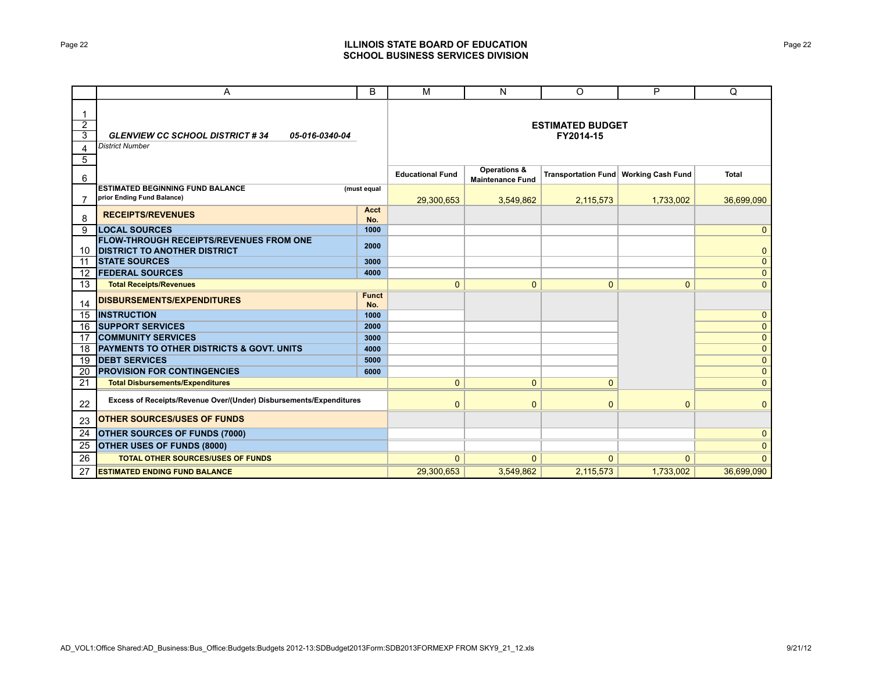## Page 22 **ILLINOIS STATE BOARD OF EDUCATION SCHOOL BUSINESS SERVICES DIVISION**

|                                                 | A                                                                                  | B                   | M                       | N                                                  | O                                    | P                                       | Q            |
|-------------------------------------------------|------------------------------------------------------------------------------------|---------------------|-------------------------|----------------------------------------------------|--------------------------------------|-----------------------------------------|--------------|
| 1<br>$\overline{2}$<br>$\overline{3}$<br>4<br>5 | <b>GLENVIEW CC SCHOOL DISTRICT #34</b><br>05-016-0340-04<br><b>District Number</b> |                     |                         |                                                    | <b>ESTIMATED BUDGET</b><br>FY2014-15 |                                         |              |
| 6                                               |                                                                                    |                     | <b>Educational Fund</b> | <b>Operations &amp;</b><br><b>Maintenance Fund</b> |                                      | Transportation Fund   Working Cash Fund | <b>Total</b> |
| 7                                               | <b>ESTIMATED BEGINNING FUND BALANCE</b><br>prior Ending Fund Balance)              | (must equal         | 29,300,653              | 3,549,862                                          | 2,115,573                            | 1,733,002                               | 36,699,090   |
| 8                                               | <b>RECEIPTS/REVENUES</b>                                                           | Acct<br>No.         |                         |                                                    |                                      |                                         |              |
| 9                                               | <b>LOCAL SOURCES</b>                                                               | 1000                |                         |                                                    |                                      |                                         | $\mathbf{0}$ |
|                                                 | <b>FLOW-THROUGH RECEIPTS/REVENUES FROM ONE</b><br>10 DISTRICT TO ANOTHER DISTRICT  | 2000                |                         |                                                    |                                      |                                         | $\mathbf{0}$ |
| 11                                              | <b>STATE SOURCES</b>                                                               | 3000                |                         |                                                    |                                      |                                         | $\mathbf{0}$ |
| $12 \overline{ }$                               | <b>FEDERAL SOURCES</b>                                                             | 4000                |                         |                                                    |                                      |                                         | $\mathbf{0}$ |
| 13                                              | <b>Total Receipts/Revenues</b>                                                     |                     | $\mathbf 0$             | $\mathbf{0}$                                       | 0                                    | $\mathbf{0}$                            | $\mathbf{0}$ |
| 14                                              | <b>DISBURSEMENTS/EXPENDITURES</b>                                                  | <b>Funct</b><br>No. |                         |                                                    |                                      |                                         |              |
| 15                                              | <b>INSTRUCTION</b>                                                                 | 1000                |                         |                                                    |                                      |                                         | $\mathbf{0}$ |
| 16                                              | <b>SUPPORT SERVICES</b>                                                            | 2000                |                         |                                                    |                                      |                                         | $\mathbf{0}$ |
| 17                                              | <b>COMMUNITY SERVICES</b>                                                          | 3000                |                         |                                                    |                                      |                                         | $\mathbf{0}$ |
| 18                                              | <b>PAYMENTS TO OTHER DISTRICTS &amp; GOVT. UNITS</b>                               | 4000                |                         |                                                    |                                      |                                         | $\mathbf{0}$ |
| 19                                              | <b>DEBT SERVICES</b>                                                               | 5000                |                         |                                                    |                                      |                                         | $\mathbf{0}$ |
| 20                                              | <b>PROVISION FOR CONTINGENCIES</b>                                                 | 6000                |                         |                                                    |                                      |                                         | $\mathbf{0}$ |
| 21                                              | <b>Total Disbursements/Expenditures</b>                                            |                     | $\mathbf{0}$            | $\mathbf{0}$                                       | $\mathbf{0}$                         |                                         | $\mathbf{0}$ |
| 22                                              | Excess of Receipts/Revenue Over/(Under) Disbursements/Expenditures                 |                     | $\mathbf{0}$            | $\mathbf{0}$                                       | $\mathbf{0}$                         | $\mathbf{0}$                            | $\mathbf{0}$ |
| 23                                              | <b>OTHER SOURCES/USES OF FUNDS</b>                                                 |                     |                         |                                                    |                                      |                                         |              |
| 24                                              | <b>OTHER SOURCES OF FUNDS (7000)</b>                                               |                     |                         |                                                    |                                      |                                         | $\mathbf{0}$ |
| 25                                              | <b>OTHER USES OF FUNDS (8000)</b>                                                  |                     |                         |                                                    |                                      |                                         | $\mathbf{0}$ |
| 26                                              | <b>TOTAL OTHER SOURCES/USES OF FUNDS</b>                                           |                     | $\mathbf{0}$            | $\Omega$                                           | $\mathbf{0}$                         | $\Omega$                                | $\mathbf{0}$ |
| 27                                              | <b>ESTIMATED ENDING FUND BALANCE</b>                                               |                     | 29.300.653              | 3.549.862                                          | 2,115,573                            | 1,733,002                               | 36,699,090   |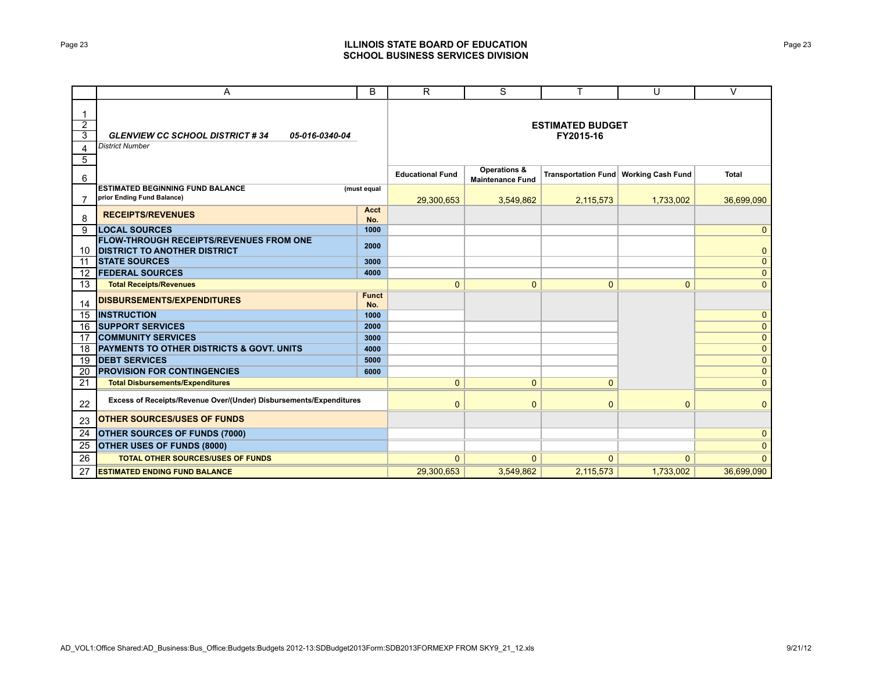## Page 23 **ILLINOIS STATE BOARD OF EDUCATION SCHOOL BUSINESS SERVICES DIVISION**

|                                                          | A                                                                                     | B                   | R                                    | S                                                  | т            | U                                       | $\vee$         |
|----------------------------------------------------------|---------------------------------------------------------------------------------------|---------------------|--------------------------------------|----------------------------------------------------|--------------|-----------------------------------------|----------------|
| -1<br>$\overline{2}$<br>$\overline{3}$<br>$\overline{4}$ | <b>GLENVIEW CC SCHOOL DISTRICT #34</b><br>05-016-0340-04<br><b>District Number</b>    |                     | <b>ESTIMATED BUDGET</b><br>FY2015-16 |                                                    |              |                                         |                |
| $5\overline{)}$<br>6                                     |                                                                                       |                     | <b>Educational Fund</b>              | <b>Operations &amp;</b><br><b>Maintenance Fund</b> |              | Transportation Fund   Working Cash Fund | <b>Total</b>   |
| 7                                                        | <b>ESTIMATED BEGINNING FUND BALANCE</b><br>prior Ending Fund Balance)                 | (must equal         | 29,300,653                           | 3,549,862                                          | 2,115,573    | 1,733,002                               | 36,699,090     |
| 8                                                        | <b>RECEIPTS/REVENUES</b>                                                              | <b>Acct</b><br>No.  |                                      |                                                    |              |                                         |                |
| 9                                                        | <b>LOCAL SOURCES</b>                                                                  | 1000                |                                      |                                                    |              |                                         | $\mathbf{0}$   |
| 10                                                       | <b>FLOW-THROUGH RECEIPTS/REVENUES FROM ONE</b><br><b>DISTRICT TO ANOTHER DISTRICT</b> | 2000                |                                      |                                                    |              |                                         | $\mathbf{0}$   |
| 11                                                       | <b>STATE SOURCES</b>                                                                  | 3000                |                                      |                                                    |              |                                         | $\mathbf{0}$   |
| $12 \overline{ }$                                        | <b>FEDERAL SOURCES</b>                                                                | 4000                |                                      |                                                    |              |                                         | $\mathbf{0}$   |
| 13                                                       | <b>Total Receipts/Revenues</b>                                                        |                     | $\mathbf{0}$                         | $\mathbf{0}$                                       | $\mathbf{0}$ | $\mathbf{0}$                            | $\mathbf{0}$   |
| 14                                                       | <b>DISBURSEMENTS/EXPENDITURES</b>                                                     | <b>Funct</b><br>No. |                                      |                                                    |              |                                         |                |
| 15                                                       | <b>INSTRUCTION</b>                                                                    | 1000                |                                      |                                                    |              |                                         | $\mathbf{0}$   |
| 16                                                       | <b>SUPPORT SERVICES</b>                                                               | 2000                |                                      |                                                    |              |                                         | $\mathbf{0}$   |
| 17                                                       | <b>COMMUNITY SERVICES</b>                                                             | 3000                |                                      |                                                    |              |                                         | $\mathbf 0$    |
| 18                                                       | <b>PAYMENTS TO OTHER DISTRICTS &amp; GOVT, UNITS</b>                                  | 4000                |                                      |                                                    |              |                                         | $\mathbf{0}$   |
| 19                                                       | <b>DEBT SERVICES</b>                                                                  | 5000                |                                      |                                                    |              |                                         | $\mathbf{0}$   |
| 20                                                       | <b>PROVISION FOR CONTINGENCIES</b>                                                    | 6000                |                                      |                                                    |              |                                         | $\mathbf{0}$   |
| 21                                                       | <b>Total Disbursements/Expenditures</b>                                               |                     | $\mathbf{0}$                         | $\mathbf{0}$                                       | $\mathbf{0}$ |                                         | $\mathbf{0}$   |
| 22                                                       | Excess of Receipts/Revenue Over/(Under) Disbursements/Expenditures                    |                     | $\mathbf{0}$                         | $\mathbf{0}$                                       | 0            | $\mathbf{0}$                            | $\mathbf{0}$   |
| 23                                                       | <b>OTHER SOURCES/USES OF FUNDS</b>                                                    |                     |                                      |                                                    |              |                                         |                |
| 24                                                       | <b>OTHER SOURCES OF FUNDS (7000)</b>                                                  |                     |                                      |                                                    |              |                                         | $\mathbf 0$    |
| 25                                                       | <b>OTHER USES OF FUNDS (8000)</b>                                                     |                     |                                      |                                                    |              |                                         | $\overline{0}$ |
| 26                                                       | <b>TOTAL OTHER SOURCES/USES OF FUNDS</b>                                              |                     | $\mathbf{0}$                         | $\Omega$                                           | $\mathbf{0}$ | $\mathbf{0}$                            | $\mathbf{0}$   |
| 27                                                       | <b>ESTIMATED ENDING FUND BALANCE</b>                                                  |                     | 29,300,653                           | 3.549.862                                          | 2,115,573    | 1,733,002                               | 36,699,090     |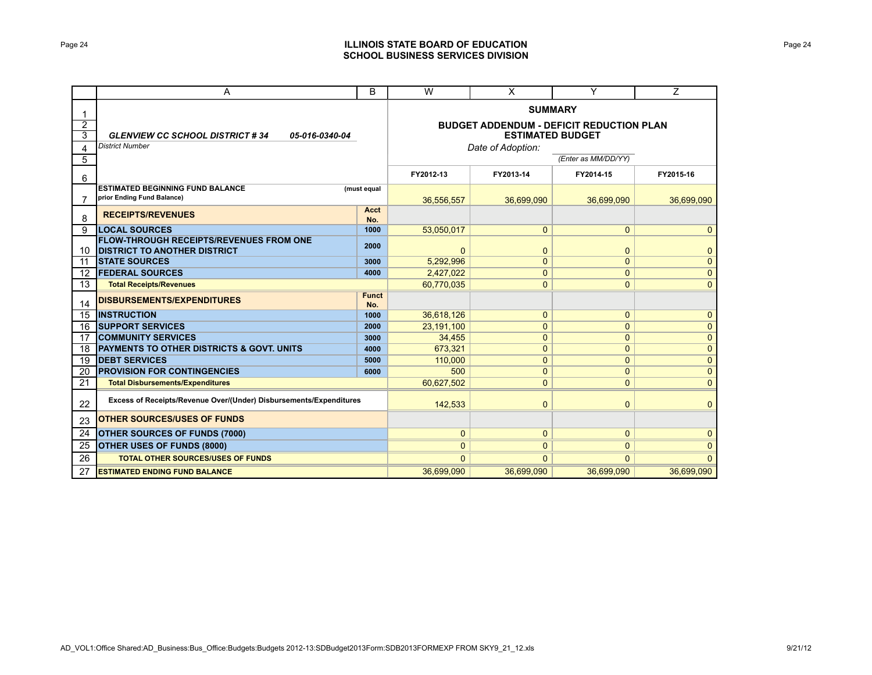## Page 24 **ILLINOIS STATE BOARD OF EDUCATION SCHOOL BUSINESS SERVICES DIVISION**

|                | A                                                                  |                                                 | W                       | X              | Y            | $\overline{Z}$ |
|----------------|--------------------------------------------------------------------|-------------------------------------------------|-------------------------|----------------|--------------|----------------|
| 1              |                                                                    | <b>SUMMARY</b>                                  |                         |                |              |                |
| $\overline{2}$ |                                                                    | <b>BUDGET ADDENDUM - DEFICIT REDUCTION PLAN</b> |                         |                |              |                |
| $\overline{3}$ | <b>GLENVIEW CC SCHOOL DISTRICT #34</b><br>05-016-0340-04           |                                                 | <b>ESTIMATED BUDGET</b> |                |              |                |
| 4              | <b>District Number</b>                                             | Date of Adoption:                               |                         |                |              |                |
| 5              |                                                                    | (Enter as MM/DD/YY)                             |                         |                |              |                |
| 6              |                                                                    |                                                 | FY2012-13               | FY2013-14      | FY2014-15    | FY2015-16      |
|                | <b>ESTIMATED BEGINNING FUND BALANCE</b>                            | (must equal                                     |                         |                |              |                |
| $\overline{7}$ | prior Ending Fund Balance)                                         |                                                 | 36,556,557              | 36,699,090     | 36,699,090   | 36,699,090     |
| 8              | <b>RECEIPTS/REVENUES</b>                                           | Acct<br>No.                                     |                         |                |              |                |
| 9              | <b>LOCAL SOURCES</b>                                               | 1000                                            | 53,050,017              | $\mathbf{0}$   | $\mathbf{0}$ | $\mathbf{0}$   |
|                | <b>FLOW-THROUGH RECEIPTS/REVENUES FROM ONE</b>                     |                                                 |                         |                |              |                |
| 10             | <b>DISTRICT TO ANOTHER DISTRICT</b>                                | 2000                                            | $\overline{0}$          | 0              | $\mathbf 0$  | $\mathbf{0}$   |
| 11             | <b>ISTATE SOURCES</b>                                              | 3000                                            | 5,292,996               | $\mathbf{0}$   | $\mathbf{0}$ | $\mathbf{0}$   |
| 12             | <b>FEDERAL SOURCES</b>                                             | 4000                                            | 2,427,022               | $\mathbf{0}$   | $\mathbf 0$  | $\mathbf{0}$   |
| 13             | <b>Total Receipts/Revenues</b>                                     |                                                 | 60,770,035              | $\mathbf{0}$   | $\mathbf 0$  | $\mathbf{0}$   |
| 14             | <b>DISBURSEMENTS/EXPENDITURES</b>                                  | <b>Funct</b><br>No.                             |                         |                |              |                |
| 15             | <b>INSTRUCTION</b>                                                 | 1000                                            | 36,618,126              | $\mathbf 0$    | $\mathbf 0$  | $\mathbf{0}$   |
| 16             | <b>SUPPORT SERVICES</b>                                            | 2000                                            | 23,191,100              | $\overline{0}$ | $\mathbf 0$  | $\overline{0}$ |
| 17             | <b>COMMUNITY SERVICES</b>                                          | 3000                                            | 34,455                  | $\mathbf{0}$   | $\mathbf{0}$ | $\mathbf{0}$   |
| 18             | <b>PAYMENTS TO OTHER DISTRICTS &amp; GOVT. UNITS</b>               | 4000                                            | 673.321                 | $\mathbf{0}$   | $\mathbf{0}$ | $\mathbf{0}$   |
| 19             | <b>IDEBT SERVICES</b>                                              | 5000                                            | 110,000                 | $\mathbf{0}$   | $\mathbf 0$  | $\mathbf 0$    |
| 20             | <b>PROVISION FOR CONTINGENCIES</b>                                 | 6000                                            | 500                     | $\mathbf{0}$   | $\mathbf{0}$ | $\mathbf 0$    |
| 21             | <b>Total Disbursements/Expenditures</b>                            |                                                 | 60,627,502              | $\mathbf{0}$   | $\mathbf 0$  | $\mathbf 0$    |
| 22             | Excess of Receipts/Revenue Over/(Under) Disbursements/Expenditures |                                                 | 142,533                 | $\mathbf{0}$   | $\mathbf 0$  | $\mathbf{0}$   |
| 23             | <b>OTHER SOURCES/USES OF FUNDS</b>                                 |                                                 |                         |                |              |                |
| 24             | <b>OTHER SOURCES OF FUNDS (7000)</b>                               | $\mathbf{0}$                                    | $\mathbf{0}$            | $\mathbf 0$    | $\mathbf{0}$ |                |
| 25             | <b>OTHER USES OF FUNDS (8000)</b>                                  | 0                                               | $\mathbf{0}$            | $\mathbf{0}$   | $\mathbf 0$  |                |
| 26             | <b>TOTAL OTHER SOURCES/USES OF FUNDS</b>                           |                                                 | $\Omega$                | $\Omega$       | $\Omega$     | $\Omega$       |
| 27             | <b>ESTIMATED ENDING FUND BALANCE</b>                               |                                                 | 36.699.090              | 36.699.090     | 36,699,090   | 36.699.090     |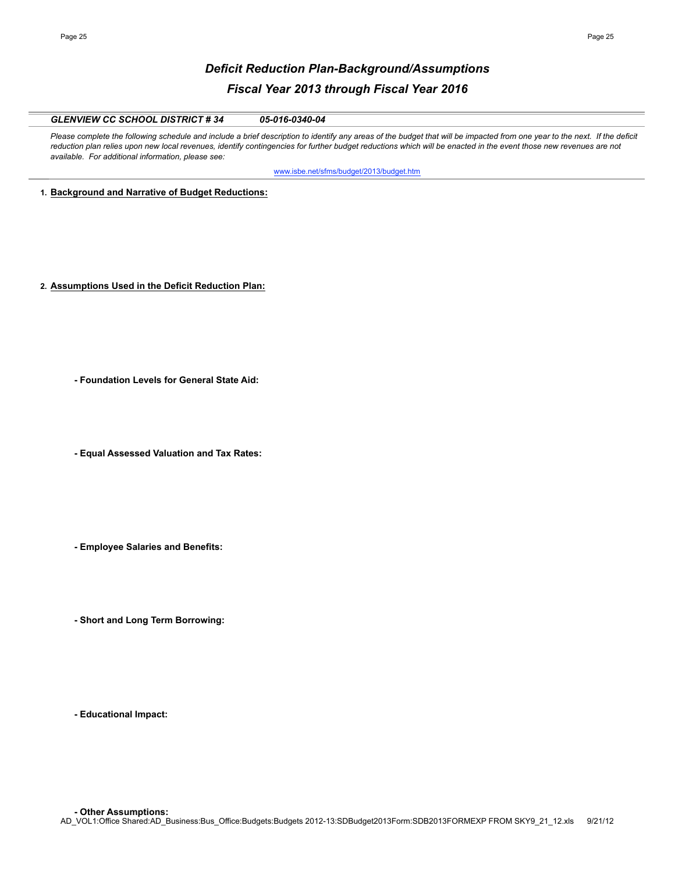# *Deficit Reduction Plan-Background/Assumptions Fiscal Year 2013 through Fiscal Year 2016*

## *GLENVIEW CC SCHOOL DISTRICT # 34 05-016-0340-04*

Please complete the following schedule and include a brief description to identify any areas of the budget that will be impacted from one year to the next. If the deficit reduction plan relies upon new local revenues, identify contingencies for further budget reductions which will be enacted in the event those new revenues are not *available. For additional information, please see:* 

www.isbe.net/sfms/budget/2013/budget.htm

**1. Background and Narrative of Budget Reductions:**

- **2. Assumptions Used in the Deficit Reduction Plan:**
	- **Foundation Levels for General State Aid:**
	- **Equal Assessed Valuation and Tax Rates:**
	- **Employee Salaries and Benefits:**
	- **Short and Long Term Borrowing:**

**- Educational Impact:**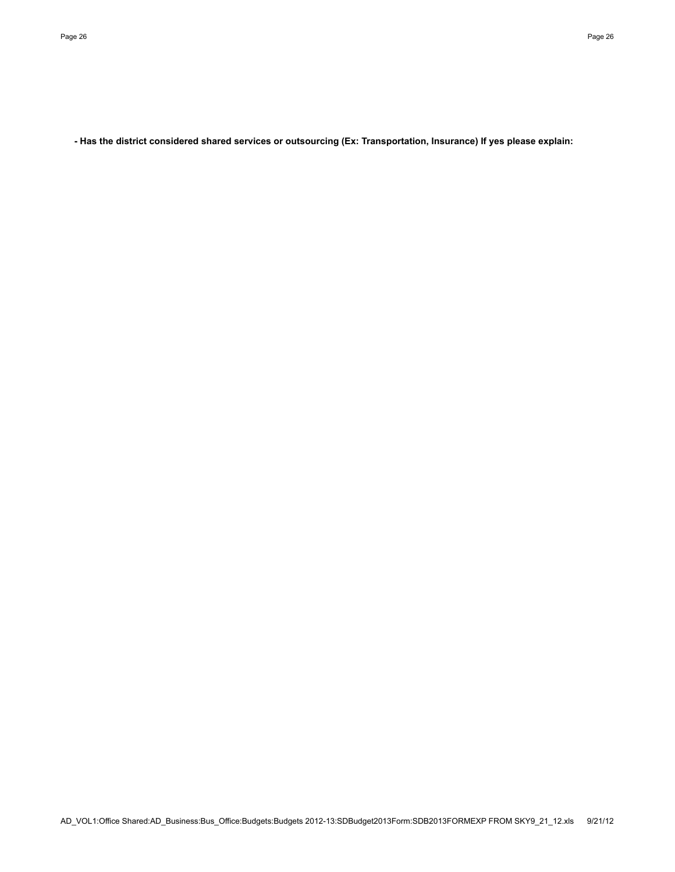**- Has the district considered shared services or outsourcing (Ex: Transportation, Insurance) If yes please explain:**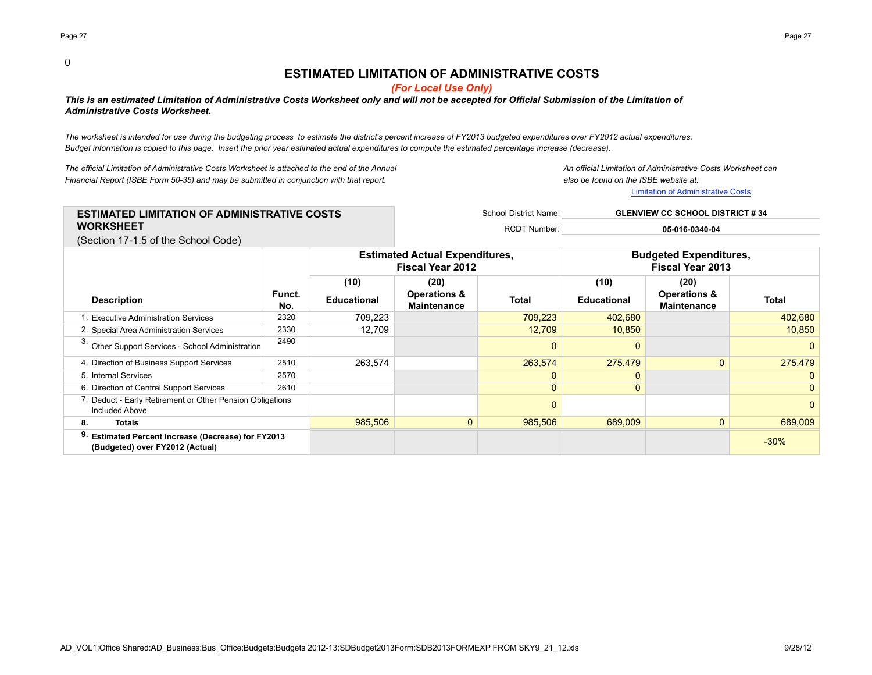#### 0

# **ESTIMATED LIMITATION OF ADMINISTRATIVE COSTS**

*(For Local Use Only)*

### *This is an estimated Limitation of Administrative Costs Worksheet only and will not be accepted for Official Submission of the Limitation of Administrative Costs Worksheet.*

*The worksheet is intended for use during the budgeting process to estimate the district's percent increase of FY2013 budgeted expenditures over FY2012 actual expenditures. Budget information is copied to this page. Insert the prior year estimated actual expenditures to compute the estimated percentage increase (decrease).*

*The official Limitation of Administrative Costs Worksheet is attached to the end of the Annual An official Limitation of Administrative Costs Worksheet can Financial Report (ISBE Form 50-35) and may be submitted in conjunction with that report. also be found on the ISBE website at:*

Limitation of Administrative Costs

| <b>ESTIMATED LIMITATION OF ADMINISTRATIVE COSTS</b>                    | School District Name: | <b>GLENVIEW CC SCHOOL DISTRICT # 34</b> |  |  |
|------------------------------------------------------------------------|-----------------------|-----------------------------------------|--|--|
| <b>WORKSHEET</b>                                                       | <b>RCDT Number:</b>   | 05-016-0340-04                          |  |  |
| $(0, 0, 1)$ and $\overline{7}$ d $\overline{7}$ and the Central Cooler |                       |                                         |  |  |

(Section 17-1.5 of the School Code)

|                                                                                                  |               | <b>Estimated Actual Expenditures,</b><br><b>Fiscal Year 2012</b> |                                               | <b>Budgeted Expenditures,</b><br><b>Fiscal Year 2013</b> |                    |                                               |              |
|--------------------------------------------------------------------------------------------------|---------------|------------------------------------------------------------------|-----------------------------------------------|----------------------------------------------------------|--------------------|-----------------------------------------------|--------------|
|                                                                                                  |               | (10)                                                             | (20)                                          |                                                          | (10)               | (20)                                          |              |
| <b>Description</b>                                                                               | Funct.<br>No. | Educational                                                      | <b>Operations &amp;</b><br><b>Maintenance</b> | <b>Total</b>                                             | <b>Educational</b> | <b>Operations &amp;</b><br><b>Maintenance</b> | <b>Total</b> |
| L. Executive Administration Services                                                             | 2320          | 709,223                                                          |                                               | 709,223                                                  | 402,680            |                                               | 402,680      |
| 2. Special Area Administration Services                                                          | 2330          | 12,709                                                           |                                               | 12,709                                                   | 10,850             |                                               | 10,850       |
| Other Support Services - School Administration                                                   | 2490          |                                                                  |                                               | 0                                                        | $\Omega$           |                                               | 0            |
| 4. Direction of Business Support Services                                                        | 2510          | 263,574                                                          |                                               | 263,574                                                  | 275,479            |                                               | 275,479      |
| 5. Internal Services                                                                             | 2570          |                                                                  |                                               | $\Omega$                                                 | 0                  |                                               | $\mathbf{0}$ |
| 6. Direction of Central Support Services                                                         | 2610          |                                                                  |                                               | 0                                                        | 0                  |                                               | $\mathbf{0}$ |
| 7. Deduct - Early Retirement or Other Pension Obligations<br>Included Above                      |               |                                                                  |                                               |                                                          |                    |                                               | 0            |
| Totals<br>8.                                                                                     |               | 985,506                                                          | $\overline{0}$                                | 985,506                                                  | 689,009            |                                               | 689,009      |
| 9.<br><b>Estimated Percent Increase (Decrease) for FY2013</b><br>(Budgeted) over FY2012 (Actual) |               |                                                                  |                                               |                                                          |                    |                                               | $-30%$       |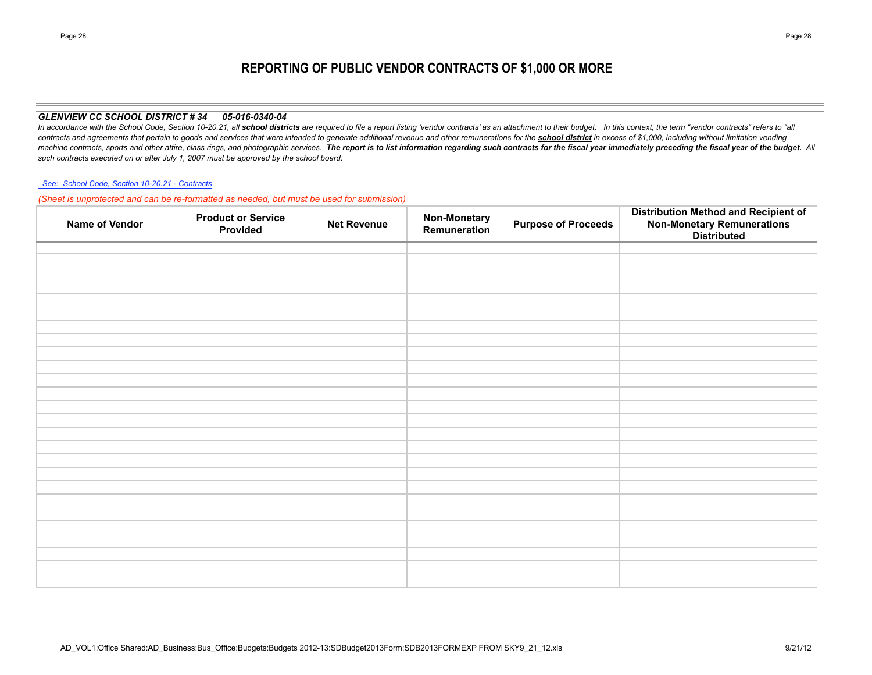# **REPORTING OF PUBLIC VENDOR CONTRACTS OF \$1,000 OR MORE**

#### *GLENVIEW CC SCHOOL DISTRICT # 34 05-016-0340-04*

In accordance with the School Code, Section 10-20.21, all school districts are required to file a report listing 'vendor contracts' as an attachment to their budget. In this context, the term "vendor contracts" refers to " contracts and agreements that pertain to goods and services that were intended to generate additional revenue and other remunerations for the school district in excess of \$1,000, including without limitation vending machine contracts, sports and other attire, class rings, and photographic services. The report is to list information regarding such contracts for the fiscal year immediately preceding the fiscal year of the budget. All *such contracts executed on or after July 1, 2007 must be approved by the school board.*

#### *See: School Code, Section 10-20.21 - Contracts*

*(Sheet is unprotected and can be re-formatted as needed, but must be used for submission)*

| Name of Vendor | <b>Product or Service</b><br>Provided | <b>Net Revenue</b> | <b>Non-Monetary</b><br>Remuneration | <b>Purpose of Proceeds</b> | <b>Distribution Method and Recipient of</b><br>Non-Monetary Remunerations<br>Distributed |
|----------------|---------------------------------------|--------------------|-------------------------------------|----------------------------|------------------------------------------------------------------------------------------|
|                |                                       |                    |                                     |                            |                                                                                          |
|                |                                       |                    |                                     |                            |                                                                                          |
|                |                                       |                    |                                     |                            |                                                                                          |
|                |                                       |                    |                                     |                            |                                                                                          |
|                |                                       |                    |                                     |                            |                                                                                          |
|                |                                       |                    |                                     |                            |                                                                                          |
|                |                                       |                    |                                     |                            |                                                                                          |
|                |                                       |                    |                                     |                            |                                                                                          |
|                |                                       |                    |                                     |                            |                                                                                          |
|                |                                       |                    |                                     |                            |                                                                                          |
|                |                                       |                    |                                     |                            |                                                                                          |
|                |                                       |                    |                                     |                            |                                                                                          |
|                |                                       |                    |                                     |                            |                                                                                          |
|                |                                       |                    |                                     |                            |                                                                                          |
|                |                                       |                    |                                     |                            |                                                                                          |
|                |                                       |                    |                                     |                            |                                                                                          |
|                |                                       |                    |                                     |                            |                                                                                          |
|                |                                       |                    |                                     |                            |                                                                                          |
|                |                                       |                    |                                     |                            |                                                                                          |
|                |                                       |                    |                                     |                            |                                                                                          |
|                |                                       |                    |                                     |                            |                                                                                          |
|                |                                       |                    |                                     |                            |                                                                                          |
|                |                                       |                    |                                     |                            |                                                                                          |
|                |                                       |                    |                                     |                            |                                                                                          |
|                |                                       |                    |                                     |                            |                                                                                          |
|                |                                       |                    |                                     |                            |                                                                                          |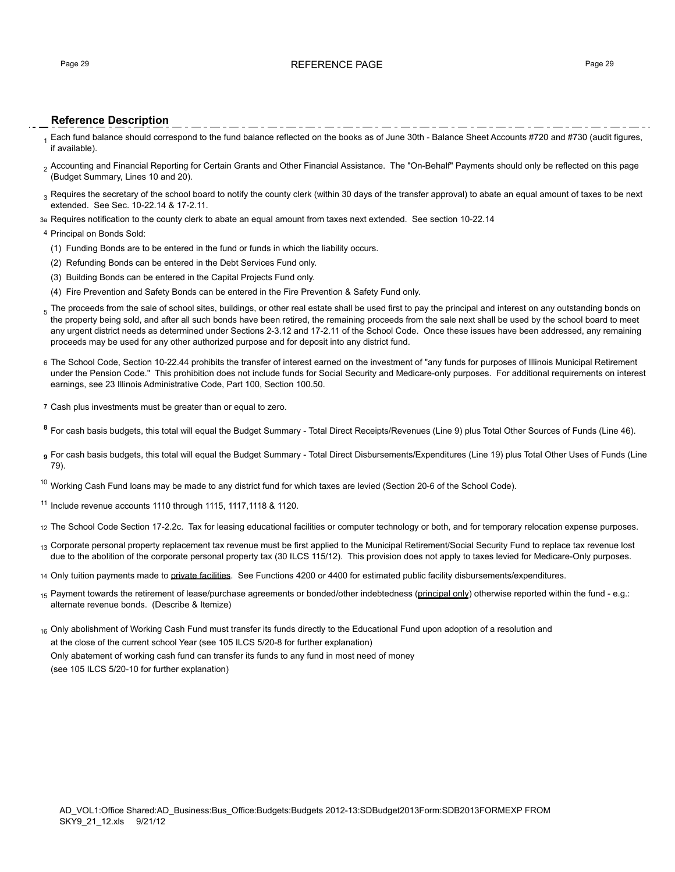### Page 29 **REFERENCE PAGE 20 REFERENCE PAGE**

## **Reference Description**

- 1 Each fund balance should correspond to the fund balance reflected on the books as of June 30th Balance Sheet Accounts #720 and #730 (audit figures, if available).
- <sub>2</sub> Accounting and Financial Reporting for Certain Grants and Other Financial Assistance. The "On-Behalf" Payments should only be reflected on this page (Budget Summary, Lines 10 and 20).
- $_3$  Requires the secretary of the school board to notify the county clerk (within 30 days of the transfer approval) to abate an equal amount of taxes to be next extended. See Sec. 10-22.14 & 17-2.11.
- 3a Requires notification to the county clerk to abate an equal amount from taxes next extended. See section 10-22.14

#### 4 Principal on Bonds Sold:

- (1) Funding Bonds are to be entered in the fund or funds in which the liability occurs.
- (2) Refunding Bonds can be entered in the Debt Services Fund only.
- (3) Building Bonds can be entered in the Capital Projects Fund only.
- (4) Fire Prevention and Safety Bonds can be entered in the Fire Prevention & Safety Fund only.
- $_5$  The proceeds from the sale of school sites, buildings, or other real estate shall be used first to pay the principal and interest on any outstanding bonds on the property being sold, and after all such bonds have been retired, the remaining proceeds from the sale next shall be used by the school board to meet any urgent district needs as determined under Sections 2-3.12 and 17-2.11 of the School Code. Once these issues have been addressed, any remaining proceeds may be used for any other authorized purpose and for deposit into any district fund.
- 6 The School Code, Section 10-22.44 prohibits the transfer of interest earned on the investment of "any funds for purposes of Illinois Municipal Retirement under the Pension Code." This prohibition does not include funds for Social Security and Medicare-only purposes. For additional requirements on interest earnings, see 23 Illinois Administrative Code, Part 100, Section 100.50.
- **7** Cash plus investments must be greater than or equal to zero.
- **<sup>8</sup>** For cash basis budgets, this total will equal the Budget Summary Total Direct Receipts/Revenues (Line 9) plus Total Other Sources of Funds (Line 46).
- **<sup>9</sup>** For cash basis budgets, this total will equal the Budget Summary Total Direct Disbursements/Expenditures (Line 19) plus Total Other Uses of Funds (Line 79).
- $10$  Working Cash Fund loans may be made to any district fund for which taxes are levied (Section 20-6 of the School Code).
- <sup>11</sup> Include revenue accounts 1110 through 1115, 1117,1118 & 1120.
- 12 The School Code Section 17-2.2c. Tax for leasing educational facilities or computer technology or both, and for temporary relocation expense purposes.
- 13 Corporate personal property replacement tax revenue must be first applied to the Municipal Retirement/Social Security Fund to replace tax revenue lost due to the abolition of the corporate personal property tax (30 ILCS 115/12). This provision does not apply to taxes levied for Medicare-Only purposes.
- 14 Only tuition payments made to private facilities. See Functions 4200 or 4400 for estimated public facility disbursements/expenditures.
- 15 Payment towards the retirement of lease/purchase agreements or bonded/other indebtedness (principal only) otherwise reported within the fund e.g.: alternate revenue bonds. (Describe & Itemize)
- 16 Only abolishment of Working Cash Fund must transfer its funds directly to the Educational Fund upon adoption of a resolution and

at the close of the current school Year (see 105 ILCS 5/20-8 for further explanation)

Only abatement of working cash fund can transfer its funds to any fund in most need of money

(see 105 ILCS 5/20-10 for further explanation)